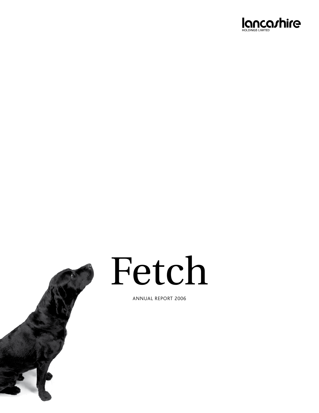



# Fetch

Annual Report 2006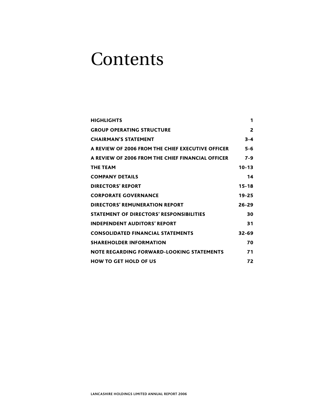### **Contents**

| <b>HIGHLIGHTS</b>                                 | 1         |
|---------------------------------------------------|-----------|
| <b>GROUP OPERATING STRUCTURE</b>                  | 2         |
| <b>CHAIRMAN'S STATEMENT</b>                       | $3 - 4$   |
| A REVIEW OF 2006 FROM THE CHIEF EXECUTIVE OFFICER | $5 - 6$   |
| A REVIEW OF 2006 FROM THE CHIEF FINANCIAL OFFICER | $7 - 9$   |
| <b>THE TEAM</b>                                   | $10 - 13$ |
| <b>COMPANY DETAILS</b>                            | 14        |
| <b>DIRECTORS' REPORT</b>                          | $15 - 18$ |
| <b>CORPORATE GOVERNANCE</b>                       | $19 - 25$ |
| DIRECTORS' REMUNERATION REPORT                    | $26 - 29$ |
| <b>STATEMENT OF DIRECTORS' RESPONSIBILITIES</b>   | 30        |
| <b>INDEPENDENT AUDITORS' REPORT</b>               | 31        |
| <b>CONSOLIDATED FINANCIAL STATEMENTS</b>          | $32 - 69$ |
| <b>SHAREHOLDER INFORMATION</b>                    | 70        |
| NOTE REGARDING FORWARD-LOOKING STATEMENTS         | 71        |
| <b>HOW TO GET HOLD OF US</b>                      | 72        |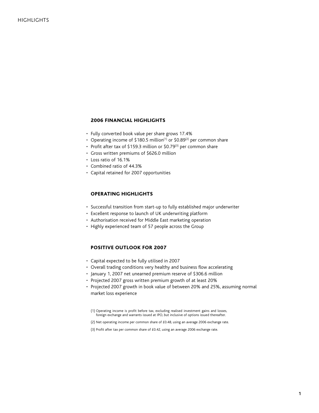#### 2006 Financial highlights

- Fully converted book value per share grows 17.4%
- Operating income of \$180.5 million<sup>(1)</sup> or \$0.89<sup>(2)</sup> per common share
- Profit after tax of \$159.3 million or \$0.79 $^{(3)}$  per common share
- Gross written premiums of \$626.0 million
- Loss ratio of 16.1% •
- Combined ratio of 44.3%
- Capital retained for 2007 opportunities •

#### Operating highlights

- Successful transition from start-up to fully established major underwriter
- Excellent response to launch of UK underwriting platform •
- Authorisation received for Middle East marketing operation
- Highly experienced team of 57 people across the Group

#### Positive outlook for 2007

- Capital expected to be fully utilised in 2007 •
- Overall trading conditions very healthy and business flow accelerating
- January 1, 2007 net unearned premium reserve of \$306.6 million
- Projected 2007 gross written premium growth of at least 20%
- Projected 2007 growth in book value of between 20% and 25%, assuming normal market loss experience

(1) Operating income is profit before tax, excluding realised investment gains and losses, foreign exchange and warrants issued at IPO, but inclusive of options issued thereafter.

(2) Net operating income per common share of £0.48, using an average 2006 exchange rate.

(3) Profit after tax per common share of £0.42, using an average 2006 exchange rate.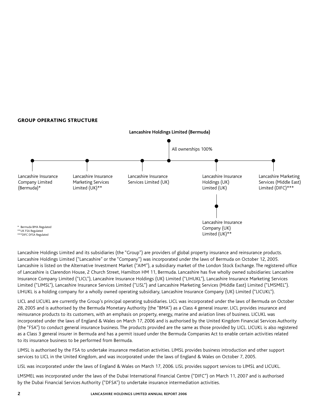#### Group Operating Structure



Lancashire Holdings Limited and its subsidiaries (the "Group") are providers of global property insurance and reinsurance products. Lancashire Holdings Limited ("Lancashire" or the "Company") was incorporated under the laws of Bermuda on October 12, 2005. Lancashire is listed on the Alternative Investment Market ("AIM"), a subsidiary market of the London Stock Exchange. The registered office of Lancashire is Clarendon House, 2 Church Street, Hamilton HM 11, Bermuda. Lancashire has five wholly owned subsidiaries: Lancashire Insurance Company Limited ("LICL"), Lancashire Insurance Holdings (UK) Limited ("LIHUKL"), Lancashire Insurance Marketing Services Limited ("LIMSL"), Lancashire Insurance Services Limited ("LISL") and Lancashire Marketing Services (Middle East) Limited ("LMSMEL"). LIHUKL is a holding company for a wholly owned operating subsidiary, Lancashire Insurance Company (UK) Limited ("LICUKL").

LICL and LICUKL are currently the Group's principal operating subsidiaries. LICL was incorporated under the laws of Bermuda on October 28, 2005 and is authorised by the Bermuda Monetary Authority (the "BMA") as a Class 4 general insurer. LICL provides insurance and reinsurance products to its customers, with an emphasis on property, energy, marine and aviation lines of business. LICUKL was incorporated under the laws of England & Wales on March 17, 2006 and is authorised by the United Kingdom Financial Services Authority (the "FSA") to conduct general insurance business. The products provided are the same as those provided by LICL. LICUKL is also registered as a Class 3 general insurer in Bermuda and has a permit issued under the Bermuda Companies Act to enable certain activities related to its insurance business to be performed from Bermuda.

LIMSL is authorised by the FSA to undertake insurance mediation activities. LIMSL provides business introduction and other support services to LICL in the United Kingdom, and was incorporated under the laws of England & Wales on October 7, 2005.

LISL was incorporated under the laws of England & Wales on March 17, 2006. LISL provides support services to LIMSL and LICUKL.

LMSMEL was incorporated under the laws of the Dubai International Financial Centre ("DIFC") on March 11, 2007 and is authorised by the Dubai Financial Services Authority ("DFSA") to undertake insurance intermediation activities.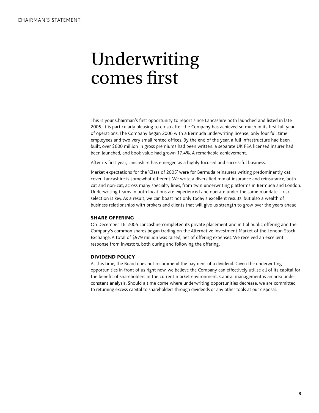### Underwriting comes first

This is your Chairman's first opportunity to report since Lancashire both launched and listed in late 2005. It is particularly pleasing to do so after the Company has achieved so much in its first full year of operations. The Company began 2006 with a Bermuda underwriting license, only four full time employees and two very small rented offices. By the end of the year, a full infrastructure had been built, over \$600 million in gross premiums had been written, a separate UK FSA licensed insurer had been launched, and book value had grown 17.4%. A remarkable achievement.

After its first year, Lancashire has emerged as a highly focused and successful business.

Market expectations for the 'Class of 2005' were for Bermuda reinsurers writing predominantly cat cover. Lancashire is somewhat different. We write a diversified mix of insurance and reinsurance, both cat and non-cat, across many specialty lines, from twin underwriting platforms in Bermuda and London. Underwriting teams in both locations are experienced and operate under the same mandate – risk selection is key. As a result, we can boast not only today's excellent results, but also a wealth of business relationships with brokers and clients that will give us strength to grow over the years ahead.

#### **SHARE OFFERING**

On December 16, 2005 Lancashire completed its private placement and initial public offering and the Company's common shares began trading on the Alternative Investment Market of the London Stock Exchange. A total of \$979 million was raised, net of offering expenses. We received an excellent response from investors, both during and following the offering.

#### Dividend policy

At this time, the Board does not recommend the payment of a dividend. Given the underwriting opportunities in front of us right now, we believe the Company can effectively utilise all of its capital for the benefit of shareholders in the current market environment. Capital management is an area under constant analysis. Should a time come where underwriting opportunities decrease, we are committed to returning excess capital to shareholders through dividends or any other tools at our disposal.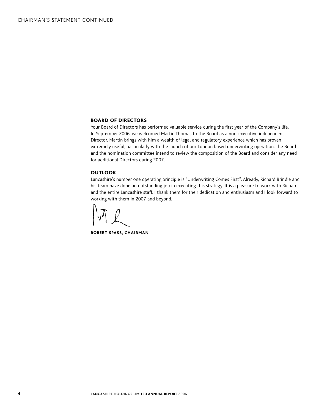#### Board of Directors

Your Board of Directors has performed valuable service during the first year of the Company's life. In September 2006, we welcomed Martin Thomas to the Board as a non-executive independent Director. Martin brings with him a wealth of legal and regulatory experience which has proven extremely useful, particularly with the launch of our London based underwriting operation. The Board and the nomination committee intend to review the composition of the Board and consider any need for additional Directors during 2007.

#### **OUTLOOK**

Lancashire's number one operating principle is "Underwriting Comes First". Already, Richard Brindle and his team have done an outstanding job in executing this strategy. It is a pleasure to work with Richard and the entire Lancashire staff. I thank them for their dedication and enthusiasm and I look forward to working with them in 2007 and beyond.

Robert Spass, Chairman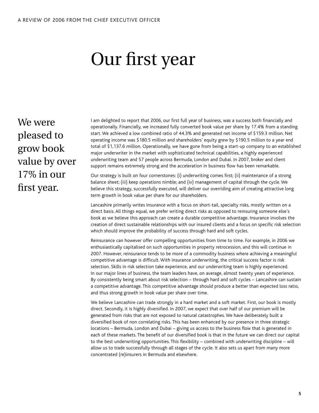# Our first year

We were pleased to grow book value by over 17% in our first year.

I am delighted to report that 2006, our first full year of business, was a success both financially and operationally. Financially, we increased fully converted book value per share by 17.4% from a standing start. We achieved a low combined ratio of 44.3% and generated net income of \$159.3 million. Net operating income was \$180.5 million and shareholders' equity grew by \$190.5 million to a year end total of \$1,137.6 million. Operationally, we have gone from being a start-up company to an established major underwriter in the market with sophisticated technical capabilities, a highly experienced underwriting team and 57 people across Bermuda, London and Dubai. In 2007, broker and client support remains extremely strong and the acceleration in business flow has been remarkable.

Our strategy is built on four cornerstones: (i) underwriting comes first; (ii) maintenance of a strong balance sheet; (iii) keep operations nimble; and (iv) management of capital through the cycle. We believe this strategy, successfully executed, will deliver our overriding aim of creating attractive long term growth in book value per share for our shareholders.

Lancashire primarily writes insurance with a focus on short-tail, specialty risks, mostly written on a direct basis. All things equal, we prefer writing direct risks as opposed to reinsuring someone else's book as we believe this approach can create a durable competitive advantage. Insurance involves the creation of direct sustainable relationships with our insured clients and a focus on specific risk selection which should improve the probability of success through hard and soft cycles.

Reinsurance can however offer compelling opportunities from time to time. For example, in 2006 we enthusiastically capitalised on such opportunities in property retrocession, and this will continue in 2007. However, reinsurance tends to be more of a commodity business where achieving a meaningful competitive advantage is difficult. With insurance underwriting, the critical success factor is risk selection. Skills in risk selection take experience, and our underwriting team is highly experienced. In our major lines of business, the team leaders have, on average, almost twenty years of experience. By consistently being smart about risk selection – through hard and soft cycles – Lancashire can sustain a competitive advantage. This competitive advantage should produce a better than expected loss ratio, and thus strong growth in book value per share over time.

We believe Lancashire can trade strongly in a hard market and a soft market. First, our book is mostly direct. Secondly, it is highly diversified. In 2007, we expect that over half of our premium will be generated from risks that are not exposed to natural catastrophes. We have deliberately built a diversified book of non correlating risks. This has been enhanced by our presence in three strategic locations – Bermuda, London and Dubai – giving us access to the business flow that is generated in each of these markets. The benefit of our diversified book is that in the future we can direct our capital to the best underwriting opportunities. This flexibility – combined with underwriting discipline – will allow us to trade successfully through all stages of the cycle. It also sets us apart from many more concentrated (re)insurers in Bermuda and elsewhere.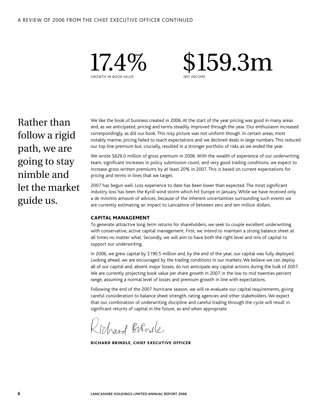

 \$159.3m NET INCOME

Rather than follow a rigid path, we are going to stay nimble and let the market guide us.

We like the book of business created in 2006. At the start of the year pricing was good in many areas and, as we anticipated, pricing and terms steadily improved through the year. Our enthusiasm increased correspondingly, as did our book. This rosy picture was not uniform though. In certain areas, most notably marine, pricing failed to reach expectations and we declined deals in large numbers. This reduced our top line premium but, crucially, resulted in a stronger portfolio of risks as we ended the year.

We wrote \$626.0 million of gross premium in 2006. With the wealth of experience of our underwriting team, significant increases in policy submission count, and very good trading conditions, we expect to increase gross written premiums by at least 20% in 2007. This is based on current expectations for pricing and terms in lines that we target.

2007 has begun well. Loss experience to date has been lower than expected. The most significant industry loss has been the Kyrill wind storm which hit Europe in January. While we have received only a de minimis amount of advices, because of the inherent uncertainties surrounding such events we are currently estimating an impact to Lancashire of between zero and ten million dollars.

#### Capital Management

To generate attractive long term returns for shareholders, we seek to couple excellent underwriting with conservative, active capital management. First, we intend to maintain a strong balance sheet at all times no matter what. Secondly, we will aim to have both the right level and mix of capital to support our underwriting.

In 2006, we grew capital by \$190.5 million and, by the end of the year, our capital was fully deployed. Looking ahead, we are encouraged by the trading conditions in our markets. We believe we can deploy all of our capital and, absent major losses, do not anticipate any capital actions during the bulk of 2007. We are currently projecting book value per share growth in 2007 in the low to mid twenties percent range, assuming a normal level of losses and premium growth in line with expectations.

Following the end of the 2007 hurricane season, we will re-evaluate our capital requirements, giving careful consideration to balance sheet strength, rating agencies and other stakeholders. We expect that our combination of underwriting discipline and careful trading through the cycle will result in significant returns of capital in the future, as and when appropriate.

Chard Birnele

RICHARD BRINDLE, CHIEF EXECUTIVE OFFICER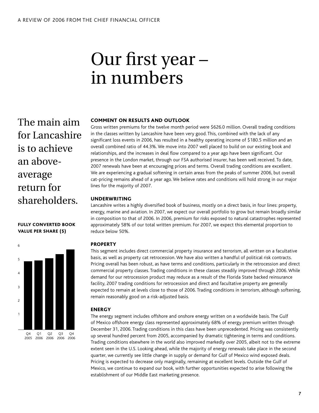## Our first year – in numbers

The main aim for Lancashire is to achieve an aboveaverage return for shareholders.

#### FULLY CONVERTED book VALUE PER SHARE (\$)



#### Comment on Results and Outlook

Gross written premiums for the twelve month period were \$626.0 million. Overall trading conditions in the classes written by Lancashire have been very good. This, combined with the lack of any significant loss events in 2006, has resulted in a healthy operating income of \$180.5 million and an overall combined ratio of 44.3%. We move into 2007 well placed to build on our existing book and relationships, and the increases in deal flow compared to a year ago have been significant. Our presence in the London market, through our FSA authorised insurer, has been well received. To date, 2007 renewals have been at encouraging prices and terms. Overall trading conditions are excellent. We are experiencing a gradual softening in certain areas from the peaks of summer 2006, but overall cat-pricing remains ahead of a year ago. We believe rates and conditions will hold strong in our major lines for the majority of 2007.

#### **UNDERWRITING**

Lancashire writes a highly diversified book of business, mostly on a direct basis, in four lines: property, energy, marine and aviation. In 2007, we expect our overall portfolio to grow but remain broadly similar in composition to that of 2006. In 2006, premium for risks exposed to natural catastrophes represented approximately 58% of our total written premium. For 2007, we expect this elemental proportion to reduce below 50%.

#### **PROPERTY**

This segment includes direct commercial property insurance and terrorism, all written on a facultative basis, as well as property cat retrocession. We have also written a handful of political risk contracts. Pricing overall has been robust, as have terms and conditions, particularly in the retrocession and direct commercial property classes. Trading conditions in these classes steadily improved through 2006. While demand for our retrocession product may reduce as a result of the Florida State backed reinsurance facility, 2007 trading conditions for retrocession and direct and facultative property are generally expected to remain at levels close to those of 2006. Trading conditions in terrorism, although softening, remain reasonably good on a risk-adjusted basis.

#### **ENERGY**

The energy segment includes offshore and onshore energy written on a worldwide basis. The Gulf of Mexico offshore energy class represented approximately 68% of energy premium written through December 31, 2006. Trading conditions in this class have been unprecedented. Pricing was consistently up several hundred percent from 2005, accompanied by dramatic tightening in terms and conditions. Trading conditions elsewhere in the world also improved markedly over 2005, albeit not to the extreme extent seen in the U.S. Looking ahead, while the majority of energy renewals take place in the second quarter, we currently see little change in supply or demand for Gulf of Mexico wind exposed deals. Pricing is expected to decrease only marginally, remaining at excellent levels. Outside the Gulf of Mexico, we continue to expand our book, with further opportunities expected to arise following the establishment of our Middle East marketing presence.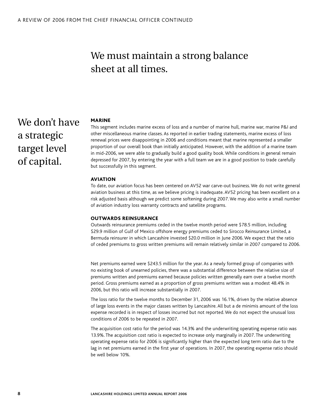### We must maintain a strong balance sheet at all times.

### We don't have a strategic target level of capital.

#### **MARINE**

This segment includes marine excess of loss and a number of marine hull, marine war, marine P&I and other miscellaneous marine classes. As reported in earlier trading statements, marine excess of loss renewal prices were disappointing in 2006 and conditions meant that marine represented a smaller proportion of our overall book than initially anticipated. However, with the addition of a marine team in mid-2006, we were able to gradually build a good quality book. While conditions in general remain depressed for 2007, by entering the year with a full team we are in a good position to trade carefully but successfully in this segment.

#### **AVIATION**

To date, our aviation focus has been centered on AV52 war carve-out business. We do not write general aviation business at this time, as we believe pricing is inadequate. AV52 pricing has been excellent on a risk adjusted basis although we predict some softening during 2007. We may also write a small number of aviation industry loss warranty contracts and satellite programs.

#### Outwards reinsurance

Outwards reinsurance premiums ceded in the twelve month period were \$78.5 million, including \$29.9 million of Gulf of Mexico offshore energy premiums ceded to Sirocco Reinsurance Limited, a Bermuda reinsurer in which Lancashire invested \$20.0 million in June 2006. We expect that the ratio of ceded premiums to gross written premiums will remain relatively similar in 2007 compared to 2006.

Net premiums earned were \$243.5 million for the year. As a newly formed group of companies with no existing book of unearned policies, there was a substantial difference between the relative size of premiums written and premiums earned because policies written generally earn over a twelve month period. Gross premiums earned as a proportion of gross premiums written was a modest 48.4% in 2006, but this ratio will increase substantially in 2007.

The loss ratio for the twelve months to December 31, 2006 was 16.1%, driven by the relative absence of large loss events in the major classes written by Lancashire. All but a de minimis amount of the loss expense recorded is in respect of losses incurred but not reported. We do not expect the unusual loss conditions of 2006 to be repeated in 2007.

The acquisition cost ratio for the period was 14.3% and the underwriting operating expense ratio was 13.9%. The acquisition cost ratio is expected to increase only marginally in 2007. The underwriting operating expense ratio for 2006 is significantly higher than the expected long term ratio due to the lag in net premiums earned in the first year of operations. In 2007, the operating expense ratio should be well below 10%.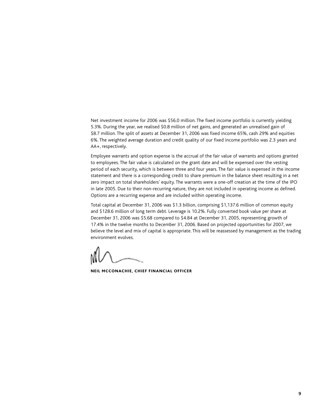Net investment income for 2006 was \$56.0 million. The fixed income portfolio is currently yielding 5.3%. During the year, we realised \$0.8 million of net gains, and generated an unrealised gain of \$8.7 million. The split of assets at December 31, 2006 was fixed income 65%, cash 29% and equities 6%. The weighted average duration and credit quality of our fixed income portfolio was 2.3 years and AA+, respectively.

Employee warrants and option expense is the accrual of the fair value of warrants and options granted to employees. The fair value is calculated on the grant date and will be expensed over the vesting period of each security, which is between three and four years. The fair value is expensed in the income statement and there is a corresponding credit to share premium in the balance sheet resulting in a net zero impact on total shareholders' equity. The warrants were a one-off creation at the time of the IPO in late 2005. Due to their non-recurring nature, they are not included in operating income as defined. Options are a recurring expense and are included within operating income.

Total capital at December 31, 2006 was \$1.3 billion, comprising \$1,137.6 million of common equity and \$128.6 million of long term debt. Leverage is 10.2%. Fully converted book value per share at December 31, 2006 was \$5.68 compared to \$4.84 at December 31, 2005, representing growth of 17.4% in the twelve months to December 31, 2006. Based on projected opportunities for 2007, we believe the level and mix of capital is appropriate. This will be reassessed by management as the trading environment evolves.

Neil McConachie, Chief Financial Officer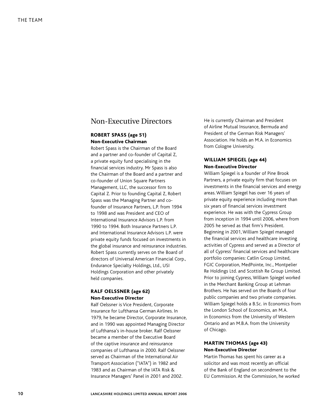#### Non-Executive Directors

#### Robert Spass (age 51) Non-Executive Chairman

Robert Spass is the Chairman of the Board and a partner and co-founder of Capital Z, a private equity fund specialising in the financial services industry. Mr Spass is also the Chairman of the Board and a partner and co-founder of Union Square Partners Management, LLC, the successor firm to Capital Z. Prior to founding Capital Z, Robert Spass was the Managing Partner and cofounder of Insurance Partners, L.P. from 1994 to 1998 and was President and CEO of International Insurance Advisors L.P. from 1990 to 1994. Both Insurance Partners L.P. and International Insurance Advisors L.P. were private equity funds focused on investments in the global insurance and reinsurance industries. Robert Spass currently serves on the Board of directors of Universal American Financial Corp., Endurance Specialty Holdings, Ltd., USI Holdings Corporation and other privately held companies.

#### Ralf Oelssner (age 62) Non-Executive Director

Ralf Oelssner is Vice President, Corporate Insurance for Lufthansa German Airlines. In 1979, he became Director, Corporate Insurance, and in 1990 was appointed Managing Director of Lufthansa's in-house broker. Ralf Oelssner became a member of the Executive Board of the captive insurance and reinsurance companies of Lufthansa in 2000. Ralf Oelssner served as Chairman of the International Air Transport Association ("IATA") in 1982 and 1983 and as Chairman of the IATA Risk & Insurance Managers' Panel in 2001 and 2002.

He is currently Chairman and President of Airline Mutual Insurance, Bermuda and President of the German Risk Managers' Association. He holds an M.A. in Economics from Cologne University.

#### William Spiegel (age 44) Non-Executive Director

William Spiegel is a founder of Pine Brook Partners, a private equity firm that focuses on investments in the financial services and energy areas. William Spiegel has over 16 years of private equity experience including more than six years of financial services investment experience. He was with the Cypress Group from inception in 1994 until 2006, where from 2005 he served as that firm's President. Beginning in 2001, William Spiegel managed the financial services and healthcare investing activities of Cypress and served as a Director of all of Cypress' financial services and healthcare portfolio companies: Catlin Group Limited, FGIC Corporation, MedPointe, Inc., Montpelier Re Holdings Ltd. and Scottish Re Group Limited. Prior to joining Cypress, William Spiegel worked in the Merchant Banking Group at Lehman Brothers. He has served on the Boards of four public companies and two private companies. William Spiegel holds a B.Sc. in Economics from the London School of Economics, an M.A. in Economics from the University of Western Ontario and an M.B.A. from the University of Chicago.

#### Martin Thomas (age 43) Non-Executive Director

Martin Thomas has spent his career as a solicitor and was most recently an official of the Bank of England on secondment to the EU Commission. At the Commission, he worked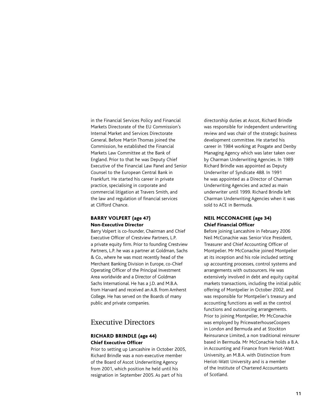in the Financial Services Policy and Financial Markets Directorate of the EU Commission's Internal Market and Services Directorate General. Before Martin Thomas joined the Commission, he established the Financial Markets Law Committee at the Bank of England. Prior to that he was Deputy Chief Executive of the Financial Law Panel and Senior Counsel to the European Central Bank in Frankfurt. He started his career in private practice, specialising in corporate and commercial litigation at Travers Smith, and the law and regulation of financial services at Clifford Chance.

#### Barry Volpert (age 47) Non-Executive Director

Barry Volpert is co-founder, Chairman and Chief Executive Officer of Crestview Partners, L.P. a private equity firm. Prior to founding Crestview Partners, L.P. he was a partner at Goldman, Sachs & Co., where he was most recently head of the Merchant Banking Division in Europe, co-Chief Operating Officer of the Principal Investment Area worldwide and a Director of Goldman Sachs International. He has a J.D. and M.B.A. from Harvard and received an A.B. from Amherst College. He has served on the Boards of many public and private companies.

#### Executive Directors

#### Richard Brindle (age 44) Chief Executive Officer

Prior to setting up Lancashire in October 2005, Richard Brindle was a non-executive member of the Board of Ascot Underwriting Agency from 2001, which position he held until his resignation in September 2005. As part of his

directorship duties at Ascot, Richard Brindle was responsible for independent underwriting review and was chair of the strategic business development committee. He started his career in 1984 working at Posgate and Denby Managing Agency which was later taken over by Charman Underwriting Agencies. In 1989 Richard Brindle was appointed as Deputy Underwriter of Syndicate 488. In 1991 he was appointed as a Director of Charman Underwriting Agencies and acted as main underwriter until 1999. Richard Brindle left Charman Underwriting Agencies when it was sold to ACE in Bermuda.

#### NEIL MCCONACHIE (age 34) Chief Financial Officer

Before joining Lancashire in February 2006 Neil McConachie was Senior Vice President, Treasurer and Chief Accounting Officer of Montpelier. Mr McConachie joined Montpelier at its inception and his role included setting up accounting processes, control systems and arrangements with outsourcers. He was extensively involved in debt and equity capital markets transactions, including the initial public offering of Montpelier in October 2002, and was responsible for Montpelier's treasury and accounting functions as well as the control functions and outsourcing arrangements. Prior to joining Montpelier, Mr McConachie was employed by PricewaterhouseCoopers in London and Bermuda and at Stockton Reinsurance Limited, a non traditional reinsurer based in Bermuda. Mr McConachie holds a B.A. in Accounting and Finance from Heriot-Watt University, an M.B.A. with Distinction from Heriot-Watt University and is a member of the Institute of Chartered Accountants of Scotland.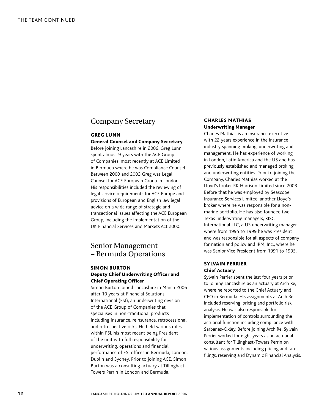#### Company Secretary

#### Greg Lunn General Counsel and Company Secretary

Before joining Lancashire in 2006, Greg Lunn spent almost 9 years with the ACE Group of Companies, most recently at ACE Limited in Bermuda where he was Compliance Counsel. Between 2000 and 2003 Greg was Legal Counsel for ACE European Group in London. His responsibilities included the reviewing of legal service requirements for ACE Europe and provisions of European and English law legal advice on a wide range of strategic and transactional issues affecting the ACE European Group, including the implementation of the UK Financial Services and Markets Act 2000.

#### Senior Management – Bermuda Operations

#### Simon Burton Deputy Chief Underwriting Officer and Chief Operating Officer

Simon Burton joined Lancashire in March 2006 after 10 years at Financial Solutions International (FSI), an underwriting division of the ACE Group of Companies that specialises in non-traditional products including insurance, reinsurance, retrocessional and retrospective risks. He held various roles within FSI, his most recent being President of the unit with full responsibility for underwriting, operations and financial performance of FSI offices in Bermuda, London, Dublin and Sydney. Prior to joining ACE, Simon Burton was a consulting actuary at Tillinghast-Towers Perrin in London and Bermuda.

#### Charles Mathias Underwriting Manager

Charles Mathias is an insurance executive with 22 years experience in the insurance industry spanning broking, underwriting and management. He has experience of working in London, Latin America and the US and has previously established and managed broking and underwriting entities. Prior to joining the Company, Charles Mathias worked at the Lloyd's broker RK Harrison Limited since 2003. Before that he was employed by Seascope Insurance Services Limited, another Lloyd's broker where he was responsible for a nonmarine portfolio. He has also founded two Texas underwriting managers; RISC International LLC, a US underwriting manager where from 1995 to 1999 he was President and was responsible for all aspects of company formation and policy and IRM, Inc., where he was Senior Vice President from 1991 to 1995.

#### Sylvain Perrier Chief Actuary

Sylvain Perrier spent the last four years prior to joining Lancashire as an actuary at Arch Re, where he reported to the Chief Actuary and CEO in Bermuda. His assignments at Arch Re included reserving, pricing and portfolio risk analysis. He was also responsible for implementation of controls surrounding the actuarial function including compliance with Sarbanes-Oxley. Before joining Arch Re, Sylvain Perrier worked for eight years as an actuarial consultant for Tillinghast-Towers Perrin on various assignments including pricing and rate filings, reserving and Dynamic Financial Analysis.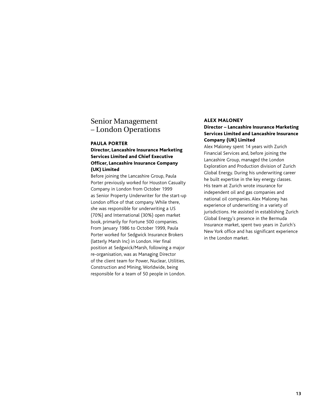#### Senior Management – London Operations

#### Paula Porter

#### Director, Lancashire Insurance Marketing Services Limited and Chief Executive Officer, Lancashire Insurance Company (UK) Limited

Before joining the Lancashire Group, Paula Porter previously worked for Houston Casualty Company in London from October 1999 as Senior Property Underwriter for the start-up London office of that company. While there, she was responsible for underwriting a US (70%) and International (30%) open market book, primarily for Fortune 500 companies. From January 1986 to October 1999, Paula Porter worked for Sedgwick Insurance Brokers (latterly Marsh Inc) in London. Her final position at Sedgwick/Marsh, following a major re-organisation, was as Managing Director of the client team for Power, Nuclear, Utilities, Construction and Mining, Worldwide, being responsible for a team of 50 people in London.

#### Alex Maloney

#### Director – Lancashire Insurance Marketing Services Limited and Lancashire Insurance Company (UK) Limited

Alex Maloney spent 14 years with Zurich Financial Services and, before joining the Lancashire Group, managed the London Exploration and Production division of Zurich Global Energy. During his underwriting career he built expertise in the key energy classes. His team at Zurich wrote insurance for independent oil and gas companies and national oil companies. Alex Maloney has experience of underwriting in a variety of jurisdictions. He assisted in establishing Zurich Global Energy's presence in the Bermuda Insurance market, spent two years in Zurich's New York office and has significant experience in the London market.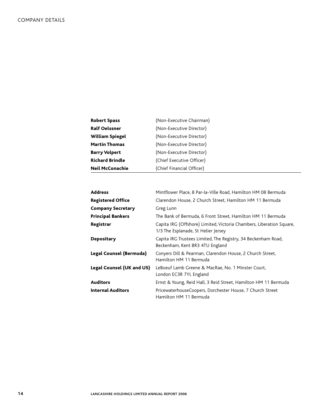| <b>Robert Spass</b>    | (Non-Executive Chairman)  |
|------------------------|---------------------------|
| <b>Ralf Oelssner</b>   | (Non-Executive Director)  |
| <b>William Spiegel</b> | (Non-Executive Director)  |
| <b>Martin Thomas</b>   | (Non-Executive Director)  |
| <b>Barry Volpert</b>   | (Non-Executive Director)  |
| <b>Richard Brindle</b> | (Chief Executive Officer) |
| <b>Neil McConachie</b> | (Chief Financial Officer) |

| <b>Address</b>                   | Mintflower Place, 8 Par-la-Ville Road, Hamilton HM 08 Bermuda                                               |
|----------------------------------|-------------------------------------------------------------------------------------------------------------|
| <b>Registered Office</b>         | Clarendon House, 2 Church Street, Hamilton HM 11 Bermuda                                                    |
| <b>Company Secretary</b>         | Greg Lunn                                                                                                   |
| <b>Principal Bankers</b>         | The Bank of Bermuda, 6 Front Street, Hamilton HM 11 Bermuda                                                 |
| Registrar                        | Capita IRG (Offshore) Limited, Victoria Chambers, Liberation Square,<br>1/3 The Esplanade, St Helier Jersey |
| <b>Depositary</b>                | Capita IRG Trustees Limited, The Registry, 34 Beckenham Road,<br>Beckenham, Kent BR3 4TU England            |
| <b>Legal Counsel (Bermuda)</b>   | Conyers Dill & Pearman, Clarendon House, 2 Church Street,<br>Hamilton HM 11 Bermuda                         |
| <b>Legal Counsel (UK and US)</b> | LeBoeuf Lamb Greene & MacRae, No. 1 Minster Court,<br>London EC3R 7YL England                               |
| <b>Auditors</b>                  | Ernst & Young, Reid Hall, 3 Reid Street, Hamilton HM 11 Bermuda                                             |
| <b>Internal Auditors</b>         | PricewaterhouseCoopers, Dorchester House, 7 Church Street<br>Hamilton HM 11 Bermuda                         |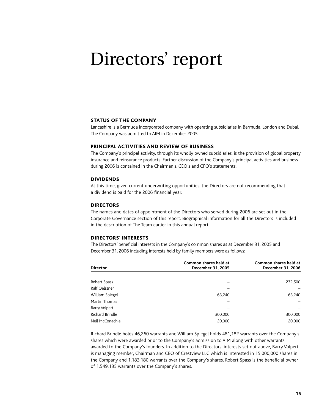### Directors' report

#### STATUS OF THE COMPANY

Lancashire is a Bermuda incorporated company with operating subsidiaries in Bermuda, London and Dubai. The Company was admitted to AIM in December 2005.

#### Principal activities and review of business

The Company's principal activity, through its wholly owned subsidiaries, is the provision of global property insurance and reinsurance products. Further discussion of the Company's principal activities and business during 2006 is contained in the Chairman's, CEO's and CFO's statements.

#### **DIVIDENDS**

At this time, given current underwriting opportunities, the Directors are not recommending that a dividend is paid for the 2006 financial year.

#### **DIRECTORS**

The names and dates of appointment of the Directors who served during 2006 are set out in the Corporate Governance section of this report. Biographical information for all the Directors is included in the description of The Team earlier in this annual report.

#### Directors' Interests

The Directors' beneficial interests in the Company's common shares as at December 31, 2005 and December 31, 2006 including interests held by family members were as follows:

| <b>Director</b>        | Common shares held at<br>December 31, 2005 | Common shares held at<br>December 31, 2006 |
|------------------------|--------------------------------------------|--------------------------------------------|
|                        |                                            |                                            |
| Robert Spass           |                                            | 272,500                                    |
| Ralf Oelssner          |                                            |                                            |
| William Spiegel        | 63.240                                     | 63,240                                     |
| Martin Thomas          |                                            |                                            |
| <b>Barry Volpert</b>   |                                            |                                            |
| <b>Richard Brindle</b> | 300,000                                    | 300,000                                    |
| Neil McConachie        | 20,000                                     | 20,000                                     |

Richard Brindle holds 46,260 warrants and William Spiegel holds 481,182 warrants over the Company's shares which were awarded prior to the Company's admission to AIM along with other warrants awarded to the Company's founders. In addition to the Directors' interests set out above, Barry Volpert is managing member, Chairman and CEO of Crestview LLC which is interested in 15,000,000 shares in the Company and 1,183,180 warrants over the Company's shares. Robert Spass is the beneficial owner of 1,549,135 warrants over the Company's shares.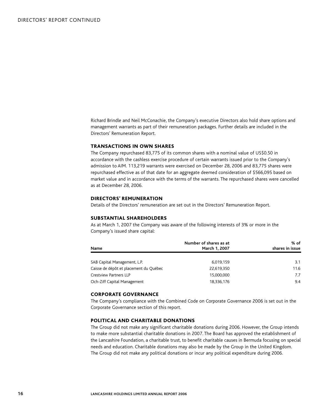Richard Brindle and Neil McConachie, the Company's executive Directors also hold share options and management warrants as part of their remuneration packages. Further details are included in the Directors' Remuneration Report.

#### Transactions in own shares

The Company repurchased 83,775 of its common shares with a nominal value of US\$0.50 in accordance with the cashless exercise procedure of certain warrants issued prior to the Company's admission to AIM. 113,219 warrants were exercised on December 28, 2006 and 83,775 shares were repurchased effective as of that date for an aggregate deemed consideration of \$566,095 based on market value and in accordance with the terms of the warrants. The repurchased shares were cancelled as at December 28, 2006.

#### Directors' remuneration

Details of the Directors' remuneration are set out in the Directors' Remuneration Report.

#### Substantial shareholders

As at March 1, 2007 the Company was aware of the following interests of 3% or more in the Company's issued share capital:

| <b>Name</b>                            | Number of shares as at<br>March 1, 2007 | % of<br>shares in issue |
|----------------------------------------|-----------------------------------------|-------------------------|
| SAB Capital Management, L.P.           | 6,019,159                               | 3.1                     |
| Caisse de dépôt et placement du Québec | 22,619,350                              | 11.6                    |
| <b>Crestview Partners LLP</b>          | 15,000,000                              | 7.7                     |
| Och-Ziff Capital Management            | 18,336,176                              | 9.4                     |

#### Corporate governance

The Company's compliance with the Combined Code on Corporate Governance 2006 is set out in the Corporate Governance section of this report.

#### Political and charitable donations

The Group did not make any significant charitable donations during 2006. However, the Group intends to make more substantial charitable donations in 2007. The Board has approved the establishment of the Lancashire Foundation, a charitable trust, to benefit charitable causes in Bermuda focusing on special needs and education. Charitable donations may also be made by the Group in the United Kingdom. The Group did not make any political donations or incur any political expenditure during 2006.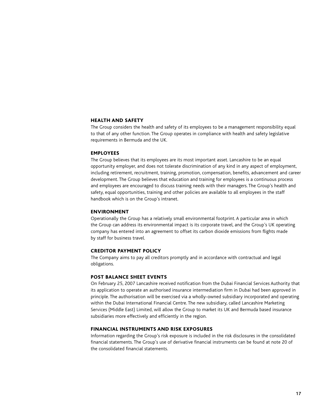#### Health and safety

The Group considers the health and safety of its employees to be a management responsibility equal to that of any other function. The Group operates in compliance with health and safety legislative requirements in Bermuda and the UK.

#### **EMPLOYEES**

The Group believes that its employees are its most important asset. Lancashire to be an equal opportunity employer, and does not tolerate discrimination of any kind in any aspect of employment, including retirement, recruitment, training, promotion, compensation, benefits, advancement and career development. The Group believes that education and training for employees is a continuous process and employees are encouraged to discuss training needs with their managers. The Group's health and safety, equal opportunities, training and other policies are available to all employees in the staff handbook which is on the Group's intranet.

#### Environment

Operationally the Group has a relatively small environmental footprint. A particular area in which the Group can address its environmental impact is its corporate travel, and the Group's UK operating company has entered into an agreement to offset its carbon dioxide emissions from flights made by staff for business travel.

#### Creditor payment policy

The Company aims to pay all creditors promptly and in accordance with contractual and legal obligations.

#### Post balance sheet events

On February 25, 2007 Lancashire received notification from the Dubai Financial Services Authority that its application to operate an authorised insurance intermediation firm in Dubai had been approved in principle. The authorisation will be exercised via a wholly-owned subsidiary incorporated and operating within the Dubai International Financial Centre. The new subsidiary, called Lancashire Marketing Services (Middle East) Limited, will allow the Group to market its UK and Bermuda based insurance subsidiaries more effectively and efficiently in the region.

#### Financial instruments and risk exposures

Information regarding the Group's risk exposure is included in the risk disclosures in the consolidated financial statements. The Group's use of derivative financial instruments can be found at note 20 of the consolidated financial statements.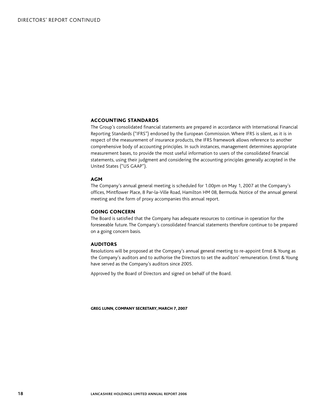#### Accounting standards

The Group's consolidated financial statements are prepared in accordance with International Financial Reporting Standards ("IFRS") endorsed by the European Commission. Where IFRS is silent, as it is in respect of the measurement of insurance products, the IFRS framework allows reference to another comprehensive body of accounting principles. In such instances, management determines appropriate measurement bases, to provide the most useful information to users of the consolidated financial statements, using their judgment and considering the accounting principles generally accepted in the United States ("US GAAP").

#### AGM

The Company's annual general meeting is scheduled for 1.00pm on May 1, 2007 at the Company's offices, Mintflower Place, 8 Par-la-Ville Road, Hamilton HM 08, Bermuda. Notice of the annual general meeting and the form of proxy accompanies this annual report.

#### Going concern

The Board is satisfied that the Company has adequate resources to continue in operation for the foreseeable future. The Company's consolidated financial statements therefore continue to be prepared on a going concern basis.

#### **AUDITORS**

Resolutions will be proposed at the Company's annual general meeting to re-appoint Ernst & Young as the Company's auditors and to authorise the Directors to set the auditors' remuneration. Ernst & Young have served as the Company's auditors since 2005.

Approved by the Board of Directors and signed on behalf of the Board.

greg lunn, company secretary, march 7, 2007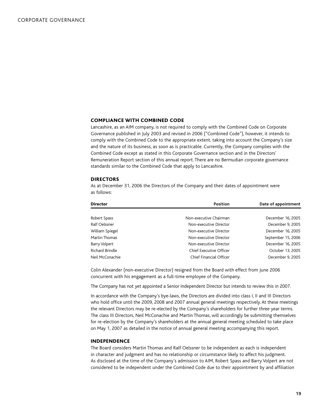#### Compliance with Combined Code

Lancashire, as an AIM company, is not required to comply with the Combined Code on Corporate Governance published in July 2003 and revised in 2006 ("Combined Code"), however, it intends to comply with the Combined Code to the appropriate extent, taking into account the Company's size and the nature of its business, as soon as is practicable. Currently, the Company complies with the Combined Code except as stated in this Corporate Governance section and in the Directors' Remuneration Report section of this annual report. There are no Bermudian corporate governance standards similar to the Combined Code that apply to Lancashire.

#### **DIRECTORS**

As at December 31, 2006 the Directors of the Company and their dates of appointment were as follows:

| <b>Director</b>        | Position                       | Date of appointment |
|------------------------|--------------------------------|---------------------|
|                        |                                |                     |
| Robert Spass           | Non-executive Chairman         | December 16, 2005   |
| Ralf Oelssner          | Non-executive Director         | December 9, 2005    |
| William Spiegel        | Non-executive Director         | December 16, 2005   |
| Martin Thomas          | Non-executive Director         | September 15, 2006  |
| Barry Volpert          | Non-executive Director         | December 16, 2005   |
| <b>Richard Brindle</b> | <b>Chief Executive Officer</b> | October 13, 2005    |
| Neil McConachie        | Chief Financial Officer        | December 9, 2005    |

Colin Alexander (non-executive Director) resigned from the Board with effect from June 2006 concurrent with his engagement as a full-time employee of the Company.

The Company has not yet appointed a Senior Independent Director but intends to review this in 2007.

In accordance with the Company's bye-laws, the Directors are divided into class I, II and III Directors who hold office until the 2009, 2008 and 2007 annual general meetings respectively. At these meetings the relevant Directors may be re-elected by the Company's shareholders for further three year terms. The class III Directors, Neil McConachie and Martin Thomas, will accordingly be submitting themselves for re-election by the Company's shareholders at the annual general meeting scheduled to take place on May 1, 2007 as detailed in the notice of annual general meeting accompanying this report.

#### Independence

The Board considers Martin Thomas and Ralf Oelssner to be independent as each is independent in character and judgment and has no relationship or circumstance likely to affect his judgment. As disclosed at the time of the Company's admission to AIM, Robert Spass and Barry Volpert are not considered to be independent under the Combined Code due to their appointment by and affiliation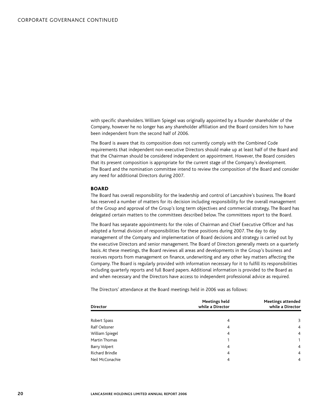with specific shareholders. William Spiegel was originally appointed by a founder shareholder of the Company, however he no longer has any shareholder affiliation and the Board considers him to have been independent from the second half of 2006.

The Board is aware that its composition does not currently comply with the Combined Code requirements that independent non-executive Directors should make up at least half of the Board and that the Chairman should be considered independent on appointment. However, the Board considers that its present composition is appropriate for the current stage of the Company's development. The Board and the nomination committee intend to review the composition of the Board and consider any need for additional Directors during 2007.

#### **BOARD**

The Board has overall responsibility for the leadership and control of Lancashire's business. The Board has reserved a number of matters for its decision including responsibility for the overall management of the Group and approval of the Group's long term objectives and commercial strategy. The Board has delegated certain matters to the committees described below. The committees report to the Board.

The Board has separate appointments for the roles of Chairman and Chief Executive Officer and has adopted a formal division of responsibilities for these positions during 2007. The day to day management of the Company and implementation of Board decisions and strategy is carried out by the executive Directors and senior management. The Board of Directors generally meets on a quarterly basis. At these meetings, the Board reviews all areas and developments in the Group's business and receives reports from management on finance, underwriting and any other key matters affecting the Company. The Board is regularly provided with information necessary for it to fulfill its responsibilities including quarterly reports and full Board papers. Additional information is provided to the Board as and when necessary and the Directors have access to independent professional advice as required.

The Directors' attendance at the Board meetings held in 2006 was as follows:

| <b>Director</b>        | Meetings held<br>while a Director | <b>Meetings attended</b><br>while a Director |
|------------------------|-----------------------------------|----------------------------------------------|
|                        |                                   |                                              |
| Robert Spass           | 4                                 | 3                                            |
| Ralf Oelssner          | 4                                 | $\overline{4}$                               |
| William Spiegel        | 4                                 | $\overline{4}$                               |
| Martin Thomas          |                                   | 1                                            |
| Barry Volpert          | 4                                 | $\overline{4}$                               |
| <b>Richard Brindle</b> | 4                                 | $\overline{4}$                               |
| Neil McConachie        | 4                                 | $\overline{4}$                               |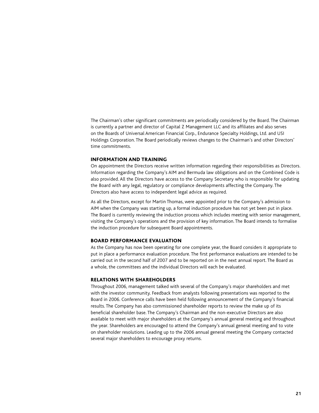The Chairman's other significant commitments are periodically considered by the Board. The Chairman is currently a partner and director of Capital Z Management LLC and its affiliates and also serves on the Boards of Universal American Financial Corp., Endurance Specialty Holdings, Ltd. and USI Holdings Corporation. The Board periodically reviews changes to the Chairman's and other Directors' time commitments.

#### Information and training

On appointment the Directors receive written information regarding their responsibilities as Directors. Information regarding the Company's AIM and Bermuda law obligations and on the Combined Code is also provided. All the Directors have access to the Company Secretary who is responsible for updating the Board with any legal, regulatory or compliance developments affecting the Company. The Directors also have access to independent legal advice as required.

As all the Directors, except for Martin Thomas, were appointed prior to the Company's admission to AIM when the Company was starting up, a formal induction procedure has not yet been put in place. The Board is currently reviewing the induction process which includes meeting with senior management, visiting the Company's operations and the provision of key information. The Board intends to formalise the induction procedure for subsequent Board appointments.

#### Board performance evaluation

As the Company has now been operating for one complete year, the Board considers it appropriate to put in place a performance evaluation procedure. The first performance evaluations are intended to be carried out in the second half of 2007 and to be reported on in the next annual report. The Board as a whole, the committees and the individual Directors will each be evaluated.

#### Relations with shareholders

Throughout 2006, management talked with several of the Company's major shareholders and met with the investor community. Feedback from analysts following presentations was reported to the Board in 2006. Conference calls have been held following announcement of the Company's financial results. The Company has also commissioned shareholder reports to review the make up of its beneficial shareholder base. The Company's Chairman and the non-executive Directors are also available to meet with major shareholders at the Company's annual general meeting and throughout the year. Shareholders are encouraged to attend the Company's annual general meeting and to vote on shareholder resolutions. Leading up to the 2006 annual general meeting the Company contacted several major shareholders to encourage proxy returns.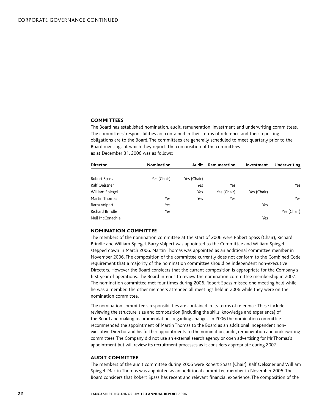#### **COMMITTEES**

The Board has established nomination, audit, remuneration, investment and underwriting committees. The committees' responsibilities are contained in their terms of reference and their reporting obligations are to the Board. The committees are generally scheduled to meet quarterly prior to the Board meetings at which they report. The composition of the committees as at December 31, 2006 was as follows:

| <b>Director</b>        | <b>Nomination</b> | Audit       | Remuneration | Investment  | Underwriting |
|------------------------|-------------------|-------------|--------------|-------------|--------------|
|                        |                   |             |              |             |              |
| Robert Spass           | Yes (Chair)       | Yes (Chair) |              |             |              |
| Ralf Oelssner          |                   | Yes         | Yes          |             | Yes          |
| William Spiegel        |                   | Yes         | Yes (Chair)  | Yes (Chair) |              |
| Martin Thomas          | Yes               | Yes         | Yes          |             | Yes          |
| Barry Volpert          | Yes               |             |              | Yes         |              |
| <b>Richard Brindle</b> | Yes               |             |              |             | Yes (Chair)  |
| Neil McConachie        |                   |             |              | Yes         |              |

#### Nomination committee

The members of the nomination committee at the start of 2006 were Robert Spass (Chair), Richard Brindle and William Spiegel. Barry Volpert was appointed to the Committee and William Spiegel stepped down in March 2006. Martin Thomas was appointed as an additional committee member in November 2006. The composition of the committee currently does not conform to the Combined Code requirement that a majority of the nomination committee should be independent non-executive Directors. However the Board considers that the current composition is appropriate for the Company's first year of operations. The Board intends to review the nomination committee membership in 2007. The nomination committee met four times during 2006. Robert Spass missed one meeting held while he was a member. The other members attended all meetings held in 2006 while they were on the nomination committee.

The nomination committee's responsibilities are contained in its terms of reference. These include reviewing the structure, size and composition (including the skills, knowledge and experience) of the Board and making recommendations regarding changes. In 2006 the nomination committee recommended the appointment of Martin Thomas to the Board as an additional independent nonexecutive Director and his further appointments to the nomination, audit, remuneration and underwriting committees. The Company did not use an external search agency or open advertising for Mr Thomas's appointment but will review its recruitment processes as it considers appropriate during 2007.

#### Audit committee

The members of the audit committee during 2006 were Robert Spass (Chair), Ralf Oelssner and William Spiegel. Martin Thomas was appointed as an additional committee member in November 2006. The Board considers that Robert Spass has recent and relevant financial experience. The composition of the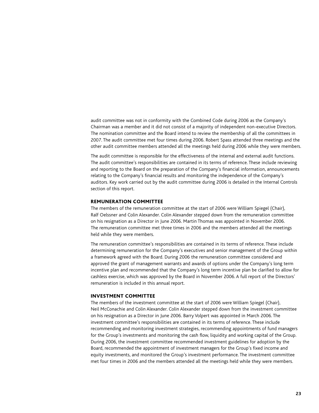audit committee was not in conformity with the Combined Code during 2006 as the Company's Chairman was a member and it did not consist of a majority of independent non-executive Directors. The nomination committee and the Board intend to review the membership of all the committees in 2007. The audit committee met four times during 2006. Robert Spass attended three meetings and the other audit committee members attended all the meetings held during 2006 while they were members.

The audit committee is responsible for the effectiveness of the internal and external audit functions. The audit committee's responsibilities are contained in its terms of reference. These include reviewing and reporting to the Board on the preparation of the Company's financial information, announcements relating to the Company's financial results and monitoring the independence of the Company's auditors. Key work carried out by the audit committee during 2006 is detailed in the Internal Controls section of this report.

#### Remuneration committee

The members of the remuneration committee at the start of 2006 were William Spiegel (Chair), Ralf Oelssner and Colin Alexander. Colin Alexander stepped down from the remuneration committee on his resignation as a Director in June 2006. Martin Thomas was appointed in November 2006. The remuneration committee met three times in 2006 and the members attended all the meetings held while they were members.

The remuneration committee's responsibilities are contained in its terms of reference. These include determining remuneration for the Company's executives and senior management of the Group within a framework agreed with the Board. During 2006 the remuneration committee considered and approved the grant of management warrants and awards of options under the Company's long term incentive plan and recommended that the Company's long term incentive plan be clarified to allow for cashless exercise, which was approved by the Board in November 2006. A full report of the Directors' remuneration is included in this annual report.

#### Investment committee

The members of the investment committee at the start of 2006 were William Spiegel (Chair), Neil McConachie and Colin Alexander. Colin Alexander stepped down from the investment committee on his resignation as a Director in June 2006. Barry Volpert was appointed in March 2006. The investment committee's responsibilities are contained in its terms of reference. These include recommending and monitoring investment strategies, recommending appointments of fund managers for the Group's investments and monitoring the cash flow, liquidity and working capital of the Group. During 2006, the investment committee recommended investment guidelines for adoption by the Board, recommended the appointment of investment managers for the Group's fixed income and equity investments, and monitored the Group's investment performance. The investment committee met four times in 2006 and the members attended all the meetings held while they were members.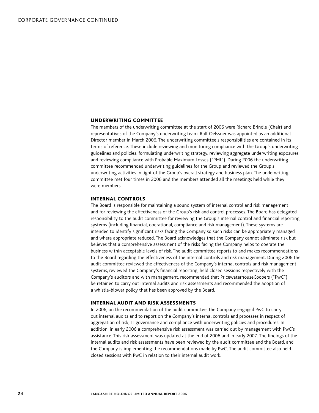#### Underwriting committee

The members of the underwriting committee at the start of 2006 were Richard Brindle (Chair) and representatives of the Company's underwriting team. Ralf Oelssner was appointed as an additional Director member in March 2006. The underwriting committee's responsibilities are contained in its terms of reference. These include reviewing and monitoring compliance with the Group's underwriting guidelines and policies, formulating underwriting strategy, reviewing aggregate underwriting exposures and reviewing compliance with Probable Maximum Losses ("PML"). During 2006 the underwriting committee recommended underwriting guidelines for the Group and reviewed the Group's underwriting activities in light of the Group's overall strategy and business plan. The underwriting committee met four times in 2006 and the members attended all the meetings held while they were members.

#### Internal controls

The Board is responsible for maintaining a sound system of internal control and risk management and for reviewing the effectiveness of the Group's risk and control processes. The Board has delegated responsibility to the audit committee for reviewing the Group's internal control and financial reporting systems (including financial, operational, compliance and risk management). These systems are intended to identify significant risks facing the Company so such risks can be appropriately managed and where appropriate reduced. The Board acknowledges that the Company cannot eliminate risk but believes that a comprehensive assessment of the risks facing the Company helps to operate the business within acceptable levels of risk. The audit committee reports to and makes recommendations to the Board regarding the effectiveness of the internal controls and risk management. During 2006 the audit committee reviewed the effectiveness of the Company's internal controls and risk management systems, reviewed the Company's financial reporting, held closed sessions respectively with the Company's auditors and with management, recommended that PricewaterhouseCoopers ("PwC") be retained to carry out internal audits and risk assessments and recommended the adoption of a whistle-blower policy that has been approved by the Board.

#### Internal audit and risk assessments

In 2006, on the recommendation of the audit committee, the Company engaged PwC to carry out internal audits and to report on the Company's internal controls and processes in respect of aggregation of risk, IT governance and compliance with underwriting policies and procedures. In addition, in early 2006 a comprehensive risk assessment was carried out by management with PwC's assistance. This risk assessment was updated at the end of 2006 and in early 2007. The findings of the internal audits and risk assessments have been reviewed by the audit committee and the Board, and the Company is implementing the recommendations made by PwC. The audit committee also held closed sessions with PwC in relation to their internal audit work.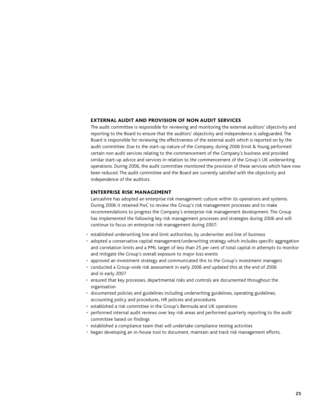#### External audit and provision of non audit services

The audit committee is responsible for reviewing and monitoring the external auditors' objectivity and reporting to the Board to ensure that the auditors' objectivity and independence is safeguarded. The Board is responsible for reviewing the effectiveness of the external audit which is reported on by the audit committee. Due to the start-up nature of the Company, during 2006 Ernst & Young performed certain non audit services relating to the commencement of the Company's business and provided similar start-up advice and services in relation to the commencement of the Group's UK underwriting operations. During 2006, the audit committee monitored the provision of these services which have now been reduced. The audit committee and the Board are currently satisfied with the objectivity and independence of the auditors.

#### Enterprise risk management

Lancashire has adopted an enterprise risk management culture within its operations and systems. During 2006 it retained PwC to review the Group's risk management processes and to make recommendations to progress the Company's enterprise risk management development. The Group has implemented the following key risk management processes and strategies during 2006 and will continue to focus on enterprise risk management during 2007:

- established underwriting line and limit authorities, by underwriter and line of business
- adopted a conservative capital management/underwriting strategy which includes specific aggregation and correlation limits and a PML target of less than 25 per cent of total capital in attempts to monitor and mitigate the Group's overall exposure to major loss events •
- approved an investment strategy and communicated this to the Group's investment managers
- conducted a Group-wide risk assessment in early 2006 and updated this at the end of 2006 and in early 2007
- ensured that key processes, departmental risks and controls are documented throughout the organisation
- documented policies and guidelines including underwriting guidelines, operating guidelines, accounting policy and procedures, HR policies and procedures
- established a risk committee in the Group's Bermuda and UK operations
- performed internal audit reviews over key risk areas and performed quarterly reporting to the audit committee based on findings
- established a compliance team that will undertake compliance testing activities
- began developing an in-house tool to document, maintain and track risk management efforts.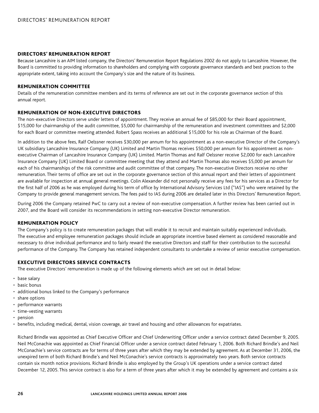#### Directors' remuneration report

Because Lancashire is an AIM listed company, the Directors' Remuneration Report Regulations 2002 do not apply to Lancashire. However, the Board is committed to providing information to shareholders and complying with corporate governance standards and best practices to the appropriate extent, taking into account the Company's size and the nature of its business.

#### Remuneration committee

Details of the remuneration committee members and its terms of reference are set out in the corporate governance section of this annual report.

#### Remuneration of non-executive Directors

The non-executive Directors serve under letters of appointment. They receive an annual fee of \$85,000 for their Board appointment, \$15,000 for chairmanship of the audit committee, \$5,000 for chairmanship of the remuneration and investment committees and \$2,000 for each Board or committee meeting attended. Robert Spass receives an additional \$15,000 for his role as Chairman of the Board.

In addition to the above fees, Ralf Oelssner receives \$30,000 per annum for his appointment as a non-executive Director of the Company's UK subsidiary Lancashire Insurance Company (UK) Limited and Martin Thomas receives \$50,000 per annum for his appointment as nonexecutive Chairman of Lancashire Insurance Company (UK) Limited. Martin Thomas and Ralf Oelssner receive \$2,000 for each Lancashire Insurance Company (UK) Limited Board or committee meeting that they attend and Martin Thomas also receives \$5,000 per annum for each of his chairmanships of the risk committee and audit committee of that company. The non-executive Directors receive no other remuneration. Their terms of office are set out in the corporate governance section of this annual report and their letters of appointment are available for inspection at annual general meetings. Colin Alexander did not personally receive any fees for his services as a Director for the first half of 2006 as he was employed during his term of office by International Advisory Services Ltd ("IAS") who were retained by the Company to provide general management services. The fees paid to IAS during 2006 are detailed later in this Directors' Remuneration Report.

During 2006 the Company retained PwC to carry out a review of non-executive compensation. A further review has been carried out in 2007, and the Board will consider its recommendations in setting non-executive Director remuneration.

#### Remuneration policy

The Company's policy is to create remuneration packages that will enable it to recruit and maintain suitably experienced individuals. The executive and employee remuneration packages should include an appropriate incentive based element as considered reasonable and necessary to drive individual performance and to fairly reward the executive Directors and staff for their contribution to the successful performance of the Company. The Company has retained independent consultants to undertake a review of senior executive compensation.

#### Executive Directors service contracts

The executive Directors' remuneration is made up of the following elements which are set out in detail below:

- base salary
- basic bonus
- additional bonus linked to the Company's performance
- share options
- performance warrants
- time-vesting warrants
- pension
- benefits, including medical, dental, vision coverage, air travel and housing and other allowances for expatriates.

Richard Brindle was appointed as Chief Executive Officer and Chief Underwriting Officer under a service contract dated December 9, 2005. Neil McConachie was appointed as Chief Financial Officer under a service contract dated February 1, 2006. Both Richard Brindle's and Neil McConachie's service contracts are for terms of three years after which they may be extended by agreement. As at December 31, 2006, the unexpired term of both Richard Brindle's and Neil McConachie's service contracts is approximately two years. Both service contracts contain six month notice provisions. Richard Brindle is also employed by the Group's UK operations under a service contract dated December 12, 2005. This service contract is also for a term of three years after which it may be extended by agreement and contains a six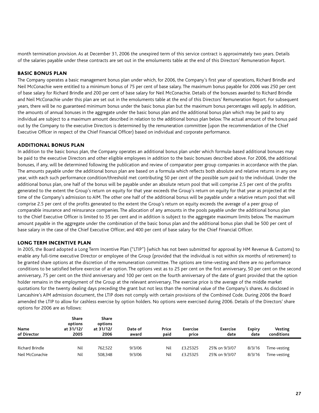month termination provision. As at December 31, 2006 the unexpired term of this service contract is approximately two years. Details of the salaries payable under these contracts are set out in the emoluments table at the end of this Directors' Remuneration Report.

#### Basic bonus plan

The Company operates a basic management bonus plan under which, for 2006, the Company's first year of operations, Richard Brindle and Neil McConachie were entitled to a minimum bonus of 75 per cent of base salary. The maximum bonus payable for 2006 was 250 per cent of base salary for Richard Brindle and 200 per cent of base salary for Neil McConachie. Details of the bonuses awarded to Richard Brindle and Neil McConachie under this plan are set out in the emoluments table at the end of this Directors' Remuneration Report. For subsequent years, there will be no guaranteed minimum bonus under the basic bonus plan but the maximum bonus percentages will apply. In addition, the amounts of annual bonuses in the aggregate under the basic bonus plan and the additional bonus plan which may be paid to any individual are subject to a maximum amount described in relation to the additional bonus plan below. The actual amount of the bonus paid out by the Company to the executive Directors is determined by the remuneration committee (upon the recommendation of the Chief Executive Officer in respect of the Chief Financial Officer) based on individual and corporate performance.

#### Additional bonus plaN

In addition to the basic bonus plan, the Company operates an additional bonus plan under which formula-based additional bonuses may be paid to the executive Directors and other eligible employees in addition to the basic bonuses described above. For 2006, the additional bonuses, if any, will be determined following the publication and review of comparator peer group companies in accordance with the plan. The amounts payable under the additional bonus plan are based on a formula which reflects both absolute and relative returns in any one year, with each such performance condition/threshold met contributing 50 per cent of the possible sum paid to the individual. Under the additional bonus plan, one half of the bonus will be payable under an absolute return pool that will comprise 2.5 per cent of the profits generated to the extent the Group's return on equity for that year exceeds the Group's return on equity for that year as projected at the time of the Company's admission to AIM. The other one half of the additional bonus will be payable under a relative return pool that will comprise 2.5 per cent of the profits generated to the extent the Group's return on equity exceeds the average of a peer group of comparable insurance and reinsurance companies. The allocation of any amounts in the pools payable under the additional bonus plan to the Chief Executive Officer is limited to 35 per cent and in addition is subject to the aggregate maximum limits below. The maximum amount payable in the aggregate under the combination of the basic bonus plan and the additional bonus plan shall be 500 per cent of base salary in the case of the Chief Executive Officer, and 400 per cent of base salary for the Chief Financial Officer.

#### Long term incentive plan

In 2005, the Board adopted a Long Term Incentive Plan ("LTIP") (which has not been submitted for approval by HM Revenue & Customs) to enable any full-time executive Director or employee of the Group (provided that the individual is not within six months of retirement) to be granted share options at the discretion of the remuneration committee. The options are time-vesting and there are no performance conditions to be satisfied before exercise of an option. The options vest as to 25 per cent on the first anniversary, 50 per cent on the second anniversary, 75 per cent on the third anniversary and 100 per cent on the fourth anniversary of the date of grant provided that the option holder remains in the employment of the Group at the relevant anniversary. The exercise price is the average of the middle market quotations for the twenty dealing days preceding the grant but not less than the nominal value of the Company's shares. As disclosed in Lancashire's AIM admission document, the LTIP does not comply with certain provisions of the Combined Code. During 2006 the Board amended the LTIP to allow for cashless exercise by option holders. No options were exercised during 2006. Details of the Directors' share options for 2006 are as follows:

| Name<br>of Director | Share<br>options<br>at 31/12/<br>2005 | Share<br>options<br>at 31/12/<br>2006 | Date of<br>award | Price<br>paid | <b>Exercise</b><br>price | <b>Exercise</b><br>date | <b>Expiry</b><br>date | Vesting<br>conditions |  |
|---------------------|---------------------------------------|---------------------------------------|------------------|---------------|--------------------------|-------------------------|-----------------------|-----------------------|--|
| Richard Brindle     | Nil                                   | 762.522                               | 9/3/06           | Nil           | £3.25325                 | 25% on 9/3/07           | 8/3/16                | Time-vesting          |  |
| Neil McConachie     | Nil                                   | 508.348                               | 9/3/06           | Nil           | £3.25325                 | 25% on 9/3/07           | 8/3/16                | Time-vesting          |  |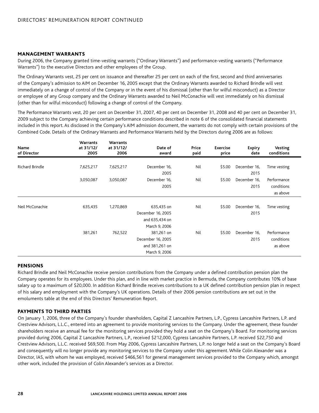#### Management warrants

During 2006, the Company granted time-vesting warrants ("Ordinary Warrants") and performance-vesting warrants ("Performance Warrants") to the executive Directors and other employees of the Group.

The Ordinary Warrants vest, 25 per cent on issuance and thereafter 25 per cent on each of the first, second and third anniversaries of the Company's admission to AIM on December 16, 2005 except that the Ordinary Warrants awarded to Richard Brindle will vest immediately on a change of control of the Company or in the event of his dismissal (other than for wilful misconduct) as a Director or employee of any Group company and the Ordinary Warrants awarded to Neil McConachie will vest immediately on his dismissal (other than for wilful misconduct) following a change of control of the Company.

The Performance Warrants vest, 20 per cent on December 31, 2007, 40 per cent on December 31, 2008 and 40 per cent on December 31, 2009 subject to the Company achieving certain performance conditions described in note 6 of the consolidated financial statements included in this report. As disclosed in the Company's AIM admission document, the warrants do not comply with certain provisions of the Combined Code. Details of the Ordinary Warrants and Performance Warrants held by the Directors during 2006 are as follows:

| Name<br>of Director | <b>Warrants</b><br>at 31/12/<br>2005 | Warrants<br>at 31/12/<br>2006 | Date of<br>award  | Price<br>paid | <b>Exercise</b><br>price | <b>Expiry</b><br>date | Vesting<br>conditions |  |
|---------------------|--------------------------------------|-------------------------------|-------------------|---------------|--------------------------|-----------------------|-----------------------|--|
| Richard Brindle     | 7,625,217                            | 7,625,217                     | December 16,      | Nil           | \$5.00                   | December 16,          | Time vesting          |  |
|                     |                                      |                               | 2005              |               |                          | 2015                  |                       |  |
|                     | 3,050,087                            | 3,050,087                     | December 16,      | Nil           | \$5.00                   | December 16,          | Performance           |  |
|                     |                                      |                               | 2005              |               |                          | 2015                  | conditions            |  |
|                     |                                      |                               |                   |               |                          |                       | as above              |  |
|                     |                                      |                               |                   |               |                          |                       |                       |  |
| Neil McConachie     | 635,435                              | 1,270,869                     | 635,435 on        | Nil           | \$5.00                   | December 16,          | Time vesting          |  |
|                     |                                      |                               | December 16, 2005 |               |                          | 2015                  |                       |  |
|                     |                                      |                               | and 635,434 on    |               |                          |                       |                       |  |
|                     |                                      |                               | March 9, 2006     |               |                          |                       |                       |  |
|                     | 381,261                              | 762,522                       | 381,261 on        | Nil           | \$5.00                   | December 16,          | Performance           |  |
|                     |                                      |                               | December 16, 2005 |               |                          | 2015                  | conditions            |  |
|                     |                                      |                               | and 381,261 on    |               |                          |                       | as above              |  |
|                     |                                      |                               | March 9, 2006     |               |                          |                       |                       |  |

#### **PENSIONS**

Richard Brindle and Neil McConachie receive pension contributions from the Company under a defined contribution pension plan the Company operates for its employees. Under this plan, and in line with market practice in Bermuda, the Company contributes 10% of base salary up to a maximum of \$20,000. In addition Richard Brindle receives contributions to a UK defined contribution pension plan in respect of his salary and employment with the Company's UK operations. Details of their 2006 pension contributions are set out in the emoluments table at the end of this Directors' Remuneration Report.

#### Payments to third parties

On January 1, 2006, three of the Company's founder shareholders, Capital Z Lancashire Partners, L.P., Cypress Lancashire Partners, L.P. and Crestview Advisors, L.L.C., entered into an agreement to provide monitoring services to the Company. Under the agreement, these founder shareholders receive an annual fee for the monitoring services provided they hold a seat on the Company's Board. For monitoring services provided during 2006, Capital Z Lancashire Partners, L.P., received \$212,000, Cypress Lancashire Partners, L.P. received \$22,750 and Crestview Advisors, L.L.C. received \$69,500. From May 2006, Cypress Lancashire Partners, L.P. no longer held a seat on the Company's Board and consequently will no longer provide any monitoring services to the Company under this agreement. While Colin Alexander was a Director, IAS, with whom he was employed, received \$466,561 for general management services provided to the Company which, amongst other work, included the provision of Colin Alexander's services as a Director.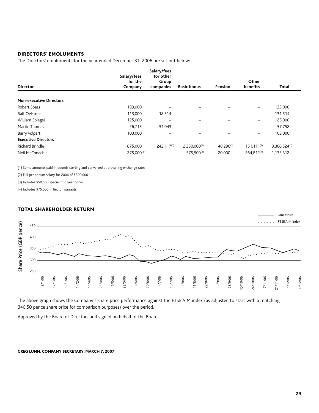#### Directors' emoluments

The Directors' emoluments for the year ended December 31, 2006 are set out below:

|                                | Salary/fees<br>for the | Salary/fees<br>for other |                          |                          | Other                    |                   |
|--------------------------------|------------------------|--------------------------|--------------------------|--------------------------|--------------------------|-------------------|
| <b>Director</b>                | Company                | Group<br>companies       | <b>Basic bonus</b>       | Pension                  | benefits                 | Total             |
| <b>Non-executive Directors</b> |                        |                          |                          |                          |                          |                   |
| Robert Spass                   | 133,000                |                          |                          |                          | $\overline{\phantom{m}}$ | 133,000           |
| Ralf Oelssner                  | 113,000                | 18,514                   | $\overline{\phantom{0}}$ |                          | $\overline{\phantom{m}}$ | 131,514           |
| William Spiegel                | 125,000                |                          |                          |                          | $\overline{\phantom{m}}$ | 125,000           |
| Martin Thomas                  | 26,715                 | 31,043                   | -                        | $\overline{\phantom{0}}$ | $\overline{\phantom{m}}$ | 57,758            |
| Barry Volpert                  | 103,000                |                          |                          |                          | $\qquad \qquad -$        | 103,000           |
| <b>Executive Directors</b>     |                        |                          |                          |                          |                          |                   |
| <b>Richard Brindle</b>         | 675,000                | 242,117 <sup>(1)</sup>   | $2,250,000^{(1)}$        | 48.296(1)                | $151, 111^{(1)}$         | $3,366,524^{(1)}$ |
| Neil McConachie                | $275,000^{(2)}$        | $\qquad \qquad -$        | 575,500(3)               | 20,000                   | 264.812(4)               | 1,135,312         |

(1) Some amounts paid in pounds sterling and converted at prevailing exchange rates

(2) Full per annum salary for 2006 of \$300,000

(3) Includes \$50,500 special mid year bonus

(4) Includes \$75,000 in lieu of warrants

#### Total shareholder return



The above graph shows the Company's share price performance against the FTSE AIM index (as adjusted to start with a matching 340.50 pence share price for comparison purposes) over the period.

Approved by the Board of Directors and signed on behalf of the Board.

#### greg lunn, company secretary, march 7, 2007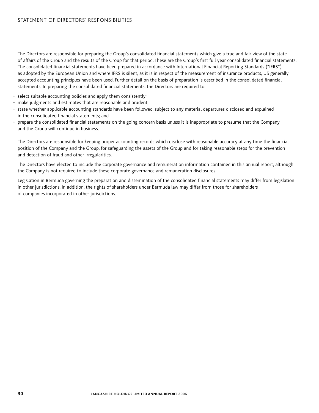The Directors are responsible for preparing the Group's consolidated financial statements which give a true and fair view of the state of affairs of the Group and the results of the Group for that period. These are the Group's first full year consolidated financial statements. The consolidated financial statements have been prepared in accordance with International Financial Reporting Standards ("IFRS") as adopted by the European Union and where IFRS is silent, as it is in respect of the measurement of insurance products, US generally accepted accounting principles have been used. Further detail on the basis of preparation is described in the consolidated financial statements. In preparing the consolidated financial statements, the Directors are required to:

- select suitable accounting policies and apply them consistently;
- make judgments and estimates that are reasonable and prudent;
- state whether applicable accounting standards have been followed, subject to any material departures disclosed and explained in the consolidated financial statements; and
- prepare the consolidated financial statements on the going concern basis unless it is inappropriate to presume that the Company and the Group will continue in business.

The Directors are responsible for keeping proper accounting records which disclose with reasonable accuracy at any time the financial position of the Company and the Group, for safeguarding the assets of the Group and for taking reasonable steps for the prevention and detection of fraud and other irregularities.

The Directors have elected to include the corporate governance and remuneration information contained in this annual report, although the Company is not required to include these corporate governance and remuneration disclosures.

Legislation in Bermuda governing the preparation and dissemination of the consolidated financial statements may differ from legislation in other jurisdictions. In addition, the rights of shareholders under Bermuda law may differ from those for shareholders of companies incorporated in other jurisdictions.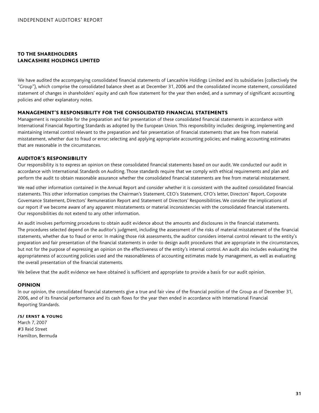#### To the Shareholders Lancashire Holdings Limited

We have audited the accompanying consolidated financial statements of Lancashire Holdings Limited and its subsidiaries (collectively the "Group"), which comprise the consolidated balance sheet as at December 31, 2006 and the consolidated income statement, consolidated statement of changes in shareholders' equity and cash flow statement for the year then ended, and a summary of significant accounting policies and other explanatory notes.

#### Management's Responsibility for the Consolidated Financial Statements

Management is responsible for the preparation and fair presentation of these consolidated financial statements in accordance with International Financial Reporting Standards as adopted by the European Union. This responsibility includes: designing, implementing and maintaining internal control relevant to the preparation and fair presentation of financial statements that are free from material misstatement, whether due to fraud or error; selecting and applying appropriate accounting policies; and making accounting estimates that are reasonable in the circumstances.

#### Auditor's Responsibility

Our responsibility is to express an opinion on these consolidated financial statements based on our audit. We conducted our audit in accordance with International Standards on Auditing. Those standards require that we comply with ethical requirements and plan and perform the audit to obtain reasonable assurance whether the consolidated financial statements are free from material misstatement.

We read other information contained in the Annual Report and consider whether it is consistent with the audited consolidated financial statements. This other information comprises the Chairman's Statement, CEO's Statement, CFO's letter, Directors' Report, Corporate Governance Statement, Directors' Remuneration Report and Statement of Directors' Responsibilities. We consider the implications of our report if we become aware of any apparent misstatements or material inconsistencies with the consolidated financial statements. Our responsibilities do not extend to any other information.

An audit involves performing procedures to obtain audit evidence about the amounts and disclosures in the financial statements. The procedures selected depend on the auditor's judgment, including the assessment of the risks of material misstatement of the financial statements, whether due to fraud or error. In making those risk assessments, the auditor considers internal control relevant to the entity's preparation and fair presentation of the financial statements in order to design audit procedures that are appropriate in the circumstances, but not for the purpose of expressing an opinion on the effectiveness of the entity's internal control. An audit also includes evaluating the appropriateness of accounting policies used and the reasonableness of accounting estimates made by management, as well as evaluating the overall presentation of the financial statements.

We believe that the audit evidence we have obtained is sufficient and appropriate to provide a basis for our audit opinion.

#### **OPINION**

In our opinion, the consolidated financial statements give a true and fair view of the financial position of the Group as of December 31, 2006, and of its financial performance and its cash flows for the year then ended in accordance with International Financial Reporting Standards.

#### /S/ ERNST & YOUNG

March 7, 2007 #3 Reid Street Hamilton, Bermuda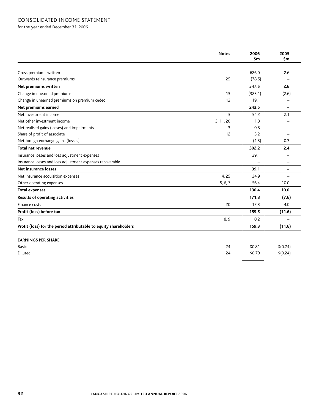for the year ended December 31, 2006

| <b>Notes</b>                                                     | 2006<br>\$m | 2005<br>\$m       |
|------------------------------------------------------------------|-------------|-------------------|
|                                                                  |             |                   |
| Gross premiums written                                           | 626.0       | 2.6               |
| Outwards reinsurance premiums<br>25                              | (78.5)      |                   |
| Net premiums written                                             | 547.5       | 2.6               |
| Change in unearned premiums<br>13                                | (323.1)     | (2.6)             |
| Change in unearned premiums on premium ceded<br>13               | 19.1        | $\qquad \qquad -$ |
| Net premiums earned                                              | 243.5       |                   |
| 3<br>Net investment income                                       | 54.2        | 2.1               |
| Net other investment income<br>3, 11, 20                         | 1.8         |                   |
| Net realised gains (losses) and impairments<br>3                 | 0.8         |                   |
| Share of profit of associate<br>12                               | 3.2         |                   |
| Net foreign exchange gains (losses)                              | (1.3)       | 0.3               |
| <b>Total net revenue</b>                                         | 302.2       | 2.4               |
| Insurance losses and loss adjustment expenses                    | 39.1        |                   |
| Insurance losses and loss adjustment expenses recoverable        |             |                   |
| Net insurance losses                                             | 39.1        | -                 |
| 4,25<br>Net insurance acquisition expenses                       | 34.9        |                   |
| 5, 6, 7<br>Other operating expenses                              | 56.4        | 10.0              |
| <b>Total expenses</b>                                            | 130.4       | 10.0              |
| Results of operating activities                                  | 171.8       | (7.6)             |
| 20<br>Finance costs                                              | 12.3        | 4.0               |
| Profit (loss) before tax                                         | 159.5       | (11.6)            |
| 8,9<br>Tax                                                       | 0.2         |                   |
| Profit (loss) for the period attributable to equity shareholders | 159.3       | (11.6)            |
| <b>EARNINGS PER SHARE</b>                                        |             |                   |
| 24<br>Basic                                                      | \$0.81      | \$(0.24)          |
| 24<br>Diluted                                                    | \$0.79      | \$(0.24)          |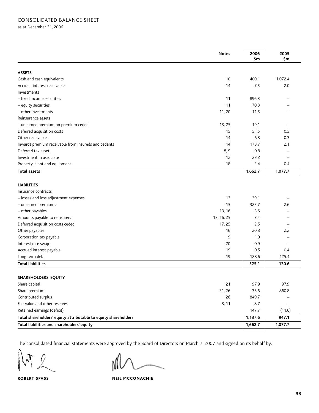as at December 31, 2006

|                                                                | <b>Notes</b> | 2006<br>\$m | 2005<br>\$m |
|----------------------------------------------------------------|--------------|-------------|-------------|
| <b>ASSETS</b>                                                  |              |             |             |
| Cash and cash equivalents                                      | 10           | 400.1       | 1,072.4     |
| Accrued interest receivable                                    | 14           | 7.5         | 2.0         |
| Investments                                                    |              |             |             |
| - fixed income securities                                      | 11           | 896.3       |             |
| - equity securities                                            | 11           | 70.3        |             |
| - other investments                                            | 11, 20       | 11.5        |             |
| Reinsurance assets                                             |              |             |             |
| - unearned premium on premium ceded                            | 13, 25       | 19.1        |             |
| Deferred acquisition costs                                     | 15           | 51.5        | 0.5         |
| Other receivables                                              | 14           | 6.3         | 0.3         |
| Inwards premium receivable from insureds and cedants           | 14           | 173.7       | 2.1         |
| Deferred tax asset                                             | 8,9          | 0.8         |             |
| Investment in associate                                        | 12           | 23.2        |             |
| Property, plant and equipment                                  | 18           | 2.4         | 0.4         |
| <b>Total assets</b>                                            |              | 1,662.7     | 1,077.7     |
| <b>LIABILITIES</b><br>Insurance contracts                      |              |             |             |
| - losses and loss adjustment expenses                          | 13           | 39.1        |             |
| - unearned premiums                                            | 13           | 325.7       | 2.6         |
| - other payables                                               | 13, 16       | 3.6         |             |
| Amounts payable to reinsurers                                  | 13, 16, 25   | 2.4         |             |
| Deferred acquisition costs ceded                               | 17, 25       | 2.5         |             |
| Other payables                                                 | 16           | 20.8        | 2.2         |
| Corporation tax payable                                        | 9            | 1.0         |             |
| Interest rate swap                                             | 20           | 0.9         |             |
| Accrued interest payable                                       | 19           | 0.5         | 0.4         |
| Long term debt                                                 | 19           | 128.6       | 125.4       |
| <b>Total liabilities</b>                                       |              | 525.1       | 130.6       |
| <b>SHAREHOLDERS' EQUITY</b>                                    |              |             |             |
| Share capital                                                  | 21           | 97.9        | 97.9        |
| Share premium                                                  | 21, 26       | 33.6        | 860.8       |
| Contributed surplus                                            | 26           | 849.7       |             |
| Fair value and other reserves                                  | 3, 11        | 8.7         |             |
| Retained earnings (deficit)                                    |              | 147.7       | (11.6)      |
| Total shareholders' equity attributable to equity shareholders |              | 1,137.6     | 947.1       |
| Total liabilities and shareholders' equity                     |              | 1,662.7     | 1,077.7     |
|                                                                |              |             |             |

The consolidated financial statements were approved by the Board of Directors on March 7, 2007 and signed on its behalf by:

ROBERT SPASS NEIL MCCONACHIE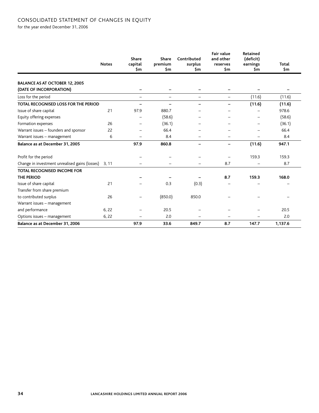#### consolidated statement of changes in equity

for the year ended December 31, 2006

|                                                | <b>Notes</b> | <b>Share</b><br>capital<br>\$m | <b>Share</b><br>premium<br>\$m | Contributed<br>surplus<br>\$m | <b>Fair value</b><br>and other<br>reserves<br>\$m | Retained<br>(deficit)<br>earnings<br>\$m | Total<br>\$m |
|------------------------------------------------|--------------|--------------------------------|--------------------------------|-------------------------------|---------------------------------------------------|------------------------------------------|--------------|
| <b>BALANCE AS AT OCTOBER 12, 2005</b>          |              |                                |                                |                               |                                                   |                                          |              |
| (DATE OF INCORPORATION)                        |              | -                              |                                |                               |                                                   |                                          |              |
| Loss for the period                            |              | $\overline{\phantom{0}}$       | $\overline{\phantom{0}}$       | $\overline{\phantom{0}}$      | $\overline{\phantom{0}}$                          | (11.6)                                   | (11.6)       |
| <b>TOTAL RECOGNISED LOSS FOR THE PERIOD</b>    |              |                                |                                |                               | $\qquad \qquad$                                   | (11.6)                                   | (11.6)       |
| Issue of share capital                         | 21           | 97.9                           | 880.7                          |                               |                                                   |                                          | 978.6        |
| Equity offering expenses                       |              | $\qquad \qquad$                | (58.6)                         |                               |                                                   | $\qquad \qquad -$                        | (58.6)       |
| Formation expenses                             | 26           |                                | (36.1)                         |                               |                                                   |                                          | (36.1)       |
| Warrant issues - founders and sponsor          | 22           |                                | 66.4                           |                               |                                                   |                                          | 66.4         |
| Warrant issues - management                    | 6            | $\overline{\phantom{0}}$       | 8.4                            |                               |                                                   | $\equiv$                                 | 8.4          |
| Balance as at December 31, 2005                |              | 97.9                           | 860.8                          |                               |                                                   | (11.6)                                   | 947.1        |
| Profit for the period                          |              |                                |                                |                               |                                                   | 159.3                                    | 159.3        |
| Change in investment unrealised gains (losses) | 3, 11        |                                |                                |                               | 8.7                                               |                                          | 8.7          |
| <b>TOTAL RECOGNISED INCOME FOR</b>             |              |                                |                                |                               |                                                   |                                          |              |
| <b>THE PERIOD</b>                              |              |                                |                                |                               | 8.7                                               | 159.3                                    | 168.0        |
| Issue of share capital                         | 21           |                                | 0.3                            | (0.3)                         |                                                   |                                          |              |
| Transfer from share premium                    |              |                                |                                |                               |                                                   |                                          |              |
| to contributed surplus                         | 26           |                                | (850.0)                        | 850.0                         |                                                   |                                          |              |
| Warrant issues - management                    |              |                                |                                |                               |                                                   |                                          |              |
| and performance                                | 6, 22        |                                | 20.5                           |                               |                                                   |                                          | 20.5         |
| Options issues - management                    | 6, 22        |                                | 2.0                            |                               |                                                   |                                          | 2.0          |
| Balance as at December 31, 2006                |              | 97.9                           | 33.6                           | 849.7                         | 8.7                                               | 147.7                                    | 1,137.6      |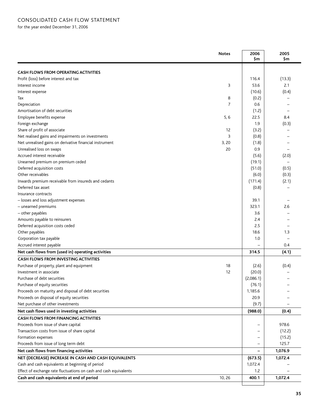| <b>CASH FLOWS FROM OPERATING ACTIVITIES</b><br>Profit (loss) before interest and tax<br>116.4<br>(13.3)<br>53.6<br>3<br>2.1<br>Interest income<br>(0.4)<br>(10.6)<br>Interest expense<br>8<br>(0.2)<br>Tax<br>Depreciation<br>7<br>0.6<br>Amortisation of debt securities<br>(1.2)<br>Employee benefits expense<br>5, 6<br>22.5<br>8.4<br>Foreign exchange<br>1.9<br>(0.3)<br>Share of profit of associate<br>12<br>(3.2)<br>Net realised gains and impairments on investments<br>3<br>(0.8)<br>Net unrealised gains on derivative financial instrument<br>3,20<br>(1.8)<br>Unrealised loss on swaps<br>20<br>0.9<br>Accrued interest receivable<br>(5.6)<br>(2.0)<br>Unearned premium on premium ceded<br>(19.1)<br>(0.5)<br>Deferred acquisition costs<br>(51.0)<br>Other receivables<br>(0.3)<br>(6.0)<br>(171.4)<br>(2.1)<br>Inwards premium receivable from insureds and cedants<br>Deferred tax asset<br>(0.8)<br>Insurance contracts<br>- losses and loss adjustment expenses<br>39.1<br>2.6<br>- unearned premiums<br>323.1<br>- other payables<br>3.6<br>Amounts payable to reinsurers<br>2.4<br>Deferred acquisition costs ceded<br>2.5<br>Other payables<br>18.6<br>1.3<br>Corporation tax payable<br>1.0<br>Accrued interest payable<br>0.4<br>314.5<br>(4.1)<br>18<br>(2.6)<br>(0.4)<br>12<br>(20.0)<br>(2,086.1)<br>(76.1)<br>1,185.6<br>20.9<br>(9.7)<br>(988.0)<br>(0.4)<br>978.6<br>Proceeds from issue of share capital<br>Transaction costs from issue of share capital<br>(12.2)<br>Formation expenses<br>(15.2)<br>Proceeds from issue of long term debt<br>125.7<br>Net cash flows from financing activities<br>1,076.9<br>NET (DECREASE) INCREASE IN CASH AND CASH EQUIVALENTS<br>1,072.4<br>(673.5)<br>Cash and cash equivalents at beginning of period<br>1,072.4<br>Effect of exchange rate fluctuations on cash and cash equivalents<br>1.2<br>Cash and cash equivalents at end of period<br>10, 26<br>400.1<br>1,072.4 |                                                      | <b>Notes</b> | 2006 | 2005 |
|----------------------------------------------------------------------------------------------------------------------------------------------------------------------------------------------------------------------------------------------------------------------------------------------------------------------------------------------------------------------------------------------------------------------------------------------------------------------------------------------------------------------------------------------------------------------------------------------------------------------------------------------------------------------------------------------------------------------------------------------------------------------------------------------------------------------------------------------------------------------------------------------------------------------------------------------------------------------------------------------------------------------------------------------------------------------------------------------------------------------------------------------------------------------------------------------------------------------------------------------------------------------------------------------------------------------------------------------------------------------------------------------------------------------------------------------------------------------------------------------------------------------------------------------------------------------------------------------------------------------------------------------------------------------------------------------------------------------------------------------------------------------------------------------------------------------------------------------------------------------------------------------------------------------------------------------------|------------------------------------------------------|--------------|------|------|
|                                                                                                                                                                                                                                                                                                                                                                                                                                                                                                                                                                                                                                                                                                                                                                                                                                                                                                                                                                                                                                                                                                                                                                                                                                                                                                                                                                                                                                                                                                                                                                                                                                                                                                                                                                                                                                                                                                                                                    |                                                      |              | \$m  | \$m  |
|                                                                                                                                                                                                                                                                                                                                                                                                                                                                                                                                                                                                                                                                                                                                                                                                                                                                                                                                                                                                                                                                                                                                                                                                                                                                                                                                                                                                                                                                                                                                                                                                                                                                                                                                                                                                                                                                                                                                                    |                                                      |              |      |      |
|                                                                                                                                                                                                                                                                                                                                                                                                                                                                                                                                                                                                                                                                                                                                                                                                                                                                                                                                                                                                                                                                                                                                                                                                                                                                                                                                                                                                                                                                                                                                                                                                                                                                                                                                                                                                                                                                                                                                                    |                                                      |              |      |      |
|                                                                                                                                                                                                                                                                                                                                                                                                                                                                                                                                                                                                                                                                                                                                                                                                                                                                                                                                                                                                                                                                                                                                                                                                                                                                                                                                                                                                                                                                                                                                                                                                                                                                                                                                                                                                                                                                                                                                                    |                                                      |              |      |      |
|                                                                                                                                                                                                                                                                                                                                                                                                                                                                                                                                                                                                                                                                                                                                                                                                                                                                                                                                                                                                                                                                                                                                                                                                                                                                                                                                                                                                                                                                                                                                                                                                                                                                                                                                                                                                                                                                                                                                                    |                                                      |              |      |      |
|                                                                                                                                                                                                                                                                                                                                                                                                                                                                                                                                                                                                                                                                                                                                                                                                                                                                                                                                                                                                                                                                                                                                                                                                                                                                                                                                                                                                                                                                                                                                                                                                                                                                                                                                                                                                                                                                                                                                                    |                                                      |              |      |      |
|                                                                                                                                                                                                                                                                                                                                                                                                                                                                                                                                                                                                                                                                                                                                                                                                                                                                                                                                                                                                                                                                                                                                                                                                                                                                                                                                                                                                                                                                                                                                                                                                                                                                                                                                                                                                                                                                                                                                                    |                                                      |              |      |      |
|                                                                                                                                                                                                                                                                                                                                                                                                                                                                                                                                                                                                                                                                                                                                                                                                                                                                                                                                                                                                                                                                                                                                                                                                                                                                                                                                                                                                                                                                                                                                                                                                                                                                                                                                                                                                                                                                                                                                                    |                                                      |              |      |      |
|                                                                                                                                                                                                                                                                                                                                                                                                                                                                                                                                                                                                                                                                                                                                                                                                                                                                                                                                                                                                                                                                                                                                                                                                                                                                                                                                                                                                                                                                                                                                                                                                                                                                                                                                                                                                                                                                                                                                                    |                                                      |              |      |      |
|                                                                                                                                                                                                                                                                                                                                                                                                                                                                                                                                                                                                                                                                                                                                                                                                                                                                                                                                                                                                                                                                                                                                                                                                                                                                                                                                                                                                                                                                                                                                                                                                                                                                                                                                                                                                                                                                                                                                                    |                                                      |              |      |      |
|                                                                                                                                                                                                                                                                                                                                                                                                                                                                                                                                                                                                                                                                                                                                                                                                                                                                                                                                                                                                                                                                                                                                                                                                                                                                                                                                                                                                                                                                                                                                                                                                                                                                                                                                                                                                                                                                                                                                                    |                                                      |              |      |      |
|                                                                                                                                                                                                                                                                                                                                                                                                                                                                                                                                                                                                                                                                                                                                                                                                                                                                                                                                                                                                                                                                                                                                                                                                                                                                                                                                                                                                                                                                                                                                                                                                                                                                                                                                                                                                                                                                                                                                                    |                                                      |              |      |      |
|                                                                                                                                                                                                                                                                                                                                                                                                                                                                                                                                                                                                                                                                                                                                                                                                                                                                                                                                                                                                                                                                                                                                                                                                                                                                                                                                                                                                                                                                                                                                                                                                                                                                                                                                                                                                                                                                                                                                                    |                                                      |              |      |      |
|                                                                                                                                                                                                                                                                                                                                                                                                                                                                                                                                                                                                                                                                                                                                                                                                                                                                                                                                                                                                                                                                                                                                                                                                                                                                                                                                                                                                                                                                                                                                                                                                                                                                                                                                                                                                                                                                                                                                                    |                                                      |              |      |      |
|                                                                                                                                                                                                                                                                                                                                                                                                                                                                                                                                                                                                                                                                                                                                                                                                                                                                                                                                                                                                                                                                                                                                                                                                                                                                                                                                                                                                                                                                                                                                                                                                                                                                                                                                                                                                                                                                                                                                                    |                                                      |              |      |      |
|                                                                                                                                                                                                                                                                                                                                                                                                                                                                                                                                                                                                                                                                                                                                                                                                                                                                                                                                                                                                                                                                                                                                                                                                                                                                                                                                                                                                                                                                                                                                                                                                                                                                                                                                                                                                                                                                                                                                                    |                                                      |              |      |      |
|                                                                                                                                                                                                                                                                                                                                                                                                                                                                                                                                                                                                                                                                                                                                                                                                                                                                                                                                                                                                                                                                                                                                                                                                                                                                                                                                                                                                                                                                                                                                                                                                                                                                                                                                                                                                                                                                                                                                                    |                                                      |              |      |      |
|                                                                                                                                                                                                                                                                                                                                                                                                                                                                                                                                                                                                                                                                                                                                                                                                                                                                                                                                                                                                                                                                                                                                                                                                                                                                                                                                                                                                                                                                                                                                                                                                                                                                                                                                                                                                                                                                                                                                                    |                                                      |              |      |      |
|                                                                                                                                                                                                                                                                                                                                                                                                                                                                                                                                                                                                                                                                                                                                                                                                                                                                                                                                                                                                                                                                                                                                                                                                                                                                                                                                                                                                                                                                                                                                                                                                                                                                                                                                                                                                                                                                                                                                                    |                                                      |              |      |      |
|                                                                                                                                                                                                                                                                                                                                                                                                                                                                                                                                                                                                                                                                                                                                                                                                                                                                                                                                                                                                                                                                                                                                                                                                                                                                                                                                                                                                                                                                                                                                                                                                                                                                                                                                                                                                                                                                                                                                                    |                                                      |              |      |      |
|                                                                                                                                                                                                                                                                                                                                                                                                                                                                                                                                                                                                                                                                                                                                                                                                                                                                                                                                                                                                                                                                                                                                                                                                                                                                                                                                                                                                                                                                                                                                                                                                                                                                                                                                                                                                                                                                                                                                                    |                                                      |              |      |      |
|                                                                                                                                                                                                                                                                                                                                                                                                                                                                                                                                                                                                                                                                                                                                                                                                                                                                                                                                                                                                                                                                                                                                                                                                                                                                                                                                                                                                                                                                                                                                                                                                                                                                                                                                                                                                                                                                                                                                                    |                                                      |              |      |      |
|                                                                                                                                                                                                                                                                                                                                                                                                                                                                                                                                                                                                                                                                                                                                                                                                                                                                                                                                                                                                                                                                                                                                                                                                                                                                                                                                                                                                                                                                                                                                                                                                                                                                                                                                                                                                                                                                                                                                                    |                                                      |              |      |      |
|                                                                                                                                                                                                                                                                                                                                                                                                                                                                                                                                                                                                                                                                                                                                                                                                                                                                                                                                                                                                                                                                                                                                                                                                                                                                                                                                                                                                                                                                                                                                                                                                                                                                                                                                                                                                                                                                                                                                                    |                                                      |              |      |      |
|                                                                                                                                                                                                                                                                                                                                                                                                                                                                                                                                                                                                                                                                                                                                                                                                                                                                                                                                                                                                                                                                                                                                                                                                                                                                                                                                                                                                                                                                                                                                                                                                                                                                                                                                                                                                                                                                                                                                                    |                                                      |              |      |      |
|                                                                                                                                                                                                                                                                                                                                                                                                                                                                                                                                                                                                                                                                                                                                                                                                                                                                                                                                                                                                                                                                                                                                                                                                                                                                                                                                                                                                                                                                                                                                                                                                                                                                                                                                                                                                                                                                                                                                                    |                                                      |              |      |      |
|                                                                                                                                                                                                                                                                                                                                                                                                                                                                                                                                                                                                                                                                                                                                                                                                                                                                                                                                                                                                                                                                                                                                                                                                                                                                                                                                                                                                                                                                                                                                                                                                                                                                                                                                                                                                                                                                                                                                                    |                                                      |              |      |      |
|                                                                                                                                                                                                                                                                                                                                                                                                                                                                                                                                                                                                                                                                                                                                                                                                                                                                                                                                                                                                                                                                                                                                                                                                                                                                                                                                                                                                                                                                                                                                                                                                                                                                                                                                                                                                                                                                                                                                                    |                                                      |              |      |      |
|                                                                                                                                                                                                                                                                                                                                                                                                                                                                                                                                                                                                                                                                                                                                                                                                                                                                                                                                                                                                                                                                                                                                                                                                                                                                                                                                                                                                                                                                                                                                                                                                                                                                                                                                                                                                                                                                                                                                                    |                                                      |              |      |      |
|                                                                                                                                                                                                                                                                                                                                                                                                                                                                                                                                                                                                                                                                                                                                                                                                                                                                                                                                                                                                                                                                                                                                                                                                                                                                                                                                                                                                                                                                                                                                                                                                                                                                                                                                                                                                                                                                                                                                                    |                                                      |              |      |      |
|                                                                                                                                                                                                                                                                                                                                                                                                                                                                                                                                                                                                                                                                                                                                                                                                                                                                                                                                                                                                                                                                                                                                                                                                                                                                                                                                                                                                                                                                                                                                                                                                                                                                                                                                                                                                                                                                                                                                                    | Net cash flows from (used in) operating activities   |              |      |      |
|                                                                                                                                                                                                                                                                                                                                                                                                                                                                                                                                                                                                                                                                                                                                                                                                                                                                                                                                                                                                                                                                                                                                                                                                                                                                                                                                                                                                                                                                                                                                                                                                                                                                                                                                                                                                                                                                                                                                                    | <b>CASH FLOWS FROM INVESTING ACTIVITIES</b>          |              |      |      |
|                                                                                                                                                                                                                                                                                                                                                                                                                                                                                                                                                                                                                                                                                                                                                                                                                                                                                                                                                                                                                                                                                                                                                                                                                                                                                                                                                                                                                                                                                                                                                                                                                                                                                                                                                                                                                                                                                                                                                    | Purchase of property, plant and equipment            |              |      |      |
|                                                                                                                                                                                                                                                                                                                                                                                                                                                                                                                                                                                                                                                                                                                                                                                                                                                                                                                                                                                                                                                                                                                                                                                                                                                                                                                                                                                                                                                                                                                                                                                                                                                                                                                                                                                                                                                                                                                                                    | Investment in associate                              |              |      |      |
|                                                                                                                                                                                                                                                                                                                                                                                                                                                                                                                                                                                                                                                                                                                                                                                                                                                                                                                                                                                                                                                                                                                                                                                                                                                                                                                                                                                                                                                                                                                                                                                                                                                                                                                                                                                                                                                                                                                                                    | Purchase of debt securities                          |              |      |      |
|                                                                                                                                                                                                                                                                                                                                                                                                                                                                                                                                                                                                                                                                                                                                                                                                                                                                                                                                                                                                                                                                                                                                                                                                                                                                                                                                                                                                                                                                                                                                                                                                                                                                                                                                                                                                                                                                                                                                                    | Purchase of equity securities                        |              |      |      |
|                                                                                                                                                                                                                                                                                                                                                                                                                                                                                                                                                                                                                                                                                                                                                                                                                                                                                                                                                                                                                                                                                                                                                                                                                                                                                                                                                                                                                                                                                                                                                                                                                                                                                                                                                                                                                                                                                                                                                    | Proceeds on maturity and disposal of debt securities |              |      |      |
|                                                                                                                                                                                                                                                                                                                                                                                                                                                                                                                                                                                                                                                                                                                                                                                                                                                                                                                                                                                                                                                                                                                                                                                                                                                                                                                                                                                                                                                                                                                                                                                                                                                                                                                                                                                                                                                                                                                                                    | Proceeds on disposal of equity securities            |              |      |      |
|                                                                                                                                                                                                                                                                                                                                                                                                                                                                                                                                                                                                                                                                                                                                                                                                                                                                                                                                                                                                                                                                                                                                                                                                                                                                                                                                                                                                                                                                                                                                                                                                                                                                                                                                                                                                                                                                                                                                                    | Net purchase of other investments                    |              |      |      |
|                                                                                                                                                                                                                                                                                                                                                                                                                                                                                                                                                                                                                                                                                                                                                                                                                                                                                                                                                                                                                                                                                                                                                                                                                                                                                                                                                                                                                                                                                                                                                                                                                                                                                                                                                                                                                                                                                                                                                    | Net cash flows used in investing activities          |              |      |      |
|                                                                                                                                                                                                                                                                                                                                                                                                                                                                                                                                                                                                                                                                                                                                                                                                                                                                                                                                                                                                                                                                                                                                                                                                                                                                                                                                                                                                                                                                                                                                                                                                                                                                                                                                                                                                                                                                                                                                                    | <b>CASH FLOWS FROM FINANCING ACTIVITIES</b>          |              |      |      |
|                                                                                                                                                                                                                                                                                                                                                                                                                                                                                                                                                                                                                                                                                                                                                                                                                                                                                                                                                                                                                                                                                                                                                                                                                                                                                                                                                                                                                                                                                                                                                                                                                                                                                                                                                                                                                                                                                                                                                    |                                                      |              |      |      |
|                                                                                                                                                                                                                                                                                                                                                                                                                                                                                                                                                                                                                                                                                                                                                                                                                                                                                                                                                                                                                                                                                                                                                                                                                                                                                                                                                                                                                                                                                                                                                                                                                                                                                                                                                                                                                                                                                                                                                    |                                                      |              |      |      |
|                                                                                                                                                                                                                                                                                                                                                                                                                                                                                                                                                                                                                                                                                                                                                                                                                                                                                                                                                                                                                                                                                                                                                                                                                                                                                                                                                                                                                                                                                                                                                                                                                                                                                                                                                                                                                                                                                                                                                    |                                                      |              |      |      |
|                                                                                                                                                                                                                                                                                                                                                                                                                                                                                                                                                                                                                                                                                                                                                                                                                                                                                                                                                                                                                                                                                                                                                                                                                                                                                                                                                                                                                                                                                                                                                                                                                                                                                                                                                                                                                                                                                                                                                    |                                                      |              |      |      |
|                                                                                                                                                                                                                                                                                                                                                                                                                                                                                                                                                                                                                                                                                                                                                                                                                                                                                                                                                                                                                                                                                                                                                                                                                                                                                                                                                                                                                                                                                                                                                                                                                                                                                                                                                                                                                                                                                                                                                    |                                                      |              |      |      |
|                                                                                                                                                                                                                                                                                                                                                                                                                                                                                                                                                                                                                                                                                                                                                                                                                                                                                                                                                                                                                                                                                                                                                                                                                                                                                                                                                                                                                                                                                                                                                                                                                                                                                                                                                                                                                                                                                                                                                    |                                                      |              |      |      |
|                                                                                                                                                                                                                                                                                                                                                                                                                                                                                                                                                                                                                                                                                                                                                                                                                                                                                                                                                                                                                                                                                                                                                                                                                                                                                                                                                                                                                                                                                                                                                                                                                                                                                                                                                                                                                                                                                                                                                    |                                                      |              |      |      |
|                                                                                                                                                                                                                                                                                                                                                                                                                                                                                                                                                                                                                                                                                                                                                                                                                                                                                                                                                                                                                                                                                                                                                                                                                                                                                                                                                                                                                                                                                                                                                                                                                                                                                                                                                                                                                                                                                                                                                    |                                                      |              |      |      |
|                                                                                                                                                                                                                                                                                                                                                                                                                                                                                                                                                                                                                                                                                                                                                                                                                                                                                                                                                                                                                                                                                                                                                                                                                                                                                                                                                                                                                                                                                                                                                                                                                                                                                                                                                                                                                                                                                                                                                    |                                                      |              |      |      |
|                                                                                                                                                                                                                                                                                                                                                                                                                                                                                                                                                                                                                                                                                                                                                                                                                                                                                                                                                                                                                                                                                                                                                                                                                                                                                                                                                                                                                                                                                                                                                                                                                                                                                                                                                                                                                                                                                                                                                    |                                                      |              |      |      |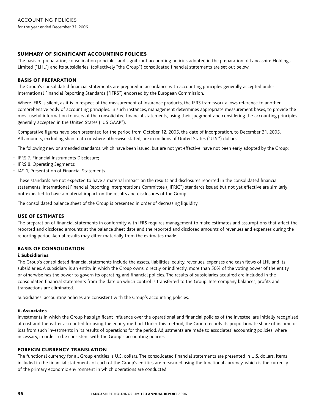### summary of significant accounting policies

The basis of preparation, consolidation principles and significant accounting policies adopted in the preparation of Lancashire Holdings Limited ("LHL") and its subsidiaries' (collectively "the Group") consolidated financial statements are set out below.

### basis of preparation

The Group's consolidated financial statements are prepared in accordance with accounting principles generally accepted under International Financial Reporting Standards ("IFRS") endorsed by the European Commission.

Where IFRS is silent, as it is in respect of the measurement of insurance products, the IFRS framework allows reference to another comprehensive body of accounting principles. In such instances, management determines appropriate measurement bases, to provide the most useful information to users of the consolidated financial statements, using their judgment and considering the accounting principles generally accepted in the United States ("US GAAP").

Comparative figures have been presented for the period from October 12, 2005, the date of incorporation, to December 31, 2005. All amounts, excluding share data or where otherwise stated, are in millions of United States ("U.S.") dollars.

The following new or amended standards, which have been issued, but are not yet effective, have not been early adopted by the Group:

- IFRS 7, Financial Instruments Disclosure;
- IFRS 8, Operating Segments;
- IAS 1, Presentation of Financial Statements.

These standards are not expected to have a material impact on the results and disclosures reported in the consolidated financial statements. International Financial Reporting Interpretations Committee ("IFRIC") standards issued but not yet effective are similarly not expected to have a material impact on the results and disclosures of the Group.

The consolidated balance sheet of the Group is presented in order of decreasing liquidity.

### use of estimates

The preparation of financial statements in conformity with IFRS requires management to make estimates and assumptions that affect the reported and disclosed amounts at the balance sheet date and the reported and disclosed amounts of revenues and expenses during the reporting period. Actual results may differ materially from the estimates made.

### basis of consolidation

#### i. Subsidiaries

The Group's consolidated financial statements include the assets, liabilities, equity, revenues, expenses and cash flows of LHL and its subsidiaries. A subsidiary is an entity in which the Group owns, directly or indirectly, more than 50% of the voting power of the entity or otherwise has the power to govern its operating and financial policies. The results of subsidiaries acquired are included in the consolidated financial statements from the date on which control is transferred to the Group. Intercompany balances, profits and transactions are eliminated.

Subsidiaries' accounting policies are consistent with the Group's accounting policies.

### ii. Associates

Investments in which the Group has significant influence over the operational and financial policies of the investee, are initially recognised at cost and thereafter accounted for using the equity method. Under this method, the Group records its proportionate share of income or loss from such investments in its results of operations for the period. Adjustments are made to associates' accounting policies, where necessary, in order to be consistent with the Group's accounting policies.

### foreign currency translation

The functional currency for all Group entities is U.S. dollars. The consolidated financial statements are presented in U.S. dollars. Items included in the financial statements of each of the Group's entities are measured using the functional currency, which is the currency of the primary economic environment in which operations are conducted.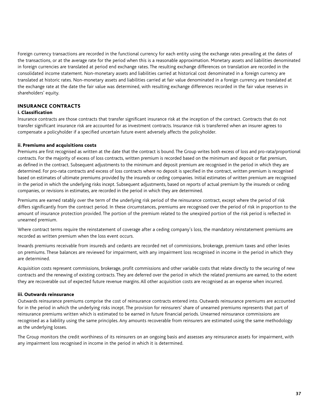Foreign currency transactions are recorded in the functional currency for each entity using the exchange rates prevailing at the dates of the transactions, or at the average rate for the period when this is a reasonable approximation. Monetary assets and liabilities denominated in foreign currencies are translated at period end exchange rates. The resulting exchange differences on translation are recorded in the consolidated income statement. Non-monetary assets and liabilities carried at historical cost denominated in a foreign currency are translated at historic rates. Non-monetary assets and liabilities carried at fair value denominated in a foreign currency are translated at the exchange rate at the date the fair value was determined, with resulting exchange differences recorded in the fair value reserves in shareholders' equity.

### insurance contracts

#### i. Classification

Insurance contracts are those contracts that transfer significant insurance risk at the inception of the contract. Contracts that do not transfer significant insurance risk are accounted for as investment contracts. Insurance risk is transferred when an insurer agrees to compensate a policyholder if a specified uncertain future event adversely affects the policyholder.

#### ii. Premiums and acquisitions costs

Premiums are first recognised as written at the date that the contract is bound. The Group writes both excess of loss and pro-rata/proportional contracts. For the majority of excess of loss contracts, written premium is recorded based on the minimum and deposit or flat premium, as defined in the contract. Subsequent adjustments to the minimum and deposit premium are recognised in the period in which they are determined. For pro-rata contracts and excess of loss contracts where no deposit is specified in the contract, written premium is recognised based on estimates of ultimate premiums provided by the insureds or ceding companies. Initial estimates of written premium are recognised in the period in which the underlying risks incept. Subsequent adjustments, based on reports of actual premium by the insureds or ceding companies, or revisions in estimates, are recorded in the period in which they are determined.

Premiums are earned ratably over the term of the underlying risk period of the reinsurance contract, except where the period of risk differs significantly from the contract period. In these circumstances, premiums are recognised over the period of risk in proportion to the amount of insurance protection provided. The portion of the premium related to the unexpired portion of the risk period is reflected in unearned premium.

Where contract terms require the reinstatement of coverage after a ceding company's loss, the mandatory reinstatement premiums are recorded as written premium when the loss event occurs.

Inwards premiums receivable from insureds and cedants are recorded net of commissions, brokerage, premium taxes and other levies on premiums. These balances are reviewed for impairment, with any impairment loss recognised in income in the period in which they are determined.

Acquisition costs represent commissions, brokerage, profit commissions and other variable costs that relate directly to the securing of new contracts and the renewing of existing contracts. They are deferred over the period in which the related premiums are earned, to the extent they are recoverable out of expected future revenue margins. All other acquisition costs are recognised as an expense when incurred.

#### iii. Outwards reinsurance

Outwards reinsurance premiums comprise the cost of reinsurance contracts entered into. Outwards reinsurance premiums are accounted for in the period in which the underlying risks incept. The provision for reinsurers' share of unearned premiums represents that part of reinsurance premiums written which is estimated to be earned in future financial periods. Unearned reinsurance commissions are recognised as a liability using the same principles. Any amounts recoverable from reinsurers are estimated using the same methodology as the underlying losses.

The Group monitors the credit worthiness of its reinsurers on an ongoing basis and assesses any reinsurance assets for impairment, with any impairment loss recognised in income in the period in which it is determined.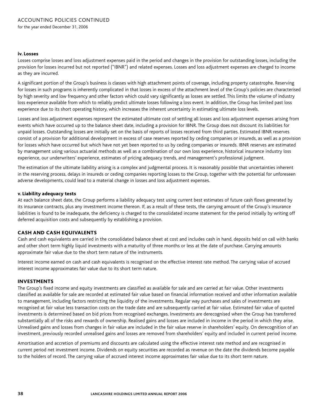#### iv. Losses

Losses comprise losses and loss adjustment expenses paid in the period and changes in the provision for outstanding losses, including the provision for losses incurred but not reported ("IBNR") and related expenses. Losses and loss adjustment expenses are charged to income as they are incurred.

A significant portion of the Group's business is classes with high attachment points of coverage, including property catastrophe. Reserving for losses in such programs is inherently complicated in that losses in excess of the attachment level of the Group's policies are characterised by high severity and low frequency and other factors which could vary significantly as losses are settled. This limits the volume of industry loss experience available from which to reliably predict ultimate losses following a loss event. In addition, the Group has limited past loss experience due to its short operating history, which increases the inherent uncertainty in estimating ultimate loss levels.

Losses and loss adjustment expenses represent the estimated ultimate cost of settling all losses and loss adjustment expenses arising from events which have occurred up to the balance sheet date, including a provision for IBNR. The Group does not discount its liabilities for unpaid losses. Outstanding losses are initially set on the basis of reports of losses received from third parties. Estimated IBNR reserves consist of a provision for additional development in excess of case reserves reported by ceding companies or insureds, as well as a provision for losses which have occurred but which have not yet been reported to us by ceding companies or insureds. IBNR reserves are estimated by management using various actuarial methods as well as a combination of our own loss experience, historical insurance industry loss experience, our underwriters' experience, estimates of pricing adequacy trends, and management's professional judgment.

The estimation of the ultimate liability arising is a complex and judgmental process. It is reasonably possible that uncertainties inherent in the reserving process, delays in insureds or ceding companies reporting losses to the Group, together with the potential for unforeseen adverse developments, could lead to a material change in losses and loss adjustment expenses.

#### v. Liability adequacy tests

At each balance sheet date, the Group performs a liability adequacy test using current best estimates of future cash flows generated by its insurance contracts, plus any investment income thereon. If, as a result of these tests, the carrying amount of the Group's insurance liabilities is found to be inadequate, the deficiency is charged to the consolidated income statement for the period initially by writing off deferred acquisition costs and subsequently by establishing a provision.

#### cash and cash equivalents

Cash and cash equivalents are carried in the consolidated balance sheet at cost and includes cash in hand, deposits held on call with banks and other short term highly liquid investments with a maturity of three months or less at the date of purchase. Carrying amounts approximate fair value due to the short term nature of the instruments.

Interest income earned on cash and cash equivalents is recognised on the effective interest rate method. The carrying value of accrued interest income approximates fair value due to its short term nature.

#### investments

The Group's fixed income and equity investments are classified as available for sale and are carried at fair value. Other investments classified as available for sale are recorded at estimated fair value based on financial information received and other information available to management, including factors restricting the liquidity of the investments. Regular way purchases and sales of investments are recognised at fair value less transaction costs on the trade date and are subsequently carried at fair value. Estimated fair value of quoted investments is determined based on bid prices from recognised exchanges. Investments are derecognised when the Group has transferred substantially all of the risks and rewards of ownership. Realised gains and losses are included in income in the period in which they arise. Unrealised gains and losses from changes in fair value are included in the fair value reserve in shareholders' equity. On derecognition of an investment, previously recorded unrealised gains and losses are removed from shareholders' equity and included in current period income.

Amortisation and accretion of premiums and discounts are calculated using the effective interest rate method and are recognised in current period net investment income. Dividends on equity securities are recorded as revenue on the date the dividends become payable to the holders of record. The carrying value of accrued interest income approximates fair value due to its short term nature.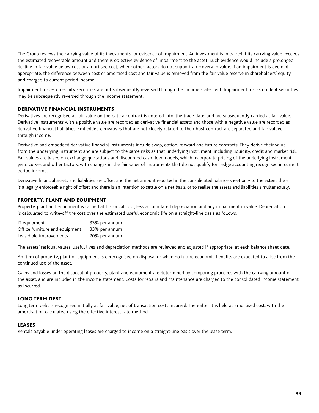The Group reviews the carrying value of its investments for evidence of impairment. An investment is impaired if its carrying value exceeds the estimated recoverable amount and there is objective evidence of impairment to the asset. Such evidence would include a prolonged decline in fair value below cost or amortised cost, where other factors do not support a recovery in value. If an impairment is deemed appropriate, the difference between cost or amortised cost and fair value is removed from the fair value reserve in shareholders' equity and charged to current period income.

Impairment losses on equity securities are not subsequently reversed through the income statement. Impairment losses on debt securities may be subsequently reversed through the income statement.

### derivative financial instruments

Derivatives are recognised at fair value on the date a contract is entered into, the trade date, and are subsequently carried at fair value. Derivative instruments with a positive value are recorded as derivative financial assets and those with a negative value are recorded as derivative financial liabilities. Embedded derivatives that are not closely related to their host contract are separated and fair valued through income.

Derivative and embedded derivative financial instruments include swap, option, forward and future contracts. They derive their value from the underlying instrument and are subject to the same risks as that underlying instrument, including liquidity, credit and market risk. Fair values are based on exchange quotations and discounted cash flow models, which incorporate pricing of the underlying instrument, yield curves and other factors, with changes in the fair value of instruments that do not qualify for hedge accounting recognised in current period income.

Derivative financial assets and liabilities are offset and the net amount reported in the consolidated balance sheet only to the extent there is a legally enforceable right of offset and there is an intention to settle on a net basis, or to realise the assets and liabilities simultaneously.

### property, plant and equipment

Property, plant and equipment is carried at historical cost, less accumulated depreciation and any impairment in value. Depreciation is calculated to write-off the cost over the estimated useful economic life on a straight-line basis as follows:

| IT equipment                   | 33% per annum |
|--------------------------------|---------------|
| Office furniture and equipment | 33% per annum |
| Leasehold improvements         | 20% per annum |

The assets' residual values, useful lives and depreciation methods are reviewed and adjusted if appropriate, at each balance sheet date.

An item of property, plant or equipment is derecognised on disposal or when no future economic benefits are expected to arise from the continued use of the asset.

Gains and losses on the disposal of property, plant and equipment are determined by comparing proceeds with the carrying amount of the asset, and are included in the income statement. Costs for repairs and maintenance are charged to the consolidated income statement as incurred.

#### long term debt

Long term debt is recognised initially at fair value, net of transaction costs incurred. Thereafter it is held at amortised cost, with the amortisation calculated using the effective interest rate method.

#### leases

Rentals payable under operating leases are charged to income on a straight-line basis over the lease term.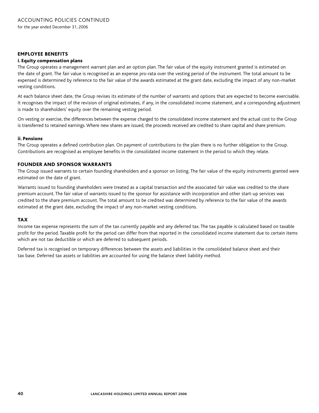#### employee benefits

#### i. Equity compensation plans

The Group operates a management warrant plan and an option plan. The fair value of the equity instrument granted is estimated on the date of grant. The fair value is recognised as an expense pro-rata over the vesting period of the instrument. The total amount to be expensed is determined by reference to the fair value of the awards estimated at the grant date, excluding the impact of any non-market vesting conditions.

At each balance sheet date, the Group revises its estimate of the number of warrants and options that are expected to become exercisable. It recognises the impact of the revision of original estimates, if any, in the consolidated income statement, and a corresponding adjustment is made to shareholders' equity over the remaining vesting period.

On vesting or exercise, the differences between the expense charged to the consolidated income statement and the actual cost to the Group is transferred to retained earnings. Where new shares are issued, the proceeds received are credited to share capital and share premium.

#### ii. Pensions

The Group operates a defined contribution plan. On payment of contributions to the plan there is no further obligation to the Group. Contributions are recognised as employee benefits in the consolidated income statement in the period to which they relate.

#### founder and sponsor warrants

The Group issued warrants to certain founding shareholders and a sponsor on listing. The fair value of the equity instruments granted were estimated on the date of grant.

Warrants issued to founding shareholders were treated as a capital transaction and the associated fair value was credited to the share premium account. The fair value of warrants issued to the sponsor for assistance with incorporation and other start-up services was credited to the share premium account. The total amount to be credited was determined by reference to the fair value of the awards estimated at the grant date, excluding the impact of any non-market vesting conditions.

#### tax

Income tax expense represents the sum of the tax currently payable and any deferred tax. The tax payable is calculated based on taxable profit for the period. Taxable profit for the period can differ from that reported in the consolidated income statement due to certain items which are not tax deductible or which are deferred to subsequent periods.

Deferred tax is recognised on temporary differences between the assets and liabilities in the consolidated balance sheet and their tax base. Deferred tax assets or liabilities are accounted for using the balance sheet liability method.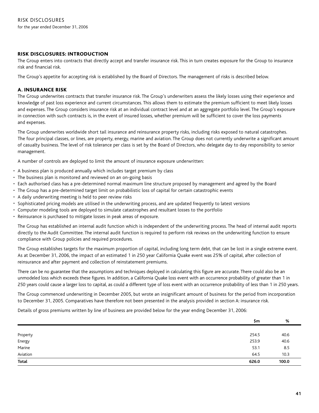### risk disclosures: introduction

The Group enters into contracts that directly accept and transfer insurance risk. This in turn creates exposure for the Group to insurance risk and financial risk.

The Group's appetite for accepting risk is established by the Board of Directors. The management of risks is described below.

### A. insurance risk

The Group underwrites contracts that transfer insurance risk. The Group's underwriters assess the likely losses using their experience and knowledge of past loss experience and current circumstances. This allows them to estimate the premium sufficient to meet likely losses and expenses. The Group considers insurance risk at an individual contract level and at an aggregate portfolio level. The Group's exposure in connection with such contracts is, in the event of insured losses, whether premium will be sufficient to cover the loss payments and expenses.

The Group underwrites worldwide short tail insurance and reinsurance property risks, including risks exposed to natural catastrophes. The four principal classes, or lines, are property, energy, marine and aviation. The Group does not currently underwrite a significant amount of casualty business. The level of risk tolerance per class is set by the Board of Directors, who delegate day to day responsibility to senior management.

A number of controls are deployed to limit the amount of insurance exposure underwritten:

- A business plan is produced annually which includes target premium by class
- The business plan is monitored and reviewed on an on-going basis
- Each authorised class has a pre-determined normal maximum line structure proposed by management and agreed by the Board
- The Group has a pre-determined target limit on probabilistic loss of capital for certain catastrophic events •
- A daily underwriting meeting is held to peer review risks
- Sophisticated pricing models are utilised in the underwriting process, and are updated frequently to latest versions
- Computer modeling tools are deployed to simulate catastrophes and resultant losses to the portfolio
- Reinsurance is purchased to mitigate losses in peak areas of exposure.

The Group has established an internal audit function which is independent of the underwriting process. The head of internal audit reports directly to the Audit Committee. The internal audit function is required to perform risk reviews on the underwriting function to ensure compliance with Group policies and required procedures.

The Group establishes targets for the maximum proportion of capital, including long term debt, that can be lost in a single extreme event. As at December 31, 2006, the impact of an estimated 1 in 250 year California Quake event was 25% of capital, after collection of reinsurance and after payment and collection of reinstatement premiums.

There can be no guarantee that the assumptions and techniques deployed in calculating this figure are accurate. There could also be an unmodeled loss which exceeds these figures. In addition, a California Quake loss event with an occurrence probability of greater than 1 in 250 years could cause a larger loss to capital, as could a different type of loss event with an occurrence probability of less than 1 in 250 years.

The Group commenced underwriting in December 2005, but wrote an insignificant amount of business for the period from incorporation to December 31, 2005. Comparatives have therefore not been presented in the analysis provided in section A: insurance risk.

Details of gross premiums written by line of business are provided below for the year ending December 31, 2006:

|                    | \$m   | %     |
|--------------------|-------|-------|
|                    |       |       |
|                    | 254.5 | 40.6  |
| Property<br>Energy | 253.9 | 40.6  |
| Marine             | 53.1  | 8.5   |
| Aviation           | 64.5  | 10.3  |
| Total              | 626.0 | 100.0 |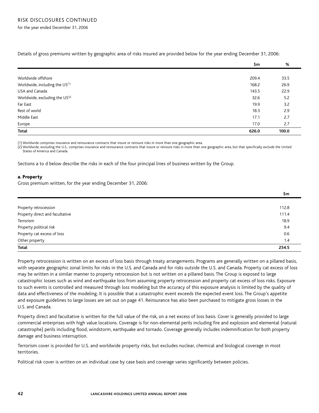for the year ended December 31, 2006

|  |  |  | Details of gross premiums written by geographic area of risks insured are provided below for the year ending December 31, 2006: |  |  |  |
|--|--|--|---------------------------------------------------------------------------------------------------------------------------------|--|--|--|
|  |  |  |                                                                                                                                 |  |  |  |

|                                            | \$m   | %     |
|--------------------------------------------|-------|-------|
|                                            |       |       |
| Worldwide offshore                         | 209.4 | 33.5  |
| Worldwide, including the US <sup>(1)</sup> | 168.2 | 26.9  |
| USA and Canada                             | 143.5 | 22.9  |
| Worldwide, excluding the US <sup>(2)</sup> | 32.6  | 5.2   |
| Far East                                   | 19.9  | 3.2   |
| Rest of world                              | 18.3  | 2.9   |
| Middle East                                | 17.1  | 2.7   |
| Europe                                     | 17.0  | 2.7   |
| Total                                      | 626.0 | 100.0 |

(1) Worldwide comprises insurance and reinsurance contracts that insure or reinsure risks in more than one geographic area.

(2) Worldwide, excluding the U.S., comprises insurance and reinsurance contracts that insure or reinsure risks in more than one geographic area, but that specifically exclude the United States of America and Canada.

Sections a to d below describe the risks in each of the four principal lines of business written by the Group.

#### a. Property

Gross premium written, for the year ending December 31, 2006:

|                                 | \$m   |
|---------------------------------|-------|
|                                 |       |
| Property retrocession           | 112.8 |
| Property direct and facultative | 111.4 |
| Terrorism                       | 18.9  |
| Property political risk         | 9.4   |
| Property cat excess of loss     | 0.6   |
| Other property                  | 1.4   |
| Total                           | 254.5 |

Property retrocession is written on an excess of loss basis through treaty arrangements. Programs are generally written on a pillared basis, with separate geographic zonal limits for risks in the U.S. and Canada and for risks outside the U.S. and Canada. Property cat excess of loss may be written in a similar manner to property retrocession but is not written on a pillared basis. The Group is exposed to large catastrophic losses such as wind and earthquake loss from assuming property retrocession and property cat excess of loss risks. Exposure to such events is controlled and measured through loss modeling but the accuracy of this exposure analysis is limited by the quality of data and effectiveness of the modeling. It is possible that a catastrophic event exceeds the expected event loss. The Group's appetite and exposure guidelines to large losses are set out on page 41. Reinsurance has also been purchased to mitigate gross losses in the U.S. and Canada.

Property direct and facultative is written for the full value of the risk, on a net excess of loss basis. Cover is generally provided to large commercial enterprises with high value locations. Coverage is for non-elemental perils including fire and explosion and elemental (natural catastrophe) perils including flood, windstorm, earthquake and tornado. Coverage generally includes indemnification for both property damage and business interruption.

Terrorism cover is provided for U.S. and worldwide property risks, but excludes nuclear, chemical and biological coverage in most territories.

Political risk cover is written on an individual case by case basis and coverage varies significantly between policies.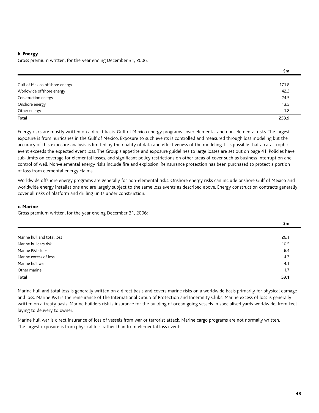#### b. Energy

Gross premium written, for the year ending December 31, 2006:

|                                | \$m   |
|--------------------------------|-------|
|                                |       |
| Gulf of Mexico offshore energy | 171.8 |
| Worldwide offshore energy      | 42.3  |
| Construction energy            | 24.5  |
| Onshore energy                 | 13.5  |
| Other energy                   | 1.8   |
| Total                          | 253.9 |

Energy risks are mostly written on a direct basis. Gulf of Mexico energy programs cover elemental and non-elemental risks. The largest exposure is from hurricanes in the Gulf of Mexico. Exposure to such events is controlled and measured through loss modeling but the accuracy of this exposure analysis is limited by the quality of data and effectiveness of the modeling. It is possible that a catastrophic event exceeds the expected event loss. The Group's appetite and exposure guidelines to large losses are set out on page 41. Policies have sub-limits on coverage for elemental losses, and significant policy restrictions on other areas of cover such as business interruption and control of well. Non-elemental energy risks include fire and explosion. Reinsurance protection has been purchased to protect a portion of loss from elemental energy claims.

Worldwide offshore energy programs are generally for non-elemental risks. Onshore energy risks can include onshore Gulf of Mexico and worldwide energy installations and are largely subject to the same loss events as described above. Energy construction contracts generally cover all risks of platform and drilling units under construction.

#### c. Marine

Gross premium written, for the year ending December 31, 2006:

|                            | \$m  |
|----------------------------|------|
|                            |      |
| Marine hull and total loss | 26.1 |
| Marine builders risk       | 10.5 |
| Marine P&I clubs           | 6.4  |
| Marine excess of loss      | 4.3  |
| Marine hull war            | 4.1  |
| Other marine               | 1.7  |
| <b>Total</b>               | 53.1 |

Marine hull and total loss is generally written on a direct basis and covers marine risks on a worldwide basis primarily for physical damage and loss. Marine P&I is the reinsurance of The International Group of Protection and Indemnity Clubs. Marine excess of loss is generally written on a treaty basis. Marine builders risk is insurance for the building of ocean going vessels in specialised yards worldwide, from keel laying to delivery to owner.

Marine hull war is direct insurance of loss of vessels from war or terrorist attack. Marine cargo programs are not normally written. The largest exposure is from physical loss rather than from elemental loss events.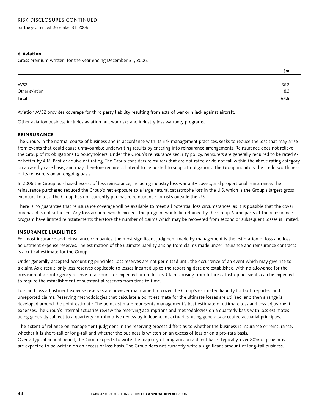for the year ended December 31, 2006

### d. Aviation

Gross premium written, for the year ending December 31, 2006:

|                           | Şm   |
|---------------------------|------|
|                           |      |
| AV52                      | 56.2 |
| Other aviation            | 8.3  |
| $\overline{\text{Total}}$ | 64.5 |
|                           |      |

Aviation AV52 provides coverage for third party liability resulting from acts of war or hijack against aircraft.

Other aviation business includes aviation hull war risks and industry loss warranty programs.

### **REINSURANCE**

The Group, in the normal course of business and in accordance with its risk management practices, seeks to reduce the loss that may arise from events that could cause unfavourable underwriting results by entering into reinsurance arrangements. Reinsurance does not relieve the Group of its obligations to policyholders. Under the Group's reinsurance security policy, reinsurers are generally required to be rated Aor better by A.M. Best or equivalent rating. The Group considers reinsurers that are not rated or do not fall within the above rating category on a case by case basis, and may therefore require collateral to be posted to support obligations. The Group monitors the credit worthiness of its reinsurers on an ongoing basis.

In 2006 the Group purchased excess of loss reinsurance, including industry loss warranty covers, and proportional reinsurance. The reinsurance purchased reduced the Group's net exposure to a large natural catastrophe loss in the U.S. which is the Group's largest gross exposure to loss. The Group has not currently purchased reinsurance for risks outside the U.S.

There is no guarantee that reinsurance coverage will be available to meet all potential loss circumstances, as it is possible that the cover purchased is not sufficient. Any loss amount which exceeds the program would be retained by the Group. Some parts of the reinsurance program have limited reinstatements therefore the number of claims which may be recovered from second or subsequent losses is limited.

### insurance liabilities

For most insurance and reinsurance companies, the most significant judgment made by management is the estimation of loss and loss adjustment expense reserves. The estimation of the ultimate liability arising from claims made under insurance and reinsurance contracts is a critical estimate for the Group.

Under generally accepted accounting principles, loss reserves are not permitted until the occurrence of an event which may give rise to a claim. As a result, only loss reserves applicable to losses incurred up to the reporting date are established, with no allowance for the provision of a contingency reserve to account for expected future losses. Claims arising from future catastrophic events can be expected to require the establishment of substantial reserves from time to time.

Loss and loss adjustment expense reserves are however maintained to cover the Group's estimated liability for both reported and unreported claims. Reserving methodologies that calculate a point estimate for the ultimate losses are utilised, and then a range is developed around the point estimate. The point estimate represents management's best estimate of ultimate loss and loss adjustment expenses. The Group's internal actuaries review the reserving assumptions and methodologies on a quarterly basis with loss estimates being generally subject to a quarterly corroborative review by independent actuaries, using generally accepted actuarial principles.

The extent of reliance on management judgment in the reserving process differs as to whether the business is insurance or reinsurance, whether it is short-tail or long-tail and whether the business is written on an excess of loss or on a pro-rata basis. Over a typical annual period, the Group expects to write the majority of programs on a direct basis. Typically, over 80% of programs are expected to be written on an excess of loss basis. The Group does not currently write a significant amount of long-tail business.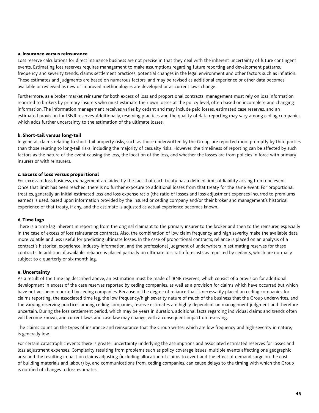#### a. Insurance versus reinsurance

Loss reserve calculations for direct insurance business are not precise in that they deal with the inherent uncertainty of future contingent events. Estimating loss reserves requires management to make assumptions regarding future reporting and development patterns, frequency and severity trends, claims settlement practices, potential changes in the legal environment and other factors such as inflation. These estimates and judgments are based on numerous factors, and may be revised as additional experience or other data becomes available or reviewed as new or improved methodologies are developed or as current laws change.

Furthermore, as a broker market reinsurer for both excess of loss and proportional contracts, management must rely on loss information reported to brokers by primary insurers who must estimate their own losses at the policy level, often based on incomplete and changing information. The information management receives varies by cedant and may include paid losses, estimated case reserves, and an estimated provision for IBNR reserves. Additionally, reserving practices and the quality of data reporting may vary among ceding companies which adds further uncertainty to the estimation of the ultimate losses.

#### b. Short-tail versus long-tail

In general, claims relating to short-tail property risks, such as those underwritten by the Group, are reported more promptly by third parties than those relating to long-tail risks, including the majority of casualty risks. However, the timeliness of reporting can be affected by such factors as the nature of the event causing the loss, the location of the loss, and whether the losses are from policies in force with primary insurers or with reinsurers.

#### c. Excess of loss versus proportional

For excess of loss business, management are aided by the fact that each treaty has a defined limit of liability arising from one event. Once that limit has been reached, there is no further exposure to additional losses from that treaty for the same event. For proportional treaties, generally an initial estimated loss and loss expense ratio (the ratio of losses and loss adjustment expenses incurred to premiums earned) is used, based upon information provided by the insured or ceding company and/or their broker and management's historical experience of that treaty, if any, and the estimate is adjusted as actual experience becomes known.

#### d. Time lags

There is a time lag inherent in reporting from the original claimant to the primary insurer to the broker and then to the reinsurer, especially in the case of excess of loss reinsurance contracts. Also, the combination of low claim frequency and high severity make the available data more volatile and less useful for predicting ultimate losses. In the case of proportional contracts, reliance is placed on an analysis of a contract's historical experience, industry information, and the professional judgment of underwriters in estimating reserves for these contracts. In addition, if available, reliance is placed partially on ultimate loss ratio forecasts as reported by cedants, which are normally subject to a quarterly or six month lag.

#### e. Uncertainty

As a result of the time lag described above, an estimation must be made of IBNR reserves, which consist of a provision for additional development in excess of the case reserves reported by ceding companies, as well as a provision for claims which have occurred but which have not yet been reported by ceding companies. Because of the degree of reliance that is necessarily placed on ceding companies for claims reporting, the associated time lag, the low frequency/high severity nature of much of the business that the Group underwrites, and the varying reserving practices among ceding companies, reserve estimates are highly dependent on management judgment and therefore uncertain. During the loss settlement period, which may be years in duration, additional facts regarding individual claims and trends often will become known, and current laws and case law may change, with a consequent impact on reserving.

The claims count on the types of insurance and reinsurance that the Group writes, which are low frequency and high severity in nature, is generally low.

For certain catastrophic events there is greater uncertainty underlying the assumptions and associated estimated reserves for losses and loss adjustment expenses. Complexity resulting from problems such as policy coverage issues, multiple events affecting one geographic area and the resulting impact on claims adjusting (including allocation of claims to event and the effect of demand surge on the cost of building materials and labour) by, and communications from, ceding companies, can cause delays to the timing with which the Group is notified of changes to loss estimates.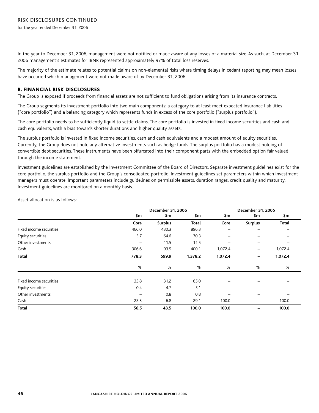In the year to December 31, 2006, management were not notified or made aware of any losses of a material size. As such, at December 31, 2006 management's estimates for IBNR represented approximately 97% of total loss reserves.

The majority of the estimate relates to potential claims on non-elemental risks where timing delays in cedant reporting may mean losses have occurred which management were not made aware of by December 31, 2006.

#### B. Financial risk disclosures

The Group is exposed if proceeds from financial assets are not sufficient to fund obligations arising from its insurance contracts.

The Group segments its investment portfolio into two main components: a category to at least meet expected insurance liabilities ("core portfolio") and a balancing category which represents funds in excess of the core portfolio ("surplus portfolio").

The core portfolio needs to be sufficiently liquid to settle claims. The core portfolio is invested in fixed income securities and cash and cash equivalents, with a bias towards shorter durations and higher quality assets.

The surplus portfolio is invested in fixed income securities, cash and cash equivalents and a modest amount of equity securities. Currently, the Group does not hold any alternative investments such as hedge funds. The surplus portfolio has a modest holding of convertible debt securities. These instruments have been bifurcated into their component parts with the embedded option fair valued through the income statement.

Investment guidelines are established by the Investment Committee of the Board of Directors. Separate investment guidelines exist for the core portfolio, the surplus portfolio and the Group's consolidated portfolio. Investment guidelines set parameters within which investment managers must operate. Important parameters include guidelines on permissible assets, duration ranges, credit quality and maturity. Investment guidelines are monitored on a monthly basis.

Asset allocation is as follows:

|                         | December 31, 2006        |                |              | December 31, 2005 |                          |              |
|-------------------------|--------------------------|----------------|--------------|-------------------|--------------------------|--------------|
|                         | \$m                      | \$m            | \$m          | \$m.              | \$m                      | \$m          |
|                         | Core                     | <b>Surplus</b> | <b>Total</b> | Core              | <b>Surplus</b>           | <b>Total</b> |
| Fixed income securities | 466.0                    | 430.3          | 896.3        |                   | —                        |              |
| Equity securities       | 5.7                      | 64.6           | 70.3         |                   |                          |              |
| Other investments       | $\overline{\phantom{m}}$ | 11.5           | 11.5         |                   | $\overline{\phantom{0}}$ |              |
| Cash                    | 306.6                    | 93.5           | 400.1        | 1,072.4           | $\overline{\phantom{m}}$ | 1,072.4      |
| Total                   | 778.3                    | 599.9          | 1,378.2      | 1,072.4           | -                        | 1,072.4      |
|                         | $\%$                     | %              | %            | %                 | %                        | %            |
| Fixed income securities | 33.8                     | 31.2           | 65.0         |                   |                          |              |
| Equity securities       | 0.4                      | 4.7            | 5.1          |                   |                          |              |
| Other investments       |                          | 0.8            | 0.8          |                   |                          |              |
| Cash                    | 22.3                     | 6.8            | 29.1         | 100.0             | $\qquad \qquad -$        | 100.0        |
| Total                   | 56.5                     | 43.5           | 100.0        | 100.0             |                          | 100.0        |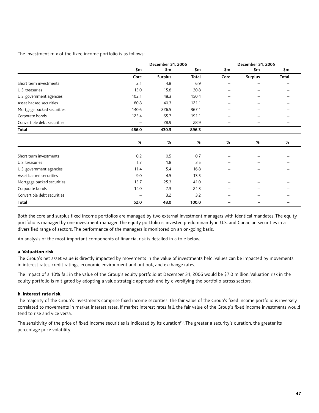The investment mix of the fixed income portfolio is as follows:

|                             | December 31, 2006 |                |              | December 31, 2005 |                |                          |
|-----------------------------|-------------------|----------------|--------------|-------------------|----------------|--------------------------|
|                             | \$m               | \$m            | \$m          | \$m               | \$m            | \$m                      |
|                             | Core              | <b>Surplus</b> | <b>Total</b> | Core              | <b>Surplus</b> | Total                    |
| Short term investments      | 2.1               | 4.8            | 6.9          |                   |                |                          |
| U.S. treasuries             | 15.0              | 15.8           | 30.8         |                   |                |                          |
| U.S. government agencies    | 102.1             | 48.3           | 150.4        |                   |                |                          |
| Asset backed securities     | 80.8              | 40.3           | 121.1        |                   |                |                          |
| Mortgage backed securities  | 140.6             | 226.5          | 367.1        |                   |                |                          |
| Corporate bonds             | 125.4             | 65.7           | 191.1        |                   |                |                          |
| Convertible debt securities |                   | 28.9           | 28.9         |                   |                |                          |
| Total                       | 466.0             | 430.3          | 896.3        |                   |                | $\overline{\phantom{0}}$ |
|                             | %                 | %              | %            | %                 | %              | %                        |
| Short term investments      | 0.2               | 0.5            | 0.7          |                   |                |                          |
| U.S. treasuries             | 1.7               | 1.8            | 3.5          |                   |                |                          |
| U.S. government agencies    | 11.4              | 5.4            | 16.8         |                   |                |                          |
| Asset backed securities     | 9.0               | 4.5            | 13.5         |                   |                |                          |
| Mortgage backed securities  | 15.7              | 25.3           | 41.0         |                   |                |                          |
| Corporate bonds             | 14.0              | 7.3            | 21.3         |                   |                |                          |
| Convertible debt securities |                   | 3.2            | 3.2          |                   |                |                          |
| <b>Total</b>                | 52.0              | 48.0           | 100.0        |                   |                |                          |

Both the core and surplus fixed income portfolios are managed by two external investment managers with identical mandates. The equity portfolio is managed by one investment manager. The equity portfolio is invested predominantly in U.S. and Canadian securities in a diversified range of sectors. The performance of the managers is monitored on an on-going basis.

An analysis of the most important components of financial risk is detailed in a to e below.

#### a. Valuation risk

The Group's net asset value is directly impacted by movements in the value of investments held. Values can be impacted by movements in interest rates, credit ratings, economic environment and outlook, and exchange rates.

The impact of a 10% fall in the value of the Group's equity portfolio at December 31, 2006 would be \$7.0 million. Valuation risk in the equity portfolio is mitigated by adopting a value strategic approach and by diversifying the portfolio across sectors.

#### b. Interest rate risk

The majority of the Group's investments comprise fixed income securities. The fair value of the Group's fixed income portfolio is inversely correlated to movements in market interest rates. If market interest rates fall, the fair value of the Group's fixed income investments would tend to rise and vice versa.

The sensitivity of the price of fixed income securities is indicated by its duration<sup>(1)</sup>. The greater a security's duration, the greater its percentage price volatility.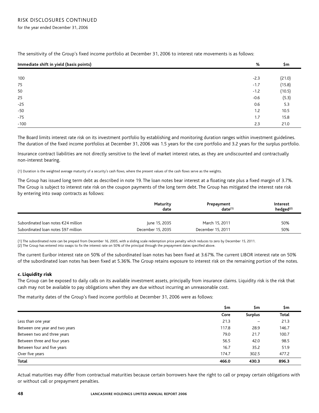for the year ended December 31, 2006

| Immediate shift in yield (basis points) | %      | \$m    |
|-----------------------------------------|--------|--------|
|                                         |        |        |
| 100                                     | $-2.3$ | (21.0) |
| 75                                      | $-1.7$ | (15.8) |
| 50                                      | $-1.2$ | (10.5) |
| 25                                      | $-0.6$ | (5.3)  |
| $-25$                                   | 0.6    | 5.3    |
| -50                                     | 1.2    | 10.5   |
| $-75$                                   | 1.7    | 15.8   |
| $-100$                                  | 2.3    | 21.0   |
|                                         |        |        |

The sensitivity of the Group's fixed income portfolio at December 31, 2006 to interest rate movements is as follows:

The Board limits interest rate risk on its investment portfolio by establishing and monitoring duration ranges within investment guidelines. The duration of the fixed income portfolios at December 31, 2006 was 1.5 years for the core portfolio and 3.2 years for the surplus portfolio.

Insurance contract liabilities are not directly sensitive to the level of market interest rates, as they are undiscounted and contractually non-interest bearing.

(1) Duration is the weighted average maturity of a security's cash flows, where the present values of the cash flows serve as the weights.

The Group has issued long term debt as described in note 19. The loan notes bear interest at a floating rate plus a fixed margin of 3.7%. The Group is subject to interest rate risk on the coupon payments of the long term debt. The Group has mitigated the interest rate risk by entering into swap contracts as follows:

|                                      | Maturity<br>date  | Prepayment<br>$date^{(1)}$ | Interest<br>hedged $(2)$ |
|--------------------------------------|-------------------|----------------------------|--------------------------|
| Subordinated loan notes €24 million  | lune 15, 2035     | March 15, 2011             | 50%                      |
| Subordinated loan notes \$97 million | December 15, 2035 | December 15, 2011          | 50%                      |

(1) The subordinated note can be prepaid from December 16, 2005, with a sliding scale redemption price penalty which reduces to zero by December 15, 2011. (2) The Group has entered into swaps to fix the interest rate on 50% of the principal through the prepayment dates specified above.

The current Euribor interest rate on 50% of the subordinated loan notes has been fixed at 3.67%. The current LIBOR interest rate on 50% of the subordinated loan notes has been fixed at 5.36%. The Group retains exposure to interest risk on the remaining portion of the notes.

#### c. Liquidity risk

The Group can be exposed to daily calls on its available investment assets, principally from insurance claims. Liquidity risk is the risk that cash may not be available to pay obligations when they are due without incurring an unreasonable cost.

The maturity dates of the Group's fixed income portfolio at December 31, 2006 were as follows:

|                                | \$m   | \$m                      | \$m          |
|--------------------------------|-------|--------------------------|--------------|
|                                | Core  | <b>Surplus</b>           | <b>Total</b> |
| Less than one year             | 21.3  | $\overline{\phantom{0}}$ | 21.3         |
| Between one year and two years | 117.8 | 28.9                     | 146.7        |
| Between two and three years    | 79.0  | 21.7                     | 100.7        |
| Between three and four years   | 56.5  | 42.0                     | 98.5         |
| Between four and five years    | 16.7  | 35.2                     | 51.9         |
| Over five years                | 174.7 | 302.5                    | 477.2        |
| Total                          | 466.0 | 430.3                    | 896.3        |

Actual maturities may differ from contractual maturities because certain borrowers have the right to call or prepay certain obligations with or without call or prepayment penalties.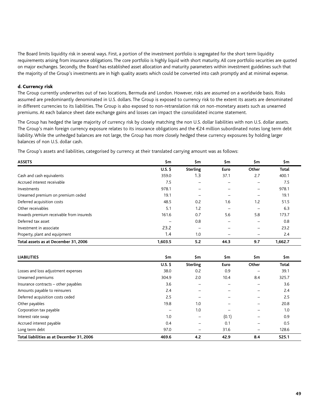The Board limits liquidity risk in several ways. First, a portion of the investment portfolio is segregated for the short term liquidity requirements arising from insurance obligations. The core portfolio is highly liquid with short maturity. All core portfolio securities are quoted on major exchanges. Secondly, the Board has established asset allocation and maturity parameters within investment guidelines such that the majority of the Group's investments are in high quality assets which could be converted into cash promptly and at minimal expense.

#### d. Currency risk

The Group currently underwrites out of two locations, Bermuda and London. However, risks are assumed on a worldwide basis. Risks assumed are predominantly denominated in U.S. dollars. The Group is exposed to currency risk to the extent its assets are denominated in different currencies to its liabilities. The Group is also exposed to non-retranslation risk on non-monetary assets such as unearned premiums. At each balance sheet date exchange gains and losses can impact the consolidated income statement.

The Group has hedged the large majority of currency risk by closely matching the non U.S. dollar liabilities with non U.S. dollar assets. The Group's main foreign currency exposure relates to its insurance obligations and the €24 million subordinated notes long term debt liability. While the unhedged balances are not large, the Group has more closely hedged these currency exposures by holding larger balances of non U.S. dollar cash.

The Group's assets and liabilities, categorised by currency at their translated carrying amount was as follows:

| <b>ASSETS</b>                            | \$m       | \$m             | \$m  | \$m   | \$m          |
|------------------------------------------|-----------|-----------------|------|-------|--------------|
|                                          | $U.S.$ \$ | <b>Sterling</b> | Euro | Other | <b>Total</b> |
| Cash and cash equivalents                | 359.0     | 1.3             | 37.1 | 2.7   | 400.1        |
| Accrued interest receivable              | 7.5       |                 |      |       | 7.5          |
| Investments                              | 978.1     |                 |      |       | 978.1        |
| Unearned premium on premium ceded        | 19.1      |                 |      |       | 19.1         |
| Deferred acquisition costs               | 48.5      | 0.2             | 1.6  | 1.2   | 51.5         |
| Other receivables                        | 5.1       | 1.2             |      |       | 6.3          |
| Inwards premium receivable from insureds | 161.6     | 0.7             | 5.6  | 5.8   | 173.7        |
| Deferred tax asset                       |           | 0.8             |      |       | 0.8          |
| Investment in associate                  | 23.2      |                 |      |       | 23.2         |
| Property, plant and equipment            | 1.4       | 1.0             |      |       | 2.4          |
| Total assets as at December 31, 2006     | 1,603.5   | 5.2             | 44.3 | 9.7   | 1,662.7      |

| <b>LIABILITIES</b>                        | \$m             | \$m             | \$m   | \$m                      | \$m          |
|-------------------------------------------|-----------------|-----------------|-------|--------------------------|--------------|
|                                           | $U.S.$ \$       | <b>Sterling</b> | Euro  | Other                    | <b>Total</b> |
| Losses and loss adjustment expenses       | 38.0            | 0.2             | 0.9   |                          | 39.1         |
| Unearned premiums                         | 304.9           | 2.0             | 10.4  | 8.4                      | 325.7        |
| Insurance contracts - other payables      | 3.6             |                 |       |                          | 3.6          |
| Amounts payable to reinsurers             | 2.4             |                 |       |                          | 2.4          |
| Deferred acquisition costs ceded          | 2.5             |                 |       |                          | 2.5          |
| Other payables                            | 19.8            | 1.0             |       |                          | 20.8         |
| Corporation tax payable                   | $\qquad \qquad$ | 1.0             |       |                          | 1.0          |
| Interest rate swap                        | 1.0             | -               | (0.1) | $\overline{\phantom{0}}$ | 0.9          |
| Accrued interest payable                  | 0.4             |                 | 0.1   |                          | 0.5          |
| Long term debt                            | 97.0            | -               | 31.6  | -                        | 128.6        |
| Total liabilities as at December 31, 2006 | 469.6           | 4.2             | 42.9  | 8.4                      | 525.1        |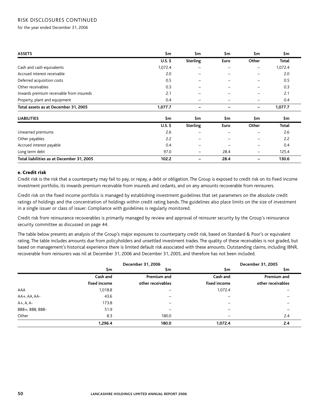### risk disclosures continued

for the year ended December 31, 2006

| <b>ASSETS</b>                             | \$m       | \$m             | \$m  | \$m                      | \$m          |
|-------------------------------------------|-----------|-----------------|------|--------------------------|--------------|
|                                           | $U.S.$ \$ | <b>Sterling</b> | Euro | Other                    | <b>Total</b> |
| Cash and cash equivalents                 | 1,072.4   |                 |      | -                        | 1,072.4      |
| Accrued interest receivable               | 2.0       |                 |      | $\overline{\phantom{0}}$ | 2.0          |
| Deferred acquisition costs                | 0.5       |                 |      | $\overline{\phantom{0}}$ | 0.5          |
| Other receivables                         | 0.3       |                 |      |                          | 0.3          |
| Inwards premium receivable from insureds  | 2.1       |                 |      |                          | 2.1          |
| Property, plant and equipment             | 0.4       | -               |      |                          | 0.4          |
| Total assets as at December 31, 2005      | 1,077.7   | -               |      | -                        | 1,077.7      |
| <b>LIABILITIES</b>                        | \$m       | \$m             | \$m  | \$m                      | \$m          |
|                                           | $U.S.$ \$ | <b>Sterling</b> | Euro | Other                    | <b>Total</b> |
| Unearned premiums                         | 2.6       | $\qquad \qquad$ |      | -                        | 2.6          |
| Other payables                            | 2.2       |                 |      |                          | 2.2          |
| Accrued interest payable                  | 0.4       |                 |      |                          | 0.4          |
| Long term debt                            | 97.0      |                 | 28.4 | $\qquad \qquad -$        | 125.4        |
| Total liabilities as at December 31, 2005 | 102.2     |                 | 28.4 | -                        | 130.6        |

#### e. Credit risk

Credit risk is the risk that a counterparty may fail to pay, or repay, a debt or obligation. The Group is exposed to credit risk on its fixed income investment portfolio, its inwards premium receivable from insureds and cedants, and on any amounts recoverable from reinsurers.

Credit risk on the fixed income portfolio is managed by establishing investment guidelines that set parameters on the absolute credit ratings of holdings and the concentration of holdings within credit rating bands. The guidelines also place limits on the size of investment in a single issuer or class of issuer. Compliance with guidelines is regularly monitored.

Credit risk from reinsurance recoverables is primarily managed by review and approval of reinsurer security by the Group's reinsurance security committee as discussed on page 44.

The table below presents an analysis of the Group's major exposures to counterparty credit risk, based on Standard & Poor's or equivalent rating. The table includes amounts due from policyholders and unsettled investment trades. The quality of these receivables is not graded, but based on management's historical experience there is limited default risk associated with these amounts. Outstanding claims, including IBNR, recoverable from reinsurers was nil at December 31, 2006 and December 31, 2005, and therefore has not been included.

|                 |              | December 31, 2006        |              | December 31, 2005 |
|-----------------|--------------|--------------------------|--------------|-------------------|
|                 | \$m          | \$m                      | \$m          | \$m               |
|                 | Cash and     | Premium and              | Cash and     | Premium and       |
|                 | fixed income | other receivables        | fixed income | other receivables |
| AAA             | 1,018.8      | $\qquad \qquad -$        | 1,072.4      |                   |
| AA+, AA, AA-    | 43.6         |                          |              |                   |
| $A+$ , A, A-    | 173.8        | $\overline{\phantom{0}}$ |              |                   |
| BBB+, BBB, BBB- | 51.9         |                          |              |                   |
| Other           | 8.3          | 180.0                    |              | 2.4               |
|                 | 1,296.4      | 180.0                    | 1,072.4      | 2.4               |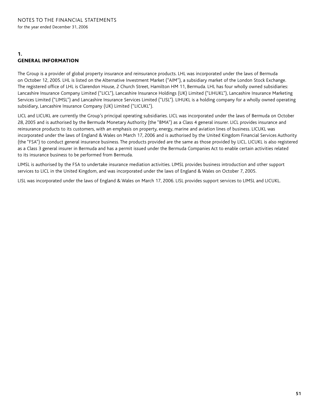### 1. general information

The Group is a provider of global property insurance and reinsurance products. LHL was incorporated under the laws of Bermuda on October 12, 2005. LHL is listed on the Alternative Investment Market ("AIM"), a subsidiary market of the London Stock Exchange. The registered office of LHL is Clarendon House, 2 Church Street, Hamilton HM 11, Bermuda. LHL has four wholly owned subsidiaries: Lancashire Insurance Company Limited ("LICL"), Lancashire Insurance Holdings (UK) Limited ("LIHUKL"), Lancashire Insurance Marketing Services Limited ("LIMSL") and Lancashire Insurance Services Limited ("LISL"). LIHUKL is a holding company for a wholly owned operating subsidiary, Lancashire Insurance Company (UK) Limited ("LICUKL").

LICL and LICUKL are currently the Group's principal operating subsidiaries. LICL was incorporated under the laws of Bermuda on October 28, 2005 and is authorised by the Bermuda Monetary Authority (the "BMA") as a Class 4 general insurer. LICL provides insurance and reinsurance products to its customers, with an emphasis on property, energy, marine and aviation lines of business. LICUKL was incorporated under the laws of England & Wales on March 17, 2006 and is authorised by the United Kingdom Financial Services Authority (the "FSA") to conduct general insurance business. The products provided are the same as those provided by LICL. LICUKL is also registered as a Class 3 general insurer in Bermuda and has a permit issued under the Bermuda Companies Act to enable certain activities related to its insurance business to be performed from Bermuda.

LIMSL is authorised by the FSA to undertake insurance mediation activities. LIMSL provides business introduction and other support services to LICL in the United Kingdom, and was incorporated under the laws of England & Wales on October 7, 2005.

LISL was incorporated under the laws of England & Wales on March 17, 2006. LISL provides support services to LIMSL and LICUKL.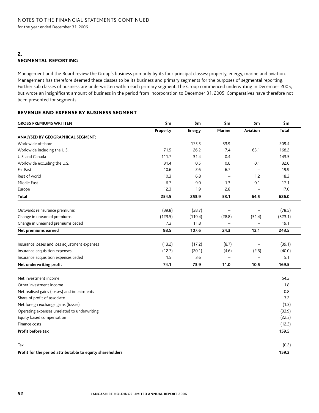# 2. segmental reporting

Management and the Board review the Group's business primarily by its four principal classes: property, energy, marine and aviation. Management has therefore deemed these classes to be its business and primary segments for the purposes of segmental reporting. Further sub classes of business are underwritten within each primary segment. The Group commenced underwriting in December 2005, but wrote an insignificant amount of business in the period from incorporation to December 31, 2005. Comparatives have therefore not been presented for segments.

### revenue and expense by business segment

| <b>GROSS PREMIUMS WRITTEN</b>                             | \$m\$    | \$m           | \$m    | \$m\$                    | \$m     |
|-----------------------------------------------------------|----------|---------------|--------|--------------------------|---------|
|                                                           | Property | <b>Energy</b> | Marine | Aviation                 | Total   |
| ANALYSED BY GEOGRAPHICAL SEGMENT:                         |          |               |        |                          |         |
| Worldwide offshore                                        |          | 175.5         | 33.9   |                          | 209.4   |
| Worldwide including the U.S.                              | 71.5     | 26.2          | 7.4    | 63.1                     | 168.2   |
| U.S. and Canada                                           | 111.7    | 31.4          | 0.4    |                          | 143.5   |
| Worldwide excluding the U.S.                              | 31.4     | 0.5           | 0.6    | 0.1                      | 32.6    |
| Far East                                                  | 10.6     | 2.6           | 6.7    | $\overline{\phantom{0}}$ | 19.9    |
| Rest of world                                             | 10.3     | 6.8           |        | 1.2                      | 18.3    |
| Middle East                                               | 6.7      | 9.0           | 1.3    | 0.1                      | 17.1    |
| Europe                                                    | 12.3     | 1.9           | 2.8    |                          | 17.0    |
| <b>Total</b>                                              | 254.5    | 253.9         | 53.1   | 64.5                     | 626.0   |
| Outwards reinsurance premiums                             | (39.8)   | (38.7)        |        |                          | (78.5)  |
| Change in unearned premiums                               | (123.5)  | (119.4)       | (28.8) | (51.4)                   | (323.1) |
| Change in unearned premiums ceded                         | 7.3      | 11.8          |        |                          | 19.1    |
| Net premiums earned                                       | 98.5     | 107.6         | 24.3   | 13.1                     | 243.5   |
| Insurance losses and loss adjustment expenses             | (13.2)   | (17.2)        | (8.7)  | $\qquad \qquad -$        | (39.1)  |
| Insurance acquisition expenses                            | (12.7)   | (20.1)        | (4.6)  | (2.6)                    | (40.0)  |
| Insurance acquisition expenses ceded                      | 1.5      | 3.6           |        |                          | 5.1     |
| Net underwriting profit                                   | 74.1     | 73.9          | 11.0   | 10.5                     | 169.5   |
| Net investment income                                     |          |               |        |                          | 54.2    |
| Other investment income                                   |          |               |        |                          | 1.8     |
| Net realised gains (losses) and impairments               |          |               |        |                          | 0.8     |
| Share of profit of associate                              |          |               |        |                          | 3.2     |
| Net foreign exchange gains (losses)                       |          |               |        |                          | (1.3)   |
| Operating expenses unrelated to underwriting              |          |               |        |                          | (33.9)  |
| Equity based compensation                                 |          |               |        |                          | (22.5)  |
| Finance costs                                             |          |               |        |                          | (12.3)  |
| Profit before tax                                         |          |               |        |                          | 159.5   |
|                                                           |          |               |        |                          |         |
| Tax                                                       |          |               |        |                          | (0.2)   |
| Profit for the period attributable to equity shareholders |          |               |        |                          | 159.3   |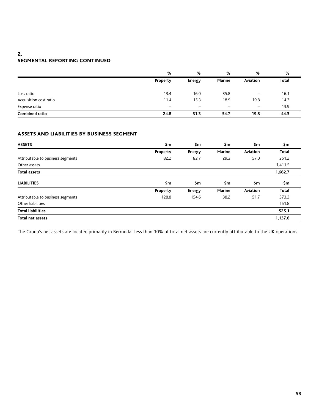### 2. segmental reporting continued

|                        | %        | %             | %      | %                        | %            |
|------------------------|----------|---------------|--------|--------------------------|--------------|
|                        | Property | <b>Energy</b> | Marine | Aviation                 | <b>Total</b> |
| Loss ratio             | 13.4     | 16.0          | 35.8   | $\overline{\phantom{m}}$ | 16.1         |
| Acquisition cost ratio | 11.4     | 15.3          | 18.9   | 19.8                     | 14.3         |
| Expense ratio          |          |               |        | $\overline{\phantom{m}}$ | 13.9         |
| <b>Combined ratio</b>  | 24.8     | 31.3          | 54.7   | 19.8                     | 44.3         |

# assets and liabilities by business segment

| <b>ASSETS</b>                     | \$m      | \$m    | \$m    | \$m      | \$m     |
|-----------------------------------|----------|--------|--------|----------|---------|
|                                   | Property | Energy | Marine | Aviation | Total   |
| Attributable to business segments | 82.2     | 82.7   | 29.3   | 57.0     | 251.2   |
| Other assets                      |          |        |        |          | 1,411.5 |
| <b>Total assets</b>               |          |        |        |          | 1,662.7 |
| <b>LIABILITIES</b>                | \$m      | \$m    | \$m    | \$m      | \$m     |
|                                   | Property | Energy | Marine | Aviation | Total   |
| Attributable to business segments | 128.8    | 154.6  | 38.2   | 51.7     | 373.3   |
| Other liabilities                 |          |        |        |          | 151.8   |
| <b>Total liabilities</b>          |          |        |        |          | 525.1   |
| <b>Total net assets</b>           |          |        |        |          | 1,137.6 |

The Group's net assets are located primarily in Bermuda. Less than 10% of total net assets are currently attributable to the UK operations.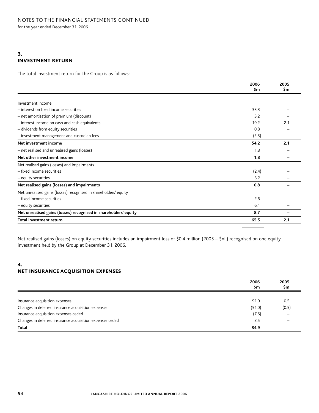# 3. investment return

The total investment return for the Group is as follows:

|                                                                  | 2006<br>\$m | 2005<br>\$m |
|------------------------------------------------------------------|-------------|-------------|
|                                                                  |             |             |
| Investment income                                                |             |             |
| - interest on fixed income securities                            | 33.3        |             |
| - net amortisation of premium (discount)                         | 3.2         |             |
| - interest income on cash and cash equivalents                   | 19.2        | 2.1         |
| - dividends from equity securities                               | 0.8         |             |
| - investment management and custodian fees                       | (2.3)       |             |
| Net investment income                                            | 54.2        | 2.1         |
| - net realised and unrealised gains (losses)                     | 1.8         |             |
| Net other investment income                                      | 1.8         |             |
| Net realised gains (losses) and impairments                      |             |             |
| - fixed income securities                                        | (2.4)       |             |
| - equity securities                                              | 3.2         |             |
| Net realised gains (losses) and impairments                      | 0.8         |             |
| Net unrealised gains (losses) recognised in shareholders' equity |             |             |
| - fixed income securities                                        | 2.6         |             |
| - equity securities                                              | 6.1         |             |
| Net unrealised gains (losses) recognised in shareholders' equity | 8.7         |             |
| <b>Total investment return</b>                                   | 65.5        | 2.1         |
|                                                                  |             |             |

Net realised gains (losses) on equity securities includes an impairment loss of \$0.4 million (2005 – \$nil) recognised on one equity investment held by the Group at December 31, 2006.

### 4. net insurance acquisition expenses

|                                                          | 2006<br>\$m | 2005<br>\$m |
|----------------------------------------------------------|-------------|-------------|
|                                                          |             |             |
| Insurance acquisition expenses                           | 91.0        | 0.5         |
| Changes in deferred insurance acquisition expenses       | (51.0)      | (0.5)       |
| Insurance acquisition expenses ceded                     | (7.6)       |             |
| Changes in deferred insurance acquisition expenses ceded | 2.5         |             |
| Total                                                    | 34.9        |             |
|                                                          |             |             |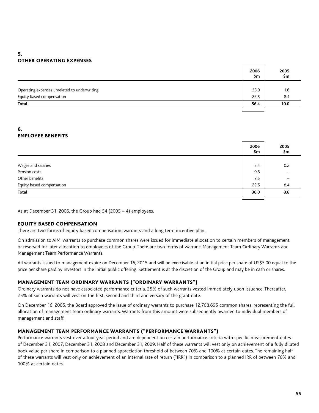# 5. other operating expenses

|                                              | 2006<br>\$m | 2005<br>\$m |
|----------------------------------------------|-------------|-------------|
|                                              |             |             |
| Operating expenses unrelated to underwriting | 33.9        | 1.6         |
| Equity based compensation                    | 22.5        | 8.4         |
| Total                                        | 56.4        | 10.0        |
|                                              |             |             |

# 6. employee benefits

|                           | 2006<br>\$m | 2005<br>\$m |
|---------------------------|-------------|-------------|
|                           |             |             |
| Wages and salaries        | 5.4         | 0.2         |
| Pension costs             | 0.6         |             |
| Other benefits            | 7.5         |             |
| Equity based compensation | 22.5        | 8.4         |
| Total                     | 36.0        | 8.6         |
|                           |             |             |

As at December 31, 2006, the Group had 54 (2005 – 4) employees.

### equity based compensation

There are two forms of equity based compensation: warrants and a long term incentive plan.

On admission to AIM, warrants to purchase common shares were issued for immediate allocation to certain members of management or reserved for later allocation to employees of the Group. There are two forms of warrant: Management Team Ordinary Warrants and Management Team Performance Warrants.

All warrants issued to management expire on December 16, 2015 and will be exercisable at an initial price per share of US\$5.00 equal to the price per share paid by investors in the initial public offering. Settlement is at the discretion of the Group and may be in cash or shares.

### management team ordinary warrants ("ordinary warrants")

Ordinary warrants do not have associated performance criteria. 25% of such warrants vested immediately upon issuance. Thereafter, 25% of such warrants will vest on the first, second and third anniversary of the grant date.

On December 16, 2005, the Board approved the issue of ordinary warrants to purchase 12,708,695 common shares, representing the full allocation of management team ordinary warrants. Warrants from this amount were subsequently awarded to individual members of management and staff.

### management team performance warrants ("performance warrants")

Performance warrants vest over a four year period and are dependent on certain performance criteria with specific measurement dates of December 31, 2007, December 31, 2008 and December 31, 2009. Half of these warrants will vest only on achievement of a fully diluted book value per share in comparison to a planned appreciation threshold of between 70% and 100% at certain dates. The remaining half of these warrants will vest only on achievement of an internal rate of return ("IRR") in comparison to a planned IRR of between 70% and 100% at certain dates.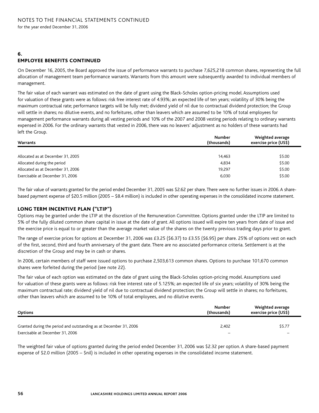#### 6. employee benefits continued

On December 16, 2005, the Board approved the issue of performance warrants to purchase 7,625,218 common shares, representing the full allocation of management team performance warrants. Warrants from this amount were subsequently awarded to individual members of management.

The fair value of each warrant was estimated on the date of grant using the Black-Scholes option-pricing model. Assumptions used for valuation of these grants were as follows: risk free interest rate of 4.93%; an expected life of ten years; volatility of 30% being the maximum contractual rate; performance targets will be fully met; dividend yield of nil due to contractual dividend protection; the Group will settle in shares; no dilutive events, and no forfeitures, other than leavers which are assumed to be 10% of total employees for management performance warrants during all vesting periods and 10% of the 2007 and 2008 vesting periods relating to ordinary warrants expensed in 2006. For the ordinary warrants that vested in 2006, there was no leavers' adjustment as no holders of these warrants had left the Group.

| <b>Warrants</b>                   | Number<br>Weighted average<br>exercise price (US\$)<br>(thousands) |        |
|-----------------------------------|--------------------------------------------------------------------|--------|
| Allocated as at December 31, 2005 | 14,463                                                             | \$5.00 |
| Allocated during the period       | 4.834                                                              | \$5.00 |
| Allocated as at December 31, 2006 | 19.297                                                             | \$5.00 |
| Exercisable at December 31, 2006  | 6,030                                                              | \$5.00 |

The fair value of warrants granted for the period ended December 31, 2005 was \$2.62 per share. There were no further issues in 2006. A sharebased payment expense of \$20.5 million (2005 – \$8.4 million) is included in other operating expenses in the consolidated income statement.

### long term incentive plan ("LTIP")

Options may be granted under the LTIP at the discretion of the Remuneration Committee. Options granted under the LTIP are limited to 5% of the fully diluted common share capital in issue at the date of grant. All options issued will expire ten years from date of issue and the exercise price is equal to or greater than the average market value of the shares on the twenty previous trading days prior to grant.

The range of exercise prices for options at December 31, 2006 was £3.25 (\$6.37) to £3.55 (\$6.95) per share. 25% of options vest on each of the first, second, third and fourth anniversary of the grant date. There are no associated performance criteria. Settlement is at the discretion of the Group and may be in cash or shares.

In 2006, certain members of staff were issued options to purchase 2,503,613 common shares. Options to purchase 101,670 common shares were forfeited during the period (see note 22).

The fair value of each option was estimated on the date of grant using the Black-Scholes option-pricing model. Assumptions used for valuation of these grants were as follows: risk free interest rate of 5.125%; an expected life of six years; volatility of 30% being the maximum contractual rate; dividend yield of nil due to contractual dividend protection; the Group will settle in shares; no forfeitures, other than leavers which are assumed to be 10% of total employees, and no dilutive events.

| <b>Options</b>                                                    | Number<br>(thousands) | Weighted average<br>exercise price (US\$) |
|-------------------------------------------------------------------|-----------------------|-------------------------------------------|
| Granted during the period and outstanding as at December 31, 2006 | 2.402                 | \$5.77                                    |
| Exercisable at December 31, 2006                                  |                       |                                           |

The weighted fair value of options granted during the period ended December 31, 2006 was \$2.32 per option. A share-based payment expense of \$2.0 million (2005 – \$nil) is included in other operating expenses in the consolidated income statement.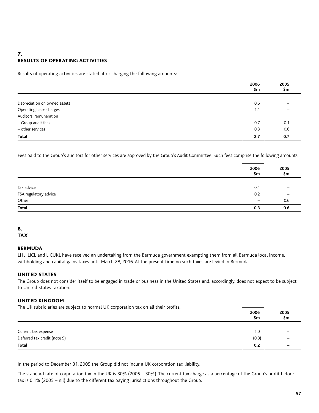## 7. results of operating activities

Results of operating activities are stated after charging the following amounts:

|                              | 2006<br>\$m | 2005<br>\$m |
|------------------------------|-------------|-------------|
|                              |             |             |
| Depreciation on owned assets | 0.6         |             |
| Operating lease charges      | 1.1         |             |
| Auditors' remuneration       |             |             |
| - Group audit fees           | 0.7         | 0.1         |
| - other services             | 0.3         | 0.6         |
| <b>Total</b>                 | 2.7         | 0.7         |
|                              |             |             |

Fees paid to the Group's auditors for other services are approved by the Group's Audit Committee. Such fees comprise the following amounts:

|                                              | 2006<br>\$m | 2005<br>\$m |
|----------------------------------------------|-------------|-------------|
|                                              |             |             |
|                                              | 0.1         |             |
| Tax advice<br>FSA regulatory advice<br>Other | 0.2         |             |
|                                              |             | 0.6         |
| <b>Total</b>                                 | 0.3         | 0.6         |
|                                              |             |             |

#### 8. **TAX**

# Bermuda

LHL, LICL and LICUKL have received an undertaking from the Bermuda government exempting them from all Bermuda local income, withholding and capital gains taxes until March 28, 2016. At the present time no such taxes are levied in Bermuda.

### UNITED STATES

The Group does not consider itself to be engaged in trade or business in the United States and, accordingly, does not expect to be subject to United States taxation.

### United Kingdom

The UK subsidiaries are subject to normal UK corporation tax on all their profits.

|                                                     | 2006<br>\$m | 2005<br>\$m              |
|-----------------------------------------------------|-------------|--------------------------|
|                                                     |             |                          |
|                                                     | 1.0         |                          |
| Current tax expense<br>Deferred tax credit (note 9) | (0.8)       | $\overline{\phantom{m}}$ |
| <b>Total</b>                                        | 0.2         | -                        |
|                                                     |             |                          |

In the period to December 31, 2005 the Group did not incur a UK corporation tax liability.

The standard rate of corporation tax in the UK is 30% (2005 – 30%). The current tax charge as a percentage of the Group's profit before tax is 0.1% (2005 – nil) due to the different tax paying jurisdictions throughout the Group.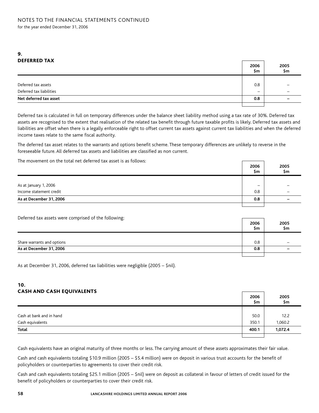### 9. deferred tax

| $\triangleright$ $\blacksquare$ | 2006<br>\$m              | 2005<br>\$m |
|---------------------------------|--------------------------|-------------|
|                                 |                          |             |
| Deferred tax assets             | 0.8                      |             |
| Deferred tax liabilities        | $\overline{\phantom{m}}$ |             |
| Net deferred tax asset          | 0.8                      |             |
|                                 |                          |             |

Deferred tax is calculated in full on temporary differences under the balance sheet liability method using a tax rate of 30%. Deferred tax assets are recognised to the extent that realisation of the related tax benefit through future taxable profits is likely. Deferred tax assets and liabilities are offset when there is a legally enforceable right to offset current tax assets against current tax liabilities and when the deferred income taxes relate to the same fiscal authority.

The deferred tax asset relates to the warrants and options benefit scheme. These temporary differences are unlikely to reverse in the foreseeable future. All deferred tax assets and liabilities are classified as non current.

The movement on the total net deferred tax asset is as follows:

|                         | 2006<br>\$m | 2005<br>\$m |
|-------------------------|-------------|-------------|
|                         |             |             |
| As at January 1, 2006   |             |             |
| Income statement credit | 0.8         |             |
| As at December 31, 2006 | 0.8         | -           |
|                         |             |             |

 $\Gamma$ 

┑

Deferred tax assets were comprised of the following:

| ັ                          | 2006<br>Şm | 2005<br>\$m |
|----------------------------|------------|-------------|
|                            |            |             |
| Share warrants and options | 0.8        |             |
| As at December 31, 2006    | 0.8        |             |
|                            |            |             |

As at December 31, 2006, deferred tax liabilities were negligible (2005 – \$nil).

### 10. cash and cash equivalents

|                          | 2006<br>\$m | 2005<br>\$m |
|--------------------------|-------------|-------------|
|                          |             |             |
| Cash at bank and in hand | 50.0        | 12.2        |
| Cash equivalents         | 350.1       | 1,060.2     |
| Total                    | 400.1       | 1,072.4     |
|                          |             |             |

Cash equivalents have an original maturity of three months or less. The carrying amount of these assets approximates their fair value.

Cash and cash equivalents totaling \$10.9 million (2005 – \$5.4 million) were on deposit in various trust accounts for the benefit of policyholders or counterparties to agreements to cover their credit risk.

Cash and cash equivalents totaling \$25.1 million (2005 – \$nil) were on deposit as collateral in favour of letters of credit issued for the benefit of policyholders or counterparties to cover their credit risk.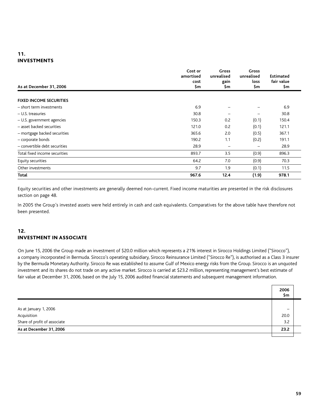# 11. investments

| As at December 31, 2006        | Cost or<br>amortised<br>cost<br>\$m | <b>Gross</b><br>unrealised<br>gain<br>\$m | <b>Gross</b><br>unrealised<br>loss<br>\$m | Estimated<br>fair value<br>\$m |
|--------------------------------|-------------------------------------|-------------------------------------------|-------------------------------------------|--------------------------------|
| <b>FIXED INCOME SECURITIES</b> |                                     |                                           |                                           |                                |
| - short term investments       | 6.9                                 |                                           |                                           | 6.9                            |
| - U.S. treasuries              | 30.8                                |                                           |                                           | 30.8                           |
| - U.S. government agencies     | 150.3                               | 0.2                                       | (0.1)                                     | 150.4                          |
| - asset backed securities      | 121.0                               | 0.2                                       | (0.1)                                     | 121.1                          |
| - mortgage backed securities   | 365.6                               | 2.0                                       | (0.5)                                     | 367.1                          |
| - corporate bonds              | 190.2                               | 1.1                                       | (0.2)                                     | 191.1                          |
| - convertible debt securities  | 28.9                                |                                           | -                                         | 28.9                           |
| Total fixed income securities  | 893.7                               | 3.5                                       | (0.9)                                     | 896.3                          |
| Equity securities              | 64.2                                | 7.0                                       | (0.9)                                     | 70.3                           |
| Other investments              | 9.7                                 | 1.9                                       | (0.1)                                     | 11.5                           |
| Total                          | 967.6                               | 12.4                                      | (1.9)                                     | 978.1                          |

Equity securities and other investments are generally deemed non-current. Fixed income maturities are presented in the risk disclosures section on page 48.

In 2005 the Group's invested assets were held entirely in cash and cash equivalents. Comparatives for the above table have therefore not been presented.

### 12. investment in associate

On June 15, 2006 the Group made an investment of \$20.0 million which represents a 21% interest in Sirocco Holdings Limited ("Sirocco"), a company incorporated in Bermuda. Sirocco's operating subsidiary, Sirocco Reinsurance Limited ("Sirocco Re"), is authorised as a Class 3 insurer by the Bermuda Monetary Authority. Sirocco Re was established to assume Gulf of Mexico energy risks from the Group. Sirocco is an unquoted investment and its shares do not trade on any active market. Sirocco is carried at \$23.2 million, representing management's best estimate of fair value at December 31, 2006, based on the July 15, 2006 audited financial statements and subsequent management information.

|                              | 2006<br>\$m |  |
|------------------------------|-------------|--|
|                              |             |  |
| As at January 1, 2006        |             |  |
| Acquisition                  | 20.0        |  |
| Share of profit of associate | 3.2         |  |
| As at December 31, 2006      | 23.2        |  |
|                              |             |  |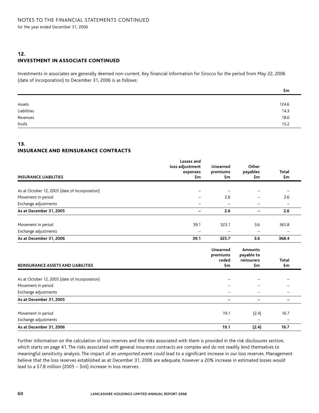# 12. investment in associate continued

Investments in associates are generally deemed non-current. Key financial information for Sirocco for the period from May 22, 2006 (date of incorporation) to December 31, 2006 is as follows:

|                       | Şm    |
|-----------------------|-------|
|                       |       |
|                       | 124.6 |
| Assets<br>Liabilities | 14.3  |
|                       | 18.6  |
| Revenues<br>Profit    | 15.2  |

### 13. insurance and reinsurance contracts

| <b>INSURANCE LIABILITIES</b>                   | Losses and<br>loss adjustment<br>expenses<br>\$m | Unearned<br>premiums<br>\$m          | Other<br>payables<br>\$m                   | Total<br>\$m             |
|------------------------------------------------|--------------------------------------------------|--------------------------------------|--------------------------------------------|--------------------------|
|                                                |                                                  |                                      |                                            |                          |
| As at October 12, 2005 (date of incorporation) |                                                  |                                      |                                            |                          |
| Movement in period                             |                                                  | 2.6                                  |                                            | 2.6                      |
| Exchange adjustments                           |                                                  |                                      |                                            |                          |
| As at December 31, 2005                        | -                                                | 2.6                                  | $\overline{\phantom{0}}$                   | 2.6                      |
| Movement in period                             | 39.1                                             | 323.1                                | 3.6                                        | 365.8                    |
| Exchange adjustments                           |                                                  |                                      |                                            |                          |
| As at December 31, 2006                        | 39.1                                             | 325.7                                | 3.6                                        | 368.4                    |
| <b>REINSURANCE ASSETS AND LIABILITIES</b>      |                                                  | Unearned<br>premiums<br>ceded<br>\$m | Amounts<br>payable to<br>reinsurers<br>\$m | Total<br>\$m             |
| As at October 12, 2005 (date of incorporation) |                                                  |                                      |                                            |                          |
| Movement in period                             |                                                  |                                      |                                            |                          |
| Exchange adjustments                           |                                                  |                                      | $\qquad \qquad -$                          | $\qquad \qquad -$        |
| As at December 31, 2005                        |                                                  | $\qquad \qquad$                      | $\qquad \qquad$                            | -                        |
| Movement in period                             |                                                  | 19.1                                 | (2.4)                                      | 16.7                     |
| Exchange adjustments                           |                                                  | $\overline{\phantom{m}}$             | -                                          | $\overline{\phantom{a}}$ |
| As at December 31, 2006                        |                                                  | 19.1                                 | (2.4)                                      | 16.7                     |

Further information on the calculation of loss reserves and the risks associated with them is provided in the risk disclosures section, which starts on page 41. The risks associated with general insurance contracts are complex and do not readily lend themselves to meaningful sensitivity analysis. The impact of an unreported event could lead to a significant increase in our loss reserves. Management believe that the loss reserves established as at December 31, 2006 are adequate, however a 20% increase in estimated losses would lead to a \$7.8 million (2005 – \$nil) increase in loss reserves.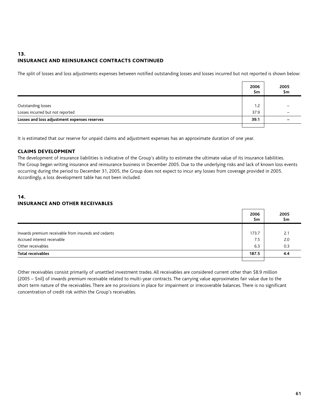# 13. insurance and reinsurance contracts continued

The split of losses and loss adjustments expenses between notified outstanding losses and losses incurred but not reported is shown below:

|                                              | 2006<br>Şm | 2005<br>\$m              |
|----------------------------------------------|------------|--------------------------|
|                                              |            |                          |
| Outstanding losses                           | 1.2        |                          |
| Losses incurred but not reported             | 37.9       | $\overline{\phantom{m}}$ |
| Losses and loss adjustment expenses reserves | 39.1       |                          |
|                                              |            |                          |

It is estimated that our reserve for unpaid claims and adjustment expenses has an approximate duration of one year.

### claims development

The development of insurance liabilities is indicative of the Group's ability to estimate the ultimate value of its insurance liabilities. The Group began writing insurance and reinsurance business in December 2005. Due to the underlying risks and lack of known loss events occurring during the period to December 31, 2005, the Group does not expect to incur any losses from coverage provided in 2005. Accordingly, a loss development table has not been included.

# 14. insurance and other receivables

|                                                      | 2006<br>\$m | 2005<br>\$m |
|------------------------------------------------------|-------------|-------------|
|                                                      |             |             |
| Inwards premium receivable from insureds and cedants | 173.7       | 2.1         |
| Accrued interest receivable                          | 7.5         | 2.0         |
| Other receivables                                    | 6.3         | 0.3         |
| <b>Total receivables</b>                             | 187.5       | 4.4         |
|                                                      |             |             |

Other receivables consist primarily of unsettled investment trades. All receivables are considered current other than \$8.9 million (2005 – \$nil) of inwards premium receivable related to multi-year contracts. The carrying value approximates fair value due to the short term nature of the receivables. There are no provisions in place for impairment or irrecoverable balances. There is no significant concentration of credit risk within the Group's receivables.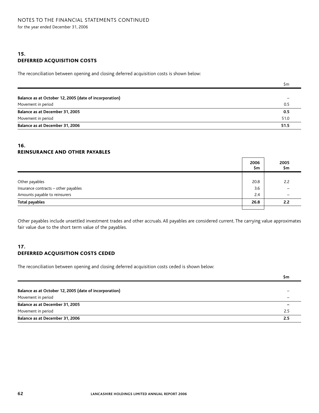## 15. deferred acquisition costs

The reconciliation between opening and closing deferred acquisition costs is shown below:

|                                                        | Şm   |
|--------------------------------------------------------|------|
|                                                        |      |
| Balance as at October 12, 2005 (date of incorporation) |      |
| Movement in period                                     | 0.5  |
| Balance as at December 31, 2005                        | 0.5  |
| Movement in period                                     | 51.0 |
| Balance as at December 31, 2006                        | 51.5 |

### 16. reinsurance and other payables

|                                      | 2006<br>\$m | 2005<br>\$m |
|--------------------------------------|-------------|-------------|
|                                      |             |             |
| Other payables                       | 20.8        | 2.2         |
| Insurance contracts - other payables | 3.6         |             |
| Amounts payable to reinsurers        | 2.4         |             |
| <b>Total payables</b>                | 26.8        | 2.2         |
|                                      |             |             |

Other payables include unsettled investment trades and other accruals. All payables are considered current. The carrying value approximates fair value due to the short term value of the payables.

### 17. deferred acquisition costs ceded

The reconciliation between opening and closing deferred acquisition costs ceded is shown below:

|                                                        | Şm  |
|--------------------------------------------------------|-----|
|                                                        |     |
| Balance as at October 12, 2005 (date of incorporation) |     |
| Movement in period                                     |     |
| Balance as at December 31, 2005                        |     |
| Movement in period                                     | 2.5 |
| Balance as at December 31, 2006                        | 2.5 |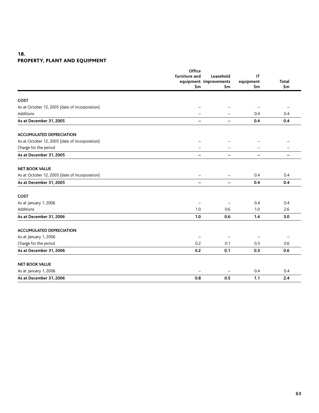# 18. property, plant and equipment

|                                                | Office<br>furniture and  | Leasehold<br>equipment improvements | IT<br>equipment   |       |
|------------------------------------------------|--------------------------|-------------------------------------|-------------------|-------|
|                                                |                          |                                     |                   | Total |
|                                                | \$m                      | \$m                                 | \$m               | \$m   |
|                                                |                          |                                     |                   |       |
| <b>COST</b>                                    |                          |                                     |                   |       |
| As at October 12, 2005 (date of incorporation) |                          |                                     |                   |       |
| Additions                                      |                          |                                     | 0.4               | 0.4   |
| As at December 31, 2005                        | -                        | $\overline{\phantom{m}}$            | 0.4               | 0.4   |
| <b>ACCUMULATED DEPRECIATION</b>                |                          |                                     |                   |       |
| As at October 12, 2005 (date of incorporation) |                          |                                     |                   |       |
| Charge for the period                          |                          |                                     |                   |       |
| As at December 31, 2005                        | -                        | $\overline{\phantom{0}}$            | $\qquad \qquad -$ | -     |
| <b>NET BOOK VALUE</b>                          |                          |                                     |                   |       |
| As at October 12, 2005 (date of incorporation) | $\overline{\phantom{0}}$ |                                     | 0.4               | 0.4   |
| As at December 31, 2005                        | $\overline{\phantom{0}}$ | $\overline{\phantom{a}}$            | 0.4               | 0.4   |
| <b>COST</b>                                    |                          |                                     |                   |       |
| As at January 1, 2006                          |                          |                                     | 0.4               | 0.4   |
| Additions                                      | 1.0                      | 0.6                                 | 1.0               | 2.6   |
| As at December 31, 2006                        | 1.0                      | 0.6                                 | 1.4               | 3.0   |
| <b>ACCUMULATED DEPRECIATION</b>                |                          |                                     |                   |       |
| As at January 1, 2006                          |                          |                                     |                   |       |
| Charge for the period                          | 0.2                      | 0.1                                 | 0.3               | 0.6   |
| As at December 31, 2006                        | 0.2                      | 0.1                                 | 0.3               | 0.6   |
| <b>NET BOOK VALUE</b>                          |                          |                                     |                   |       |
| As at January 1, 2006                          |                          |                                     | 0.4               | 0.4   |
| As at December 31, 2006                        | 0.8                      | 0.5                                 | 1.1               | 2.4   |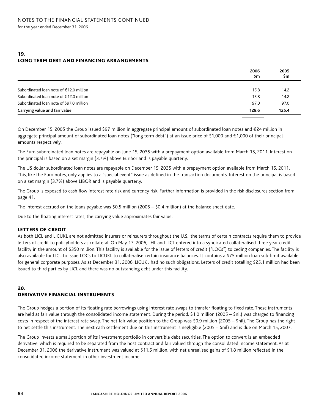### 19. long term debt and financing arrangements

|                                          | 2006<br>\$m | 2005<br>\$m |
|------------------------------------------|-------------|-------------|
|                                          |             |             |
| Subordinated loan note of €12.0 million  | 15.8        | 14.2        |
| Subordinated loan note of €12.0 million  | 15.8        | 14.2        |
| Subordinated loan note of \$97.0 million | 97.0        | 97.0        |
| Carrying value and fair value            | 128.6       | 125.4       |
|                                          |             |             |

On December 15, 2005 the Group issued \$97 million in aggregate principal amount of subordinated loan notes and €24 million in aggregate principal amount of subordinated loan notes ("long term debt") at an issue price of \$1,000 and €1,000 of their principal amounts respectively.

The Euro subordinated loan notes are repayable on June 15, 2035 with a prepayment option available from March 15, 2011. Interest on the principal is based on a set margin (3.7%) above Euribor and is payable quarterly.

The US dollar subordinated loan notes are repayable on December 15, 2035 with a prepayment option available from March 15, 2011. This, like the Euro notes, only applies to a "special event" issue as defined in the transaction documents. Interest on the principal is based on a set margin (3.7%) above LIBOR and is payable quarterly.

The Group is exposed to cash flow interest rate risk and currency risk. Further information is provided in the risk disclosures section from page 41.

The interest accrued on the loans payable was \$0.5 million (2005 – \$0.4 million) at the balance sheet date.

Due to the floating interest rates, the carrying value approximates fair value.

### letters of credit

As both LICL and LICUKL are not admitted insurers or reinsurers throughout the U.S., the terms of certain contracts require them to provide letters of credit to policyholders as collateral. On May 17, 2006, LHL and LICL entered into a syndicated collateralised three year credit facility in the amount of \$350 million. This facility is available for the issue of letters of credit ("LOCs") to ceding companies. The facility is also available for LICL to issue LOCs to LICUKL to collateralise certain insurance balances. It contains a \$75 million loan sub-limit available for general corporate purposes. As at December 31, 2006, LICUKL had no such obligations. Letters of credit totalling \$25.1 million had been issued to third parties by LICL and there was no outstanding debt under this facility.

#### 20. derivative financial instruments

The Group hedges a portion of its floating rate borrowings using interest rate swaps to transfer floating to fixed rate. These instruments are held at fair value through the consolidated income statement. During the period, \$1.0 million (2005 – \$nil) was charged to financing costs in respect of the interest rate swap. The net fair value position to the Group was \$0.9 million (2005 – \$nil). The Group has the right to net settle this instrument. The next cash settlement due on this instrument is negligible (2005 – \$nil) and is due on March 15, 2007.

The Group invests a small portion of its investment portfolio in convertible debt securities. The option to convert is an embedded derivative, which is required to be separated from the host contract and fair valued through the consolidated income statement. As at December 31, 2006 the derivative instrument was valued at \$11.5 million, with net unrealised gains of \$1.8 million reflected in the consolidated income statement in other investment income.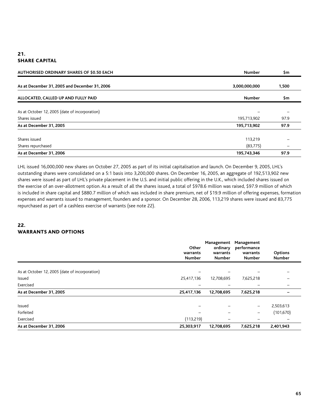# 21. **SHARE CAPITAL**

| AUTHORISED ORDINARY SHARES OF \$0.50 EACH      | <b>Number</b> | \$m   |  |
|------------------------------------------------|---------------|-------|--|
| As at December 31, 2005 and December 31, 2006  | 3,000,000,000 | 1,500 |  |
| ALLOCATED, CALLED UP AND FULLY PAID            | <b>Number</b> | \$m   |  |
| As at October 12, 2005 (date of incorporation) |               |       |  |
| Shares issued                                  | 195,713,902   | 97.9  |  |
| As at December 31, 2005                        | 195,713,902   | 97.9  |  |
| Shares issued                                  | 113,219       |       |  |
| Shares repurchased                             | (83, 775)     |       |  |
| As at December 31, 2006                        | 195,743,346   | 97.9  |  |

LHL issued 16,000,000 new shares on October 27, 2005 as part of its initial capitalisation and launch. On December 9, 2005, LHL's outstanding shares were consolidated on a 5:1 basis into 3,200,000 shares. On December 16, 2005, an aggregate of 192,513,902 new shares were issued as part of LHL's private placement in the U.S. and initial public offering in the U.K., which included shares issued on the exercise of an over-allotment option. As a result of all the shares issued, a total of \$978.6 million was raised, \$97.9 million of which is included in share capital and \$880.7 million of which was included in share premium, net of \$19.9 million of offering expenses, formation expenses and warrants issued to management, founders and a sponsor. On December 28, 2006, 113,219 shares were issued and 83,775 repurchased as part of a cashless exercise of warrants (see note 22).

# 22. warrants and options

|                                                | Other<br>warrants<br>Number | Management<br>ordinary<br>warrants<br><b>Number</b> | Management<br>performance<br>warrants<br>Number | Options<br>Number |
|------------------------------------------------|-----------------------------|-----------------------------------------------------|-------------------------------------------------|-------------------|
| As at October 12, 2005 (date of incorporation) |                             |                                                     |                                                 |                   |
| Issued                                         | 25,417,136                  | 12,708,695                                          | 7,625,218                                       |                   |
| Exercised                                      |                             |                                                     |                                                 |                   |
| As at December 31, 2005                        | 25,417,136                  | 12,708,695                                          | 7,625,218                                       |                   |
| Issued                                         |                             |                                                     | -                                               | 2,503,613         |
| Forfeited                                      |                             |                                                     | $\qquad \qquad -$                               | (101, 670)        |
| Exercised                                      | (113,219)                   |                                                     |                                                 |                   |
| As at December 31, 2006                        | 25,303,917                  | 12,708,695                                          | 7,625,218                                       | 2,401,943         |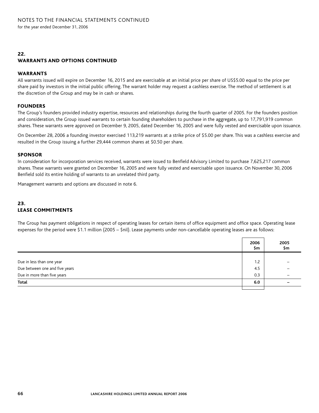### 22. warrants and options continued

### **WARRANTS**

All warrants issued will expire on December 16, 2015 and are exercisable at an initial price per share of US\$5.00 equal to the price per share paid by investors in the initial public offering. The warrant holder may request a cashless exercise. The method of settlement is at the discretion of the Group and may be in cash or shares.

### **FOUNDERS**

The Group's founders provided industry expertise, resources and relationships during the fourth quarter of 2005. For the founders position and consideration, the Group issued warrants to certain founding shareholders to purchase in the aggregate, up to 17,791,919 common shares. These warrants were approved on December 9, 2005, dated December 16, 2005 and were fully vested and exercisable upon issuance.

On December 28, 2006 a founding investor exercised 113,219 warrants at a strike price of \$5.00 per share. This was a cashless exercise and resulted in the Group issuing a further 29,444 common shares at \$0.50 per share.

#### sponsor

In consideration for incorporation services received, warrants were issued to Benfield Advisory Limited to purchase 7,625,217 common shares. These warrants were granted on December 16, 2005 and were fully vested and exercisable upon issuance. On November 30, 2006 Benfield sold its entire holding of warrants to an unrelated third party.

Management warrants and options are discussed in note 6.

#### 23. lease commitments

The Group has payment obligations in respect of operating leases for certain items of office equipment and office space. Operating lease expenses for the period were \$1.1 million (2005 – \$nil). Lease payments under non-cancellable operating leases are as follows:

|                                | 2006<br>\$m | 2005<br>\$m |
|--------------------------------|-------------|-------------|
|                                |             |             |
| Due in less than one year      | 1.2         |             |
| Due between one and five years | 4.5         |             |
| Due in more than five years    | 0.3         |             |
| Total                          | 6.0         |             |
|                                |             |             |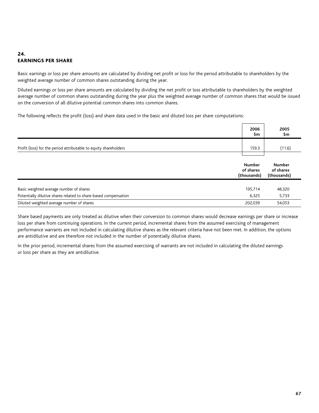# 24. earnings per share

Basic earnings or loss per share amounts are calculated by dividing net profit or loss for the period attributable to shareholders by the weighted average number of common shares outstanding during the year.

Diluted earnings or loss per share amounts are calculated by dividing the net profit or loss attributable to shareholders by the weighted average number of common shares outstanding during the year plus the weighted average number of common shares that would be issued on the conversion of all dilutive potential common shares into common shares.

The following reflects the profit (loss) and share data used in the basic and diluted loss per share computations:

|                                                                  | 2006<br>Şm | 2005<br>\$m |
|------------------------------------------------------------------|------------|-------------|
| Profit (loss) for the period attributable to equity shareholders | 159.3      | (11.6)      |
|                                                                  |            |             |

|                                                                 | Number<br>of shares<br>(thousands) | Number<br>of shares<br>(thousands) |
|-----------------------------------------------------------------|------------------------------------|------------------------------------|
| Basic weighted average number of shares                         | 195.714                            | 48,320                             |
| Potentially dilutive shares related to share-based compensation | 6.325                              | 5,733                              |
| Diluted weighted average number of shares                       | 202.039                            | 54,053                             |

Share based payments are only treated as dilutive when their conversion to common shares would decrease earnings per share or increase loss per share from continuing operations. In the current period, incremental shares from the assumed exercising of management performance warrants are not included in calculating dilutive shares as the relevant criteria have not been met. In addition, the options are antidilutive and are therefore not included in the number of potentially dilutive shares.

In the prior period, incremental shares from the assumed exercising of warrants are not included in calculating the diluted earnings or loss per share as they are antidilutive.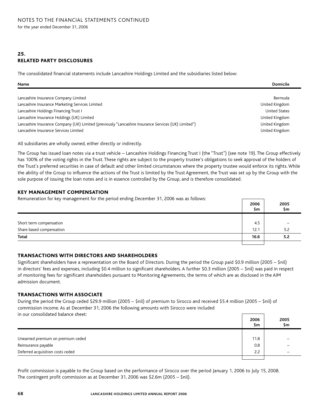# 25. related party disclosures

The consolidated financial statements include Lancashire Holdings Limited and the subsidiaries listed below:

| Name                                                                                                | <b>Domicile</b>      |
|-----------------------------------------------------------------------------------------------------|----------------------|
|                                                                                                     |                      |
| Lancashire Insurance Company Limited                                                                | Bermuda              |
| Lancashire Insurance Marketing Services Limited                                                     | United Kingdom       |
| Lancashire Holdings Financing Trust I                                                               | <b>United States</b> |
| Lancashire Insurance Holdings (UK) Limited                                                          | United Kingdom       |
| Lancashire Insurance Company (UK) Limited (previously "Lancashire Insurance Services (UK) Limited") | United Kingdom       |
| Lancashire Insurance Services Limited                                                               | United Kingdom       |

All subsidiaries are wholly owned, either directly or indirectly.

The Group has issued loan notes via a trust vehicle – Lancashire Holdings Financing Trust I (the "Trust") (see note 19). The Group effectively has 100% of the voting rights in the Trust. These rights are subject to the property trustee's obligations to seek approval of the holders of the Trust's preferred securities in case of default and other limited circumstances where the property trustee would enforce its rights. While the ability of the Group to influence the actions of the Trust is limited by the Trust Agreement, the Trust was set up by the Group with the sole purpose of issuing the loan notes and is in essence controlled by the Group, and is therefore consolidated.

### key management compensation

Remuneration for key management for the period ending December 31, 2006 was as follows:

|                          | 2006<br>Şm | 2005<br>\$m |
|--------------------------|------------|-------------|
|                          |            |             |
| Short term compensation  | -4.5       |             |
| Share based compensation | 12.1       | 52<br>ے. ر  |
| <b>Total</b>             | 16.6       | 5.2         |
|                          |            |             |

┑

### transactions with directors and shareholders

Significant shareholders have a representation on the Board of Directors. During the period the Group paid \$0.9 million (2005 – \$nil) in directors' fees and expenses, including \$0.4 million to significant shareholders. A further \$0.3 million (2005 – \$nil) was paid in respect of monitoring fees for significant shareholders pursuant to Monitoring Agreements, the terms of which are as disclosed in the AIM admission document.

### transactions with associate

During the period the Group ceded \$29.9 million (2005 – \$nil) of premium to Sirocco and received \$5.4 million (2005 – \$nil) of commission income. As at December 31, 2006 the following amounts with Sirocco were included in our consolidated balance sheet:

| <u>ni odi consoligatca balance sheet.</u> | 2006<br>Şm | 2005<br>\$m |
|-------------------------------------------|------------|-------------|
|                                           |            |             |
| Unearned premium on premium ceded         | 11.8       |             |
| Reinsurance payable                       | 0.8        |             |
| Deferred acquisition costs ceded          | 2.2        |             |
|                                           |            |             |

Profit commission is payable to the Group based on the performance of Sirocco over the period January 1, 2006 to July 15, 2008. The contingent profit commission as at December 31, 2006 was \$2.6m (2005 – \$nil).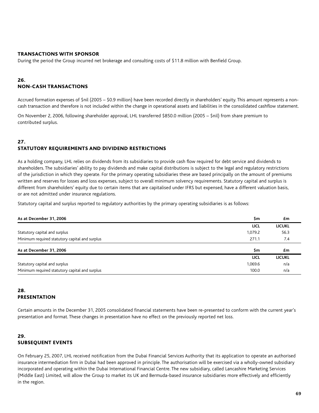### transactions with sponsor

During the period the Group incurred net brokerage and consulting costs of \$11.8 million with Benfield Group.

### 26. non-cash transactions

Accrued formation expenses of \$nil (2005 – \$0.9 million) have been recorded directly in shareholders' equity. This amount represents a noncash transaction and therefore is not included within the change in operational assets and liabilities in the consolidated cashflow statement.

On November 2, 2006, following shareholder approval, LHL transferred \$850.0 million (2005 – \$nil) from share premium to contributed surplus.

### 27. statutory requirements and dividend restrictions

As a holding company, LHL relies on dividends from its subsidiaries to provide cash flow required for debt service and dividends to shareholders. The subsidiaries' ability to pay dividends and make capital distributions is subject to the legal and regulatory restrictions of the jurisdiction in which they operate. For the primary operating subsidiaries these are based principally on the amount of premiums written and reserves for losses and loss expenses, subject to overall minimum solvency requirements. Statutory capital and surplus is different from shareholders' equity due to certain items that are capitalised under IFRS but expensed, have a different valuation basis, or are not admitted under insurance regulations.

Statutory capital and surplus reported to regulatory authorities by the primary operating subsidiaries is as follows:

| As at December 31, 2006                        | \$m         | £m            |
|------------------------------------------------|-------------|---------------|
|                                                | <b>LICL</b> | <b>LICUKL</b> |
| Statutory capital and surplus                  | 1,079.2     | 56.3          |
| Minimum required statutory capital and surplus | 271.1       | 7.4           |
| As at December 31, 2006                        | \$m         | £m            |
|                                                | <b>LICL</b> | <b>LICUKL</b> |
| Statutory capital and surplus                  | 1,069.6     | n/a           |
| Minimum required statutory capital and surplus | 100.0       | n/a           |

### 28. presentation

Certain amounts in the December 31, 2005 consolidated financial statements have been re-presented to conform with the current year's presentation and format. These changes in presentation have no effect on the previously reported net loss.

# 29. subsequent events

On February 25, 2007, LHL received notification from the Dubai Financial Services Authority that its application to operate an authorised insurance intermediation firm in Dubai had been approved in principle. The authorisation will be exercised via a wholly-owned subsidiary incorporated and operating within the Dubai International Financial Centre. The new subsidiary, called Lancashire Marketing Services (Middle East) Limited, will allow the Group to market its UK and Bermuda-based insurance subsidiaries more effectively and efficiently in the region.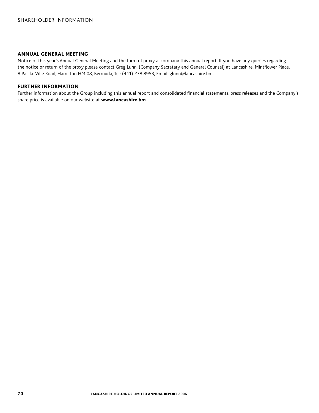#### Annual General Meeting

Notice of this year's Annual General Meeting and the form of proxy accompany this annual report. If you have any queries regarding the notice or return of the proxy please contact Greg Lunn, (Company Secretary and General Counsel) at Lancashire, Mintflower Place, 8 Par-la-Ville Road, Hamilton HM 08, Bermuda, Tel: (441) 278 8953, Email: glunn@lancashire.bm.

### Further information

Further information about the Group including this annual report and consolidated financial statements, press releases and the Company's share price is available on our website at www.lancashire.bm.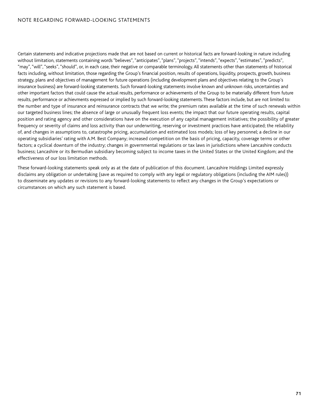### NOTE REGARDING FORWARD-LOOKING STATEMENTS

Certain statements and indicative projections made that are not based on current or historical facts are forward-looking in nature including without limitation, statements containing words "believes", "anticipates", "plans", "projects", "intends", "expects", "estimates", "predicts", "may", "will", "seeks", "should", or, in each case, their negative or comparable terminology. All statements other than statements of historical facts including, without limitation, those regarding the Group's financial position, results of operations, liquidity, prospects, growth, business strategy, plans and objectives of management for future operations (including development plans and objectives relating to the Group's insurance business) are forward-looking statements. Such forward-looking statements involve known and unknown risks, uncertainties and other important factors that could cause the actual results, performance or achievements of the Group to be materially different from future results, performance or achievments expressed or implied by such forward-looking statements. These factors include, but are not limited to: the number and type of insurance and reinsurance contracts that we write; the premium rates available at the time of such renewals within our targeted business lines; the absence of large or unusually frequent loss events; the impact that our future operating results, capital position and rating agency and other considerations have on the execution of any capital management initiatives; the possibility of greater frequency or severity of claims and loss activity than our underwriting, reserving or investment practices have anticipated; the reliability of, and changes in assumptions to, catastrophe pricing, accumulation and estimated loss models; loss of key personnel; a decline in our operating subsidiaries' rating with A.M. Best Company; increased competition on the basis of pricing, capacity, coverage terms or other factors; a cyclical downturn of the industry; changes in governmental regulations or tax laws in jurisdictions where Lancashire conducts business; Lancashire or its Bermudian subsidiary becoming subject to income taxes in the United States or the United Kingdom; and the effectiveness of our loss limitation methods.

These forward-looking statements speak only as at the date of publication of this document. Lancashire Holdings Limited expressly disclaims any obligation or undertaking (save as required to comply with any legal or regulatory obligations (including the AIM rules)) to disseminate any updates or revisions to any forward-looking statements to reflect any changes in the Group's expectations or circumstances on which any such statement is based.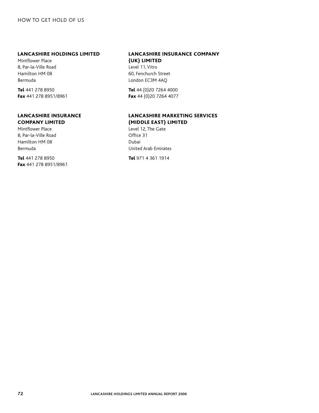#### Lancashire Holdings Limited

Mintflower Place 8, Par-la-Ville Road Hamilton HM 08 Bermuda

Tel 441 278 8950 Fax 441 278 8951/8961

### Lancashire Insurance Company Limited

Mintflower Place 8, Par-la-Ville Road Hamilton HM 08 Bermuda

Tel 441 278 8950 Fax 441 278 8951/8961

## Lancashire Insurance Company (UK) Limited

Level 11, Vitro 60, Fenchurch Street London EC3M 4AQ

Tel 44 (0)20 7264 4000 Fax 44 (0)20 7264 4077

# Lancashire marketing services (middle east) limited

Level 12, The Gate Office 31 Dubai United Arab Emirates

Tel 971 4 361 1914